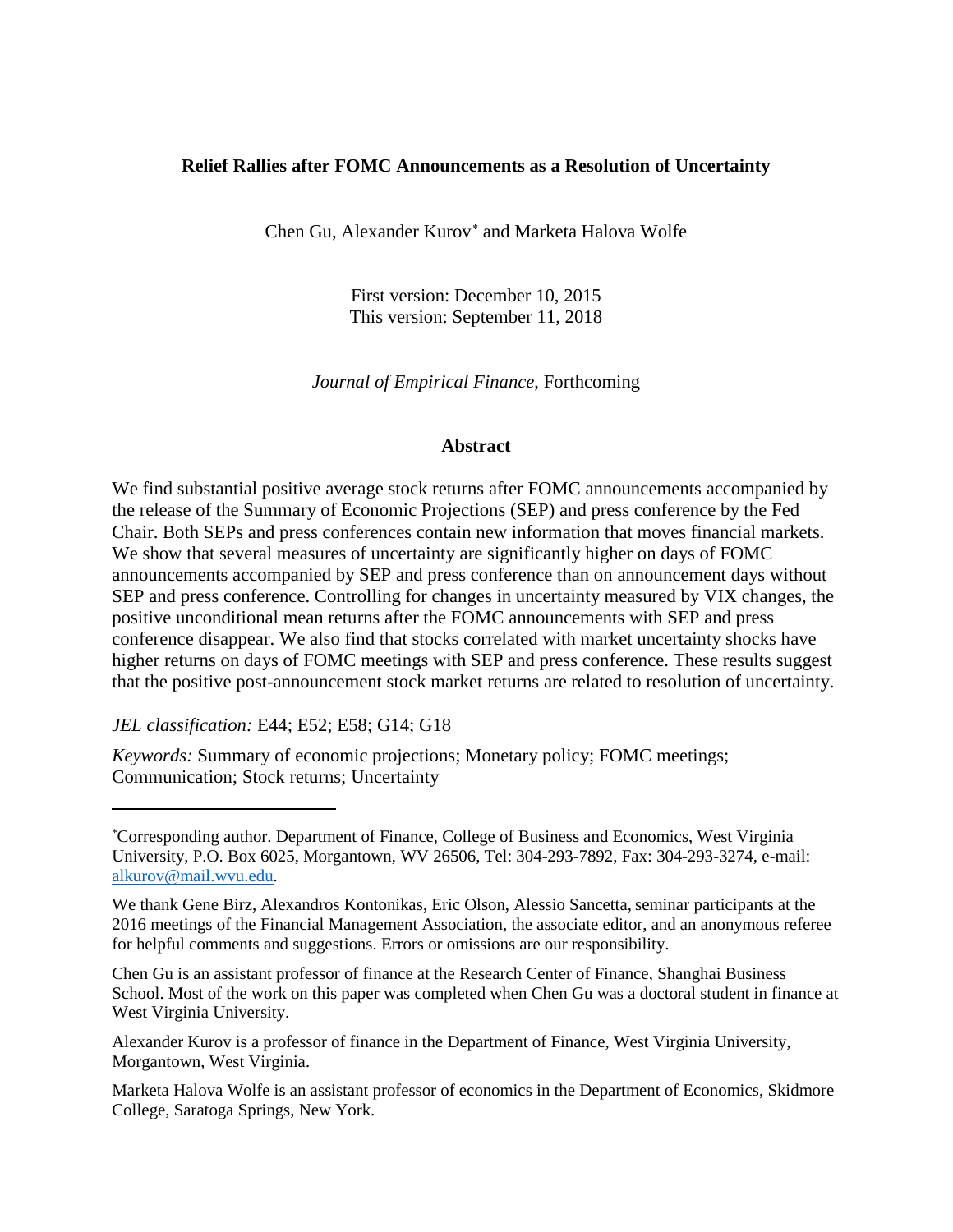# **Relief Rallies after FOMC Announcements as a Resolution of Uncertainty**

Chen Gu, Alexander Kurov[∗](#page-0-0) and Marketa Halova Wolfe

First version: December 10, 2015 This version: September 11, 2018

*Journal of Empirical Finance*, Forthcoming

### **Abstract**

We find substantial positive average stock returns after FOMC announcements accompanied by the release of the Summary of Economic Projections (SEP) and press conference by the Fed Chair. Both SEPs and press conferences contain new information that moves financial markets. We show that several measures of uncertainty are significantly higher on days of FOMC announcements accompanied by SEP and press conference than on announcement days without SEP and press conference. Controlling for changes in uncertainty measured by VIX changes, the positive unconditional mean returns after the FOMC announcements with SEP and press conference disappear. We also find that stocks correlated with market uncertainty shocks have higher returns on days of FOMC meetings with SEP and press conference. These results suggest that the positive post-announcement stock market returns are related to resolution of uncertainty.

*JEL classification:* E44; E52; E58; G14; G18

l

*Keywords:* Summary of economic projections; Monetary policy; FOMC meetings; Communication; Stock returns; Uncertainty

Chen Gu is an assistant professor of finance at the Research Center of Finance, Shanghai Business School. Most of the work on this paper was completed when Chen Gu was a doctoral student in finance at West Virginia University.

Alexander Kurov is a professor of finance in the Department of Finance, West Virginia University, Morgantown, West Virginia.

Marketa Halova Wolfe is an assistant professor of economics in the Department of Economics, Skidmore College, Saratoga Springs, New York.

<span id="page-0-0"></span><sup>\*</sup> Corresponding author. Department of Finance, College of Business and Economics, West Virginia University, P.O. Box 6025, Morgantown, WV 26506, Tel: 304-293-7892, Fax: 304-293-3274, e-mail: [alkurov@mail.wvu.edu.](mailto:alkurov@mail.wvu.edu)

We thank Gene Birz, Alexandros Kontonikas, Eric Olson, Alessio Sancetta, seminar participants at the 2016 meetings of the Financial Management Association, the associate editor, and an anonymous referee for helpful comments and suggestions. Errors or omissions are our responsibility.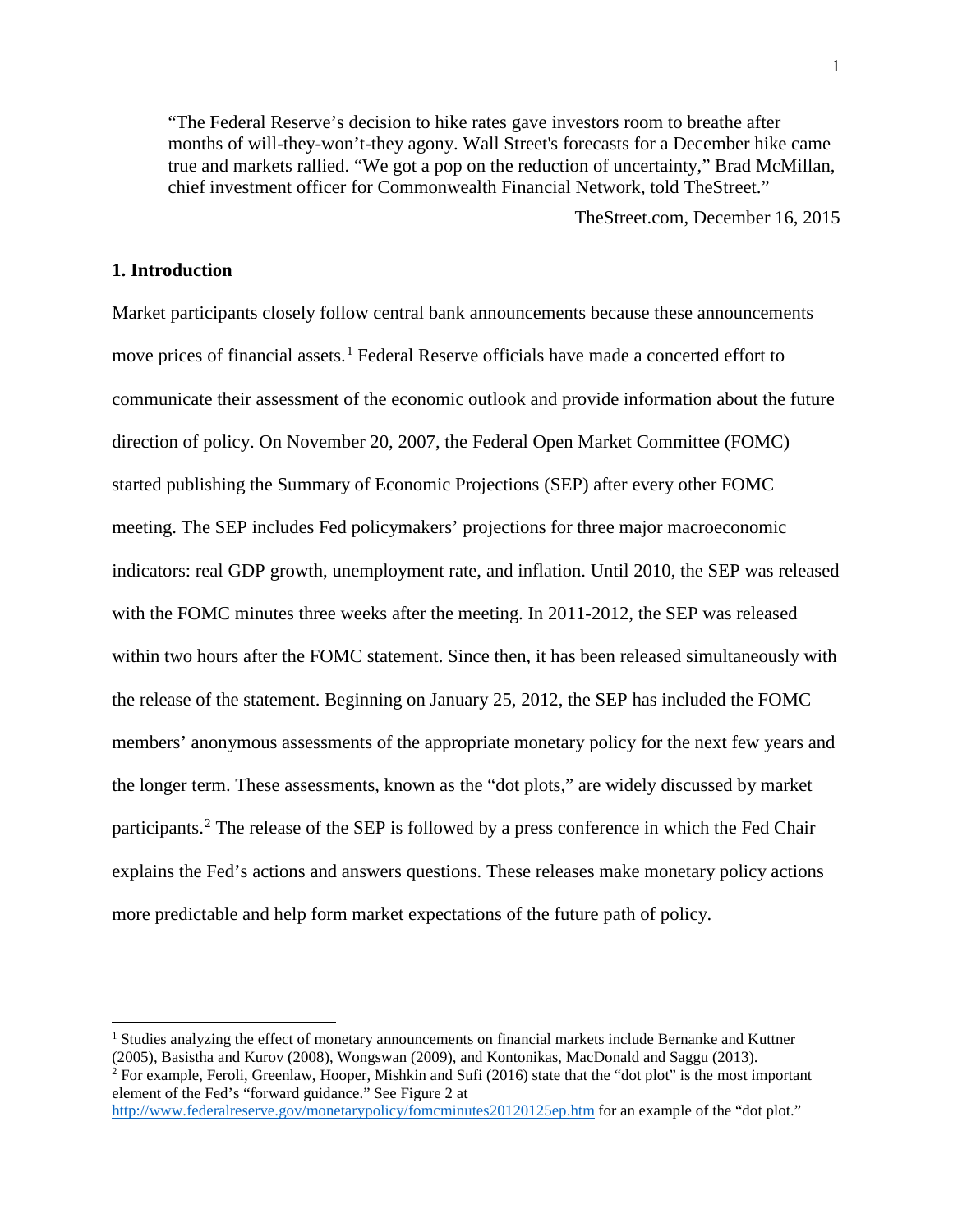"The Federal Reserve's decision to hike rates gave investors room to breathe after months of will-they-won't-they agony. Wall Street's forecasts for a December hike came true and markets rallied. "We got a pop on the reduction of uncertainty," Brad McMillan, chief investment officer for Commonwealth Financial Network, told TheStreet."

TheStreet.com, December 16, 2015

## **1. Introduction**

l

Market participants closely follow central bank announcements because these announcements move prices of financial assets. [1](#page-1-0) Federal Reserve officials have made a concerted effort to communicate their assessment of the economic outlook and provide information about the future direction of policy. On November 20, 2007, the Federal Open Market Committee (FOMC) started publishing the Summary of Economic Projections (SEP) after every other FOMC meeting. The SEP includes Fed policymakers' projections for three major macroeconomic indicators: real GDP growth, unemployment rate, and inflation. Until 2010, the SEP was released with the FOMC minutes three weeks after the meeting. In 2011-2012, the SEP was released within two hours after the FOMC statement. Since then, it has been released simultaneously with the release of the statement. Beginning on January 25, 2012, the SEP has included the FOMC members' anonymous assessments of the appropriate monetary policy for the next few years and the longer term. These assessments, known as the "dot plots," are widely discussed by market participants.[2](#page-1-1) The release of the SEP is followed by a press conference in which the Fed Chair explains the Fed's actions and answers questions. These releases make monetary policy actions more predictable and help form market expectations of the future path of policy.

<span id="page-1-0"></span><sup>&</sup>lt;sup>1</sup> Studies analyzing the effect of monetary announcements on financial markets include Bernanke and Kuttner (2005), Basistha and Kurov (2008), Wongswan (2009), and Kontonikas, MacDonald and Saggu (2013).

<span id="page-1-1"></span><sup>&</sup>lt;sup>2</sup> For example, Feroli, Greenlaw, Hooper, Mishkin and Sufi (2016) state that the "dot plot" is the most important element of the Fed's "forward guidance." See Figure 2 at

<http://www.federalreserve.gov/monetarypolicy/fomcminutes20120125ep.htm> for an example of the "dot plot."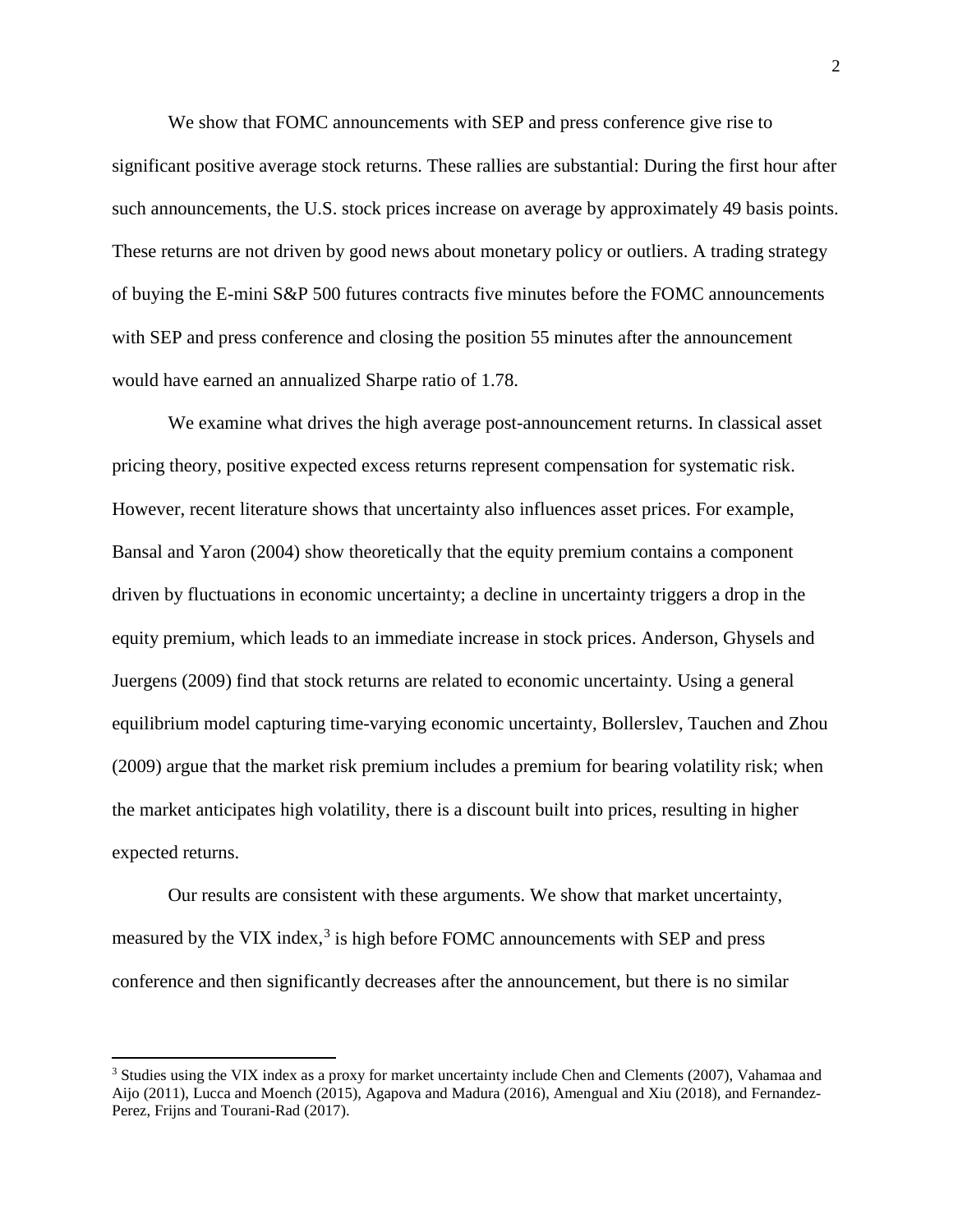We show that FOMC announcements with SEP and press conference give rise to significant positive average stock returns. These rallies are substantial: During the first hour after such announcements, the U.S. stock prices increase on average by approximately 49 basis points. These returns are not driven by good news about monetary policy or outliers. A trading strategy of buying the E-mini S&P 500 futures contracts five minutes before the FOMC announcements with SEP and press conference and closing the position 55 minutes after the announcement would have earned an annualized Sharpe ratio of 1.78.

We examine what drives the high average post-announcement returns. In classical asset pricing theory, positive expected excess returns represent compensation for systematic risk. However, recent literature shows that uncertainty also influences asset prices. For example, Bansal and Yaron (2004) show theoretically that the equity premium contains a component driven by fluctuations in economic uncertainty; a decline in uncertainty triggers a drop in the equity premium, which leads to an immediate increase in stock prices. Anderson, Ghysels and Juergens (2009) find that stock returns are related to economic uncertainty. Using a general equilibrium model capturing time-varying economic uncertainty, Bollerslev, Tauchen and Zhou (2009) argue that the market risk premium includes a premium for bearing volatility risk; when the market anticipates high volatility, there is a discount built into prices, resulting in higher expected returns.

Our results are consistent with these arguments. We show that market uncertainty, measured by the VIX index,<sup>[3](#page-2-0)</sup> is high before FOMC announcements with SEP and press conference and then significantly decreases after the announcement, but there is no similar

 $\overline{\phantom{a}}$ 

<span id="page-2-0"></span><sup>&</sup>lt;sup>3</sup> Studies using the VIX index as a proxy for market uncertainty include Chen and Clements (2007), Vahamaa and Aijo (2011), Lucca and Moench (2015), Agapova and Madura (2016), Amengual and Xiu (2018), and Fernandez-Perez, Frijns and Tourani-Rad (2017).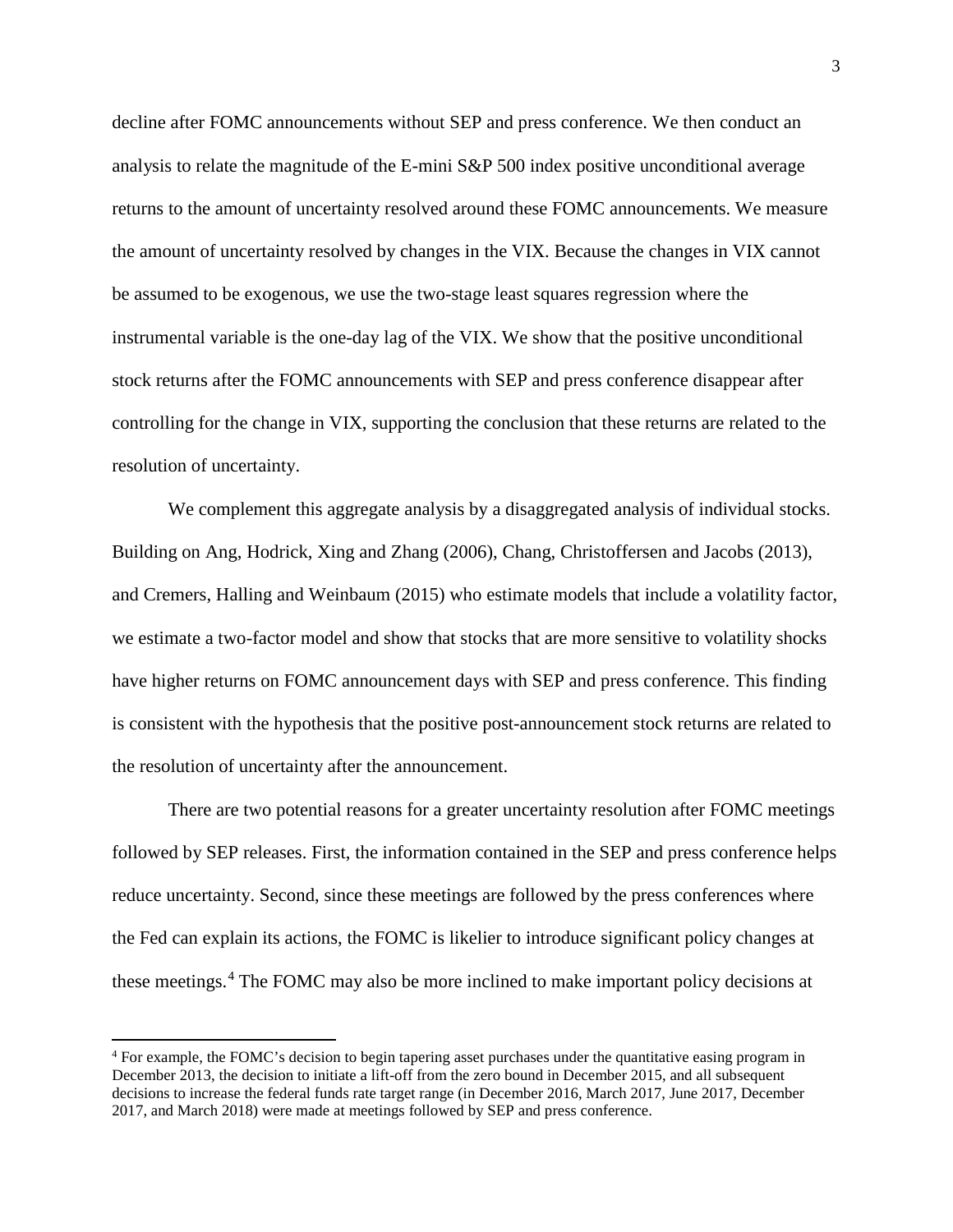decline after FOMC announcements without SEP and press conference. We then conduct an analysis to relate the magnitude of the E-mini S&P 500 index positive unconditional average returns to the amount of uncertainty resolved around these FOMC announcements. We measure the amount of uncertainty resolved by changes in the VIX. Because the changes in VIX cannot be assumed to be exogenous, we use the two-stage least squares regression where the instrumental variable is the one-day lag of the VIX. We show that the positive unconditional stock returns after the FOMC announcements with SEP and press conference disappear after controlling for the change in VIX, supporting the conclusion that these returns are related to the resolution of uncertainty.

We complement this aggregate analysis by a disaggregated analysis of individual stocks. Building on Ang, Hodrick, Xing and Zhang (2006), Chang, Christoffersen and Jacobs (2013), and Cremers, Halling and Weinbaum (2015) who estimate models that include a volatility factor, we estimate a two-factor model and show that stocks that are more sensitive to volatility shocks have higher returns on FOMC announcement days with SEP and press conference. This finding is consistent with the hypothesis that the positive post-announcement stock returns are related to the resolution of uncertainty after the announcement.

There are two potential reasons for a greater uncertainty resolution after FOMC meetings followed by SEP releases. First, the information contained in the SEP and press conference helps reduce uncertainty. Second, since these meetings are followed by the press conferences where the Fed can explain its actions, the FOMC is likelier to introduce significant policy changes at these meetings.[4](#page-3-0) The FOMC may also be more inclined to make important policy decisions at

 $\overline{a}$ 

<span id="page-3-0"></span><sup>4</sup> For example, the FOMC's decision to begin tapering asset purchases under the quantitative easing program in December 2013, the decision to initiate a lift-off from the zero bound in December 2015, and all subsequent decisions to increase the federal funds rate target range (in December 2016, March 2017, June 2017, December 2017, and March 2018) were made at meetings followed by SEP and press conference.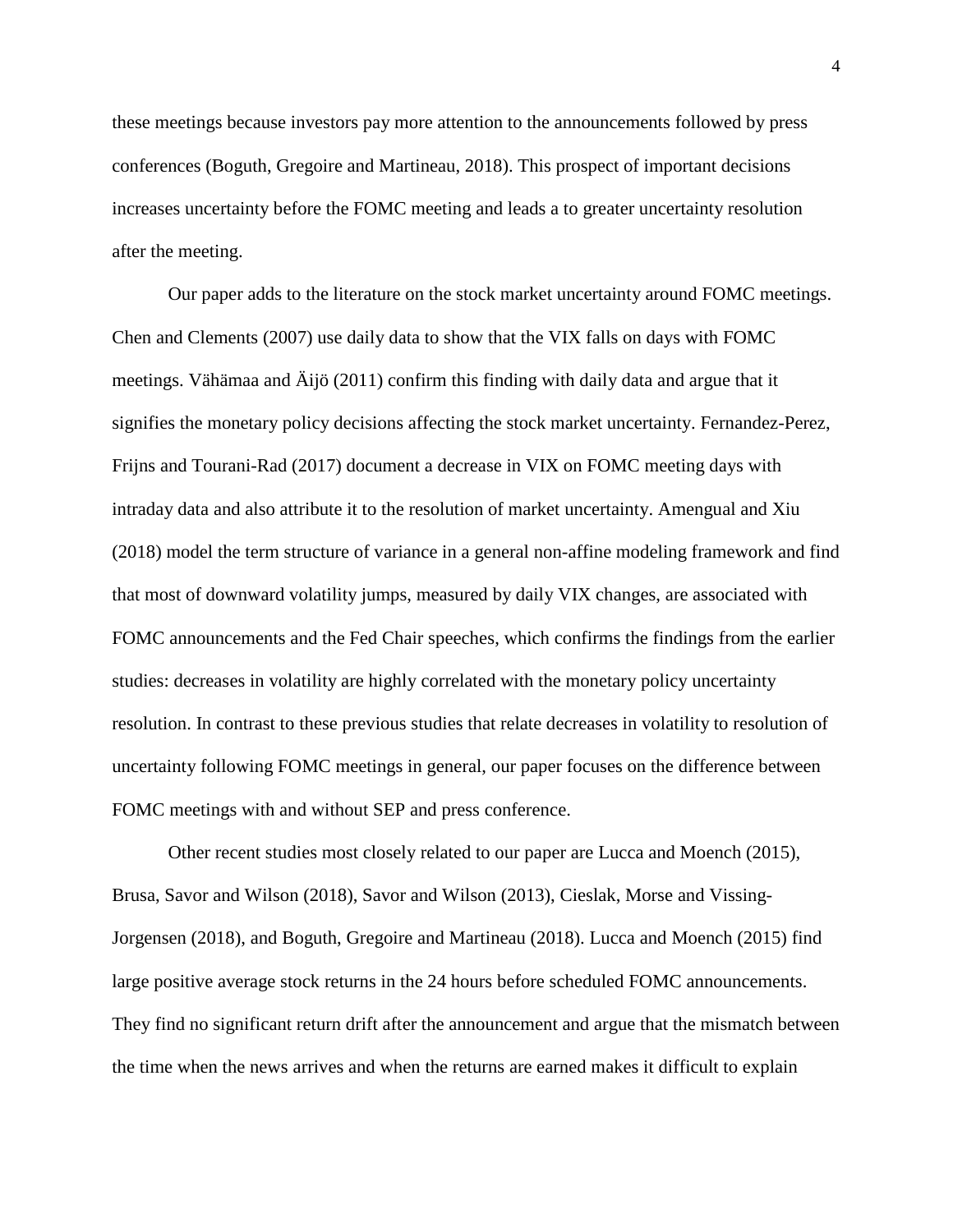these meetings because investors pay more attention to the announcements followed by press conferences (Boguth, Gregoire and Martineau, 2018). This prospect of important decisions increases uncertainty before the FOMC meeting and leads a to greater uncertainty resolution after the meeting.

Our paper adds to the literature on the stock market uncertainty around FOMC meetings. Chen and Clements (2007) use daily data to show that the VIX falls on days with FOMC meetings. Vähämaa and Äijö (2011) confirm this finding with daily data and argue that it signifies the monetary policy decisions affecting the stock market uncertainty. Fernandez-Perez, Frijns and Tourani-Rad (2017) document a decrease in VIX on FOMC meeting days with intraday data and also attribute it to the resolution of market uncertainty. Amengual and Xiu (2018) model the term structure of variance in a general non-affine modeling framework and find that most of downward volatility jumps, measured by daily VIX changes, are associated with FOMC announcements and the Fed Chair speeches, which confirms the findings from the earlier studies: decreases in volatility are highly correlated with the monetary policy uncertainty resolution. In contrast to these previous studies that relate decreases in volatility to resolution of uncertainty following FOMC meetings in general, our paper focuses on the difference between FOMC meetings with and without SEP and press conference.

Other recent studies most closely related to our paper are Lucca and Moench (2015), Brusa, Savor and Wilson (2018), Savor and Wilson (2013), Cieslak, Morse and Vissing-Jorgensen (2018), and Boguth, Gregoire and Martineau (2018). Lucca and Moench (2015) find large positive average stock returns in the 24 hours before scheduled FOMC announcements. They find no significant return drift after the announcement and argue that the mismatch between the time when the news arrives and when the returns are earned makes it difficult to explain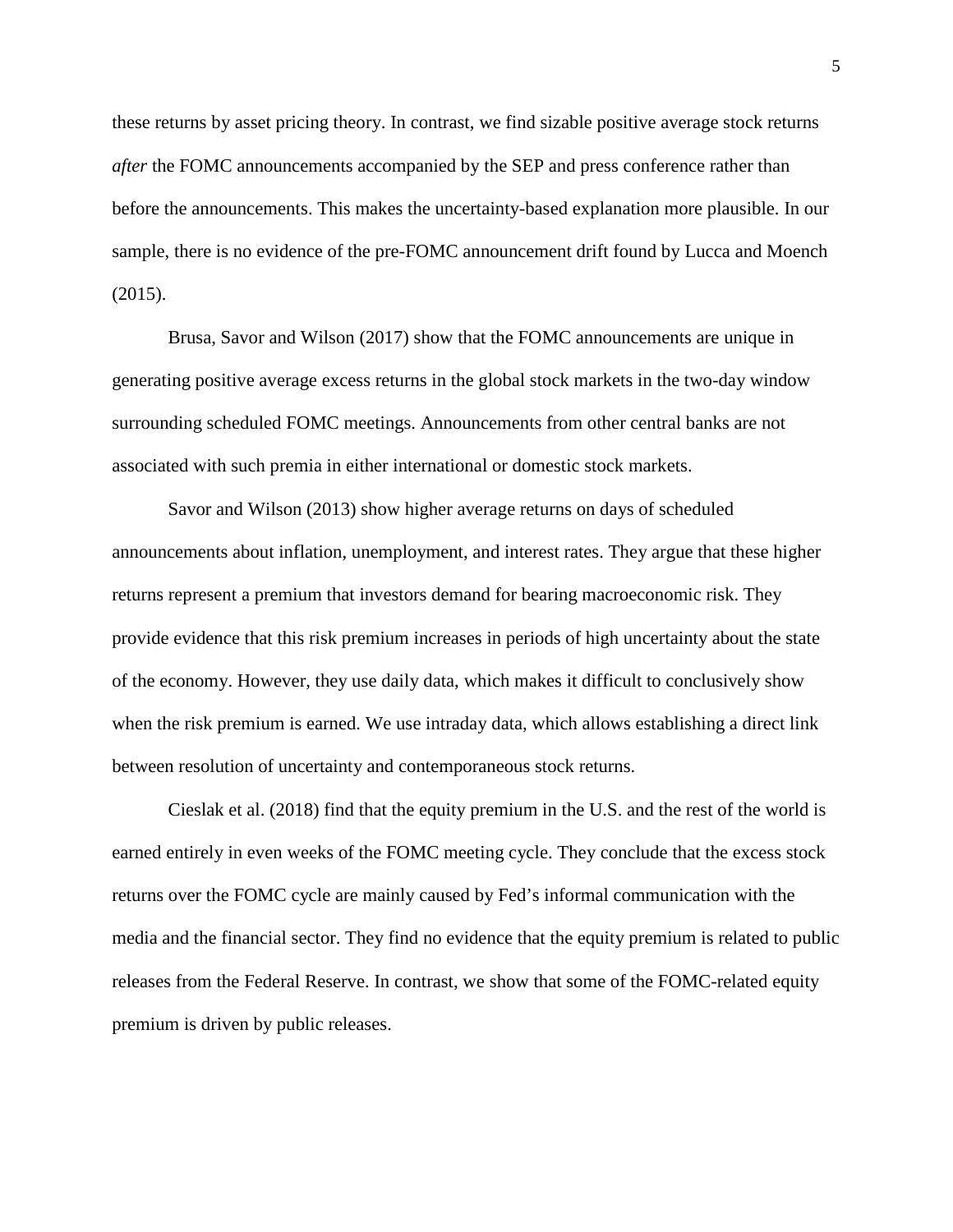these returns by asset pricing theory. In contrast, we find sizable positive average stock returns *after* the FOMC announcements accompanied by the SEP and press conference rather than before the announcements. This makes the uncertainty-based explanation more plausible. In our sample, there is no evidence of the pre-FOMC announcement drift found by Lucca and Moench (2015).

Brusa, Savor and Wilson (2017) show that the FOMC announcements are unique in generating positive average excess returns in the global stock markets in the two-day window surrounding scheduled FOMC meetings. Announcements from other central banks are not associated with such premia in either international or domestic stock markets.

Savor and Wilson (2013) show higher average returns on days of scheduled announcements about inflation, unemployment, and interest rates. They argue that these higher returns represent a premium that investors demand for bearing macroeconomic risk. They provide evidence that this risk premium increases in periods of high uncertainty about the state of the economy. However, they use daily data, which makes it difficult to conclusively show when the risk premium is earned. We use intraday data, which allows establishing a direct link between resolution of uncertainty and contemporaneous stock returns.

Cieslak et al. (2018) find that the equity premium in the U.S. and the rest of the world is earned entirely in even weeks of the FOMC meeting cycle. They conclude that the excess stock returns over the FOMC cycle are mainly caused by Fed's informal communication with the media and the financial sector. They find no evidence that the equity premium is related to public releases from the Federal Reserve. In contrast, we show that some of the FOMC-related equity premium is driven by public releases.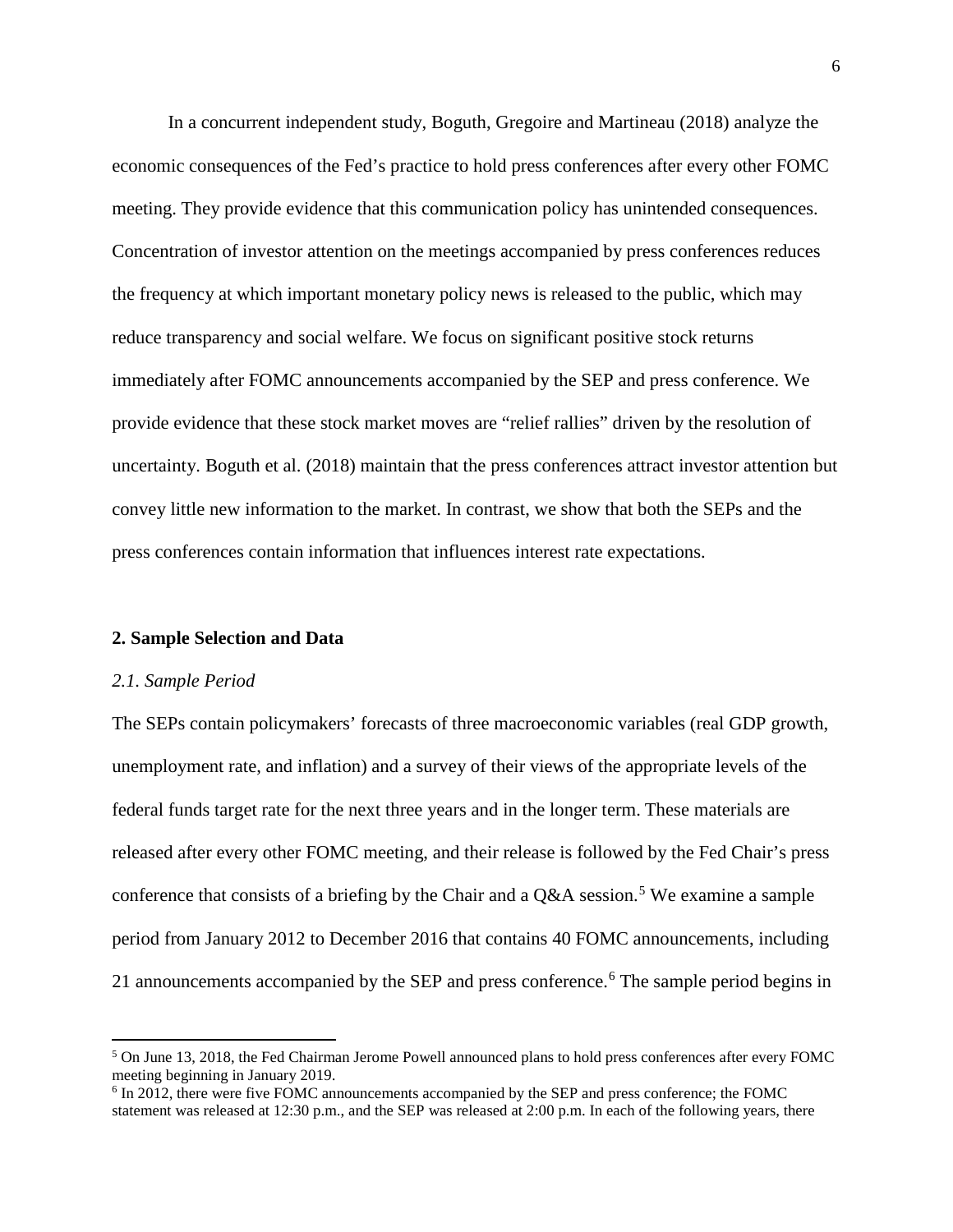In a concurrent independent study, Boguth, Gregoire and Martineau (2018) analyze the economic consequences of the Fed's practice to hold press conferences after every other FOMC meeting. They provide evidence that this communication policy has unintended consequences. Concentration of investor attention on the meetings accompanied by press conferences reduces the frequency at which important monetary policy news is released to the public, which may reduce transparency and social welfare. We focus on significant positive stock returns immediately after FOMC announcements accompanied by the SEP and press conference. We provide evidence that these stock market moves are "relief rallies" driven by the resolution of uncertainty. Boguth et al. (2018) maintain that the press conferences attract investor attention but convey little new information to the market. In contrast, we show that both the SEPs and the press conferences contain information that influences interest rate expectations.

#### **2. Sample Selection and Data**

#### *2.1. Sample Period*

 $\overline{a}$ 

The SEPs contain policymakers' forecasts of three macroeconomic variables (real GDP growth, unemployment rate, and inflation) and a survey of their views of the appropriate levels of the federal funds target rate for the next three years and in the longer term. These materials are released after every other FOMC meeting, and their release is followed by the Fed Chair's press conference that consists of a briefing by the Chair and a  $Q&A$  session.<sup>[5](#page-6-0)</sup> We examine a sample period from January 2012 to December 2016 that contains 40 FOMC announcements, including 21 announcements accompanied by the SEP and press conference.<sup>[6](#page-6-1)</sup> The sample period begins in

<span id="page-6-0"></span><sup>5</sup> On June 13, 2018, the Fed Chairman Jerome Powell announced plans to hold press conferences after every FOMC meeting beginning in January 2019.

<span id="page-6-1"></span><sup>6</sup> In 2012, there were five FOMC announcements accompanied by the SEP and press conference; the FOMC statement was released at 12:30 p.m., and the SEP was released at 2:00 p.m. In each of the following years, there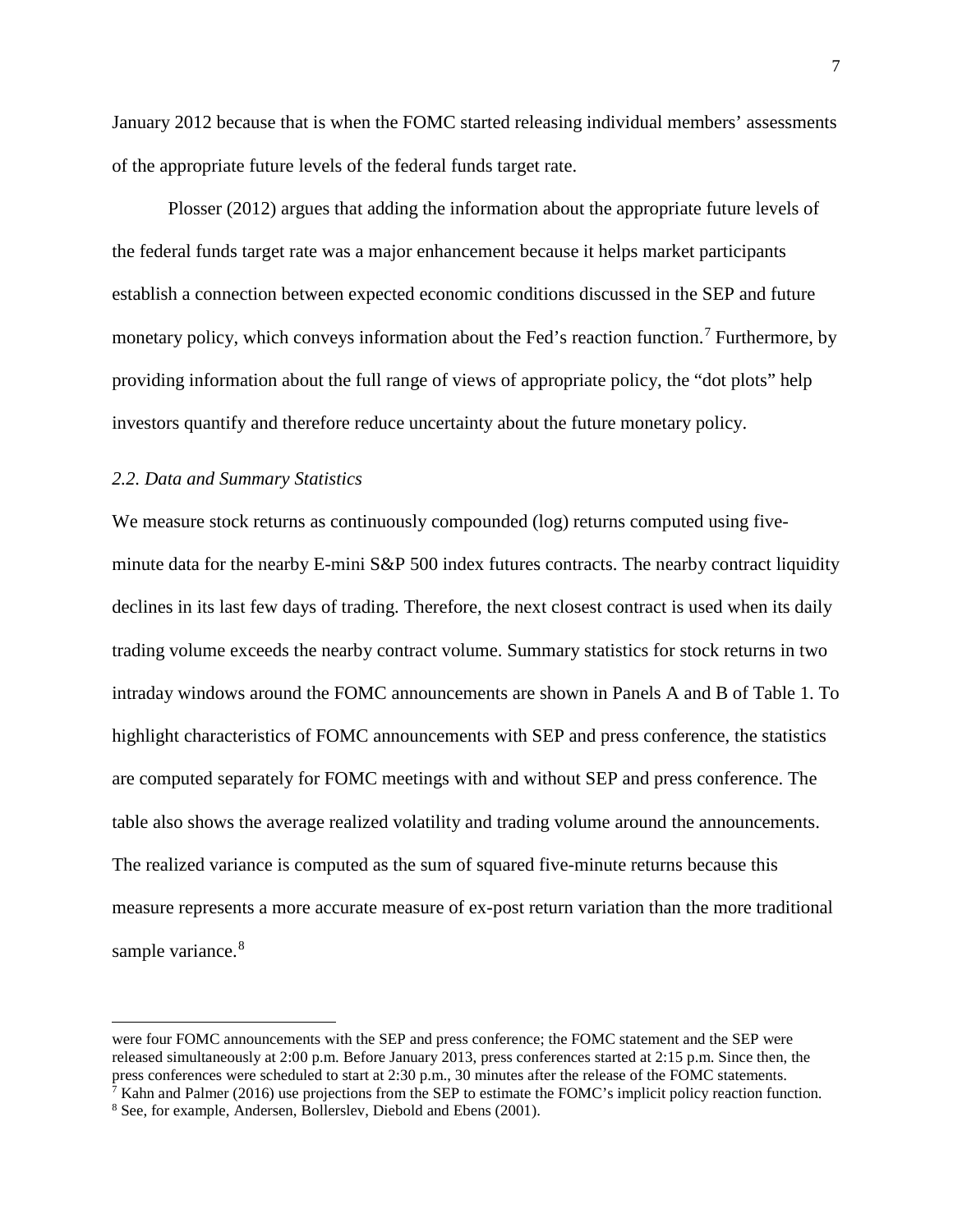January 2012 because that is when the FOMC started releasing individual members' assessments of the appropriate future levels of the federal funds target rate.

Plosser (2012) argues that adding the information about the appropriate future levels of the federal funds target rate was a major enhancement because it helps market participants establish a connection between expected economic conditions discussed in the SEP and future monetary policy, which conveys information about the Fed's reaction function.<sup>[7](#page-7-0)</sup> Furthermore, by providing information about the full range of views of appropriate policy, the "dot plots" help investors quantify and therefore reduce uncertainty about the future monetary policy.

### *2.2. Data and Summary Statistics*

l

We measure stock returns as continuously compounded (log) returns computed using fiveminute data for the nearby E-mini S&P 500 index futures contracts. The nearby contract liquidity declines in its last few days of trading. Therefore, the next closest contract is used when its daily trading volume exceeds the nearby contract volume. Summary statistics for stock returns in two intraday windows around the FOMC announcements are shown in Panels A and B of Table 1. To highlight characteristics of FOMC announcements with SEP and press conference, the statistics are computed separately for FOMC meetings with and without SEP and press conference. The table also shows the average realized volatility and trading volume around the announcements. The realized variance is computed as the sum of squared five-minute returns because this measure represents a more accurate measure of ex-post return variation than the more traditional sample variance.<sup>[8](#page-7-1)</sup>

were four FOMC announcements with the SEP and press conference; the FOMC statement and the SEP were released simultaneously at 2:00 p.m. Before January 2013, press conferences started at 2:15 p.m. Since then, the press conferences were scheduled to start at 2:30 p.m., 30 minutes after the release of the FOMC statements. <sup>7</sup> Kahn and Palmer (2016) use projections from the SEP to estimate the FOMC's implicit policy reaction function.

<span id="page-7-1"></span><span id="page-7-0"></span><sup>8</sup> See, for example, Andersen, Bollerslev, Diebold and Ebens (2001).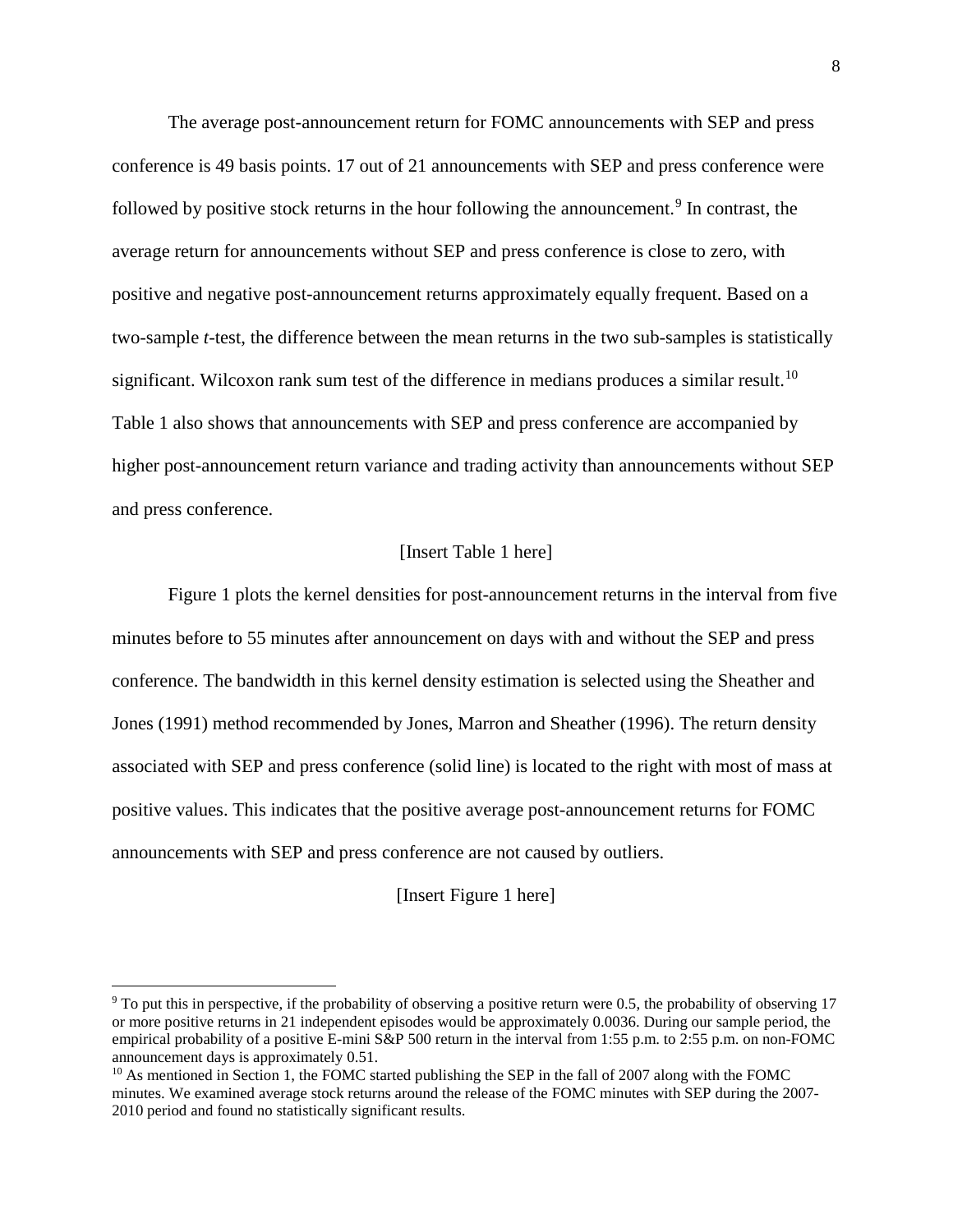The average post-announcement return for FOMC announcements with SEP and press conference is 49 basis points. 17 out of 21 announcements with SEP and press conference were followed by positive stock returns in the hour following the announcement.<sup>[9](#page-8-0)</sup> In contrast, the average return for announcements without SEP and press conference is close to zero, with positive and negative post-announcement returns approximately equally frequent. Based on a two-sample *t*-test, the difference between the mean returns in the two sub-samples is statistically significant. Wilcoxon rank sum test of the difference in medians produces a similar result.<sup>[10](#page-8-1)</sup> Table 1 also shows that announcements with SEP and press conference are accompanied by higher post-announcement return variance and trading activity than announcements without SEP and press conference.

## [Insert Table 1 here]

Figure 1 plots the kernel densities for post-announcement returns in the interval from five minutes before to 55 minutes after announcement on days with and without the SEP and press conference. The bandwidth in this kernel density estimation is selected using the Sheather and Jones (1991) method recommended by Jones, Marron and Sheather (1996). The return density associated with SEP and press conference (solid line) is located to the right with most of mass at positive values. This indicates that the positive average post-announcement returns for FOMC announcements with SEP and press conference are not caused by outliers.

[Insert Figure 1 here]

 $\overline{a}$ 

<span id="page-8-0"></span><sup>&</sup>lt;sup>9</sup> To put this in perspective, if the probability of observing a positive return were 0.5, the probability of observing 17 or more positive returns in 21 independent episodes would be approximately 0.0036. During our sample period, the empirical probability of a positive E-mini S&P 500 return in the interval from 1:55 p.m. to 2:55 p.m. on non-FOMC announcement days is approximately 0.51.

<span id="page-8-1"></span> $10$  As mentioned in Section 1, the FOMC started publishing the SEP in the fall of 2007 along with the FOMC minutes. We examined average stock returns around the release of the FOMC minutes with SEP during the 2007- 2010 period and found no statistically significant results.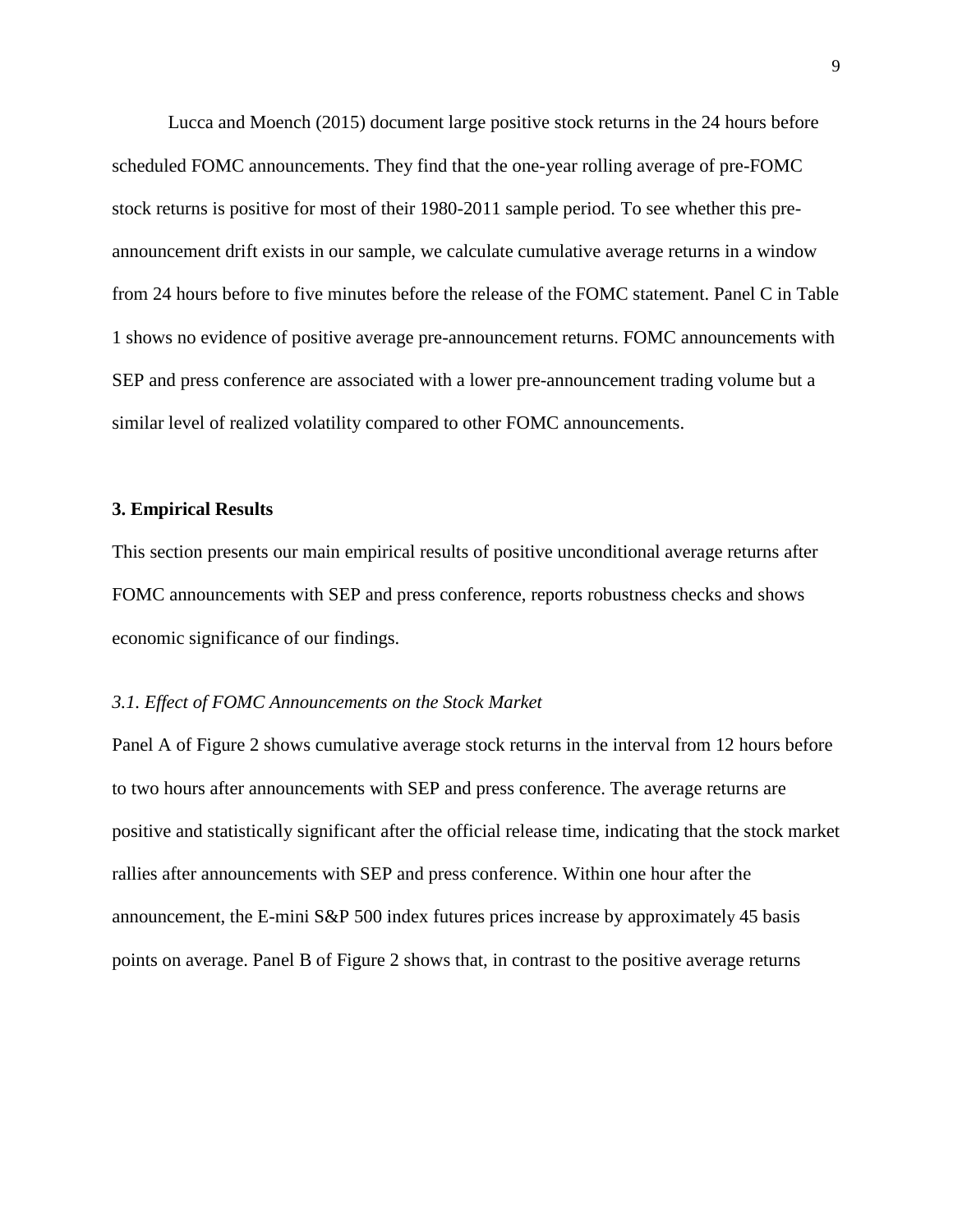Lucca and Moench (2015) document large positive stock returns in the 24 hours before scheduled FOMC announcements. They find that the one-year rolling average of pre-FOMC stock returns is positive for most of their 1980-2011 sample period. To see whether this preannouncement drift exists in our sample, we calculate cumulative average returns in a window from 24 hours before to five minutes before the release of the FOMC statement. Panel C in Table 1 shows no evidence of positive average pre-announcement returns. FOMC announcements with SEP and press conference are associated with a lower pre-announcement trading volume but a similar level of realized volatility compared to other FOMC announcements.

### **3. Empirical Results**

This section presents our main empirical results of positive unconditional average returns after FOMC announcements with SEP and press conference, reports robustness checks and shows economic significance of our findings.

## *3.1. Effect of FOMC Announcements on the Stock Market*

Panel A of Figure 2 shows cumulative average stock returns in the interval from 12 hours before to two hours after announcements with SEP and press conference. The average returns are positive and statistically significant after the official release time, indicating that the stock market rallies after announcements with SEP and press conference. Within one hour after the announcement, the E-mini S&P 500 index futures prices increase by approximately 45 basis points on average. Panel B of Figure 2 shows that, in contrast to the positive average returns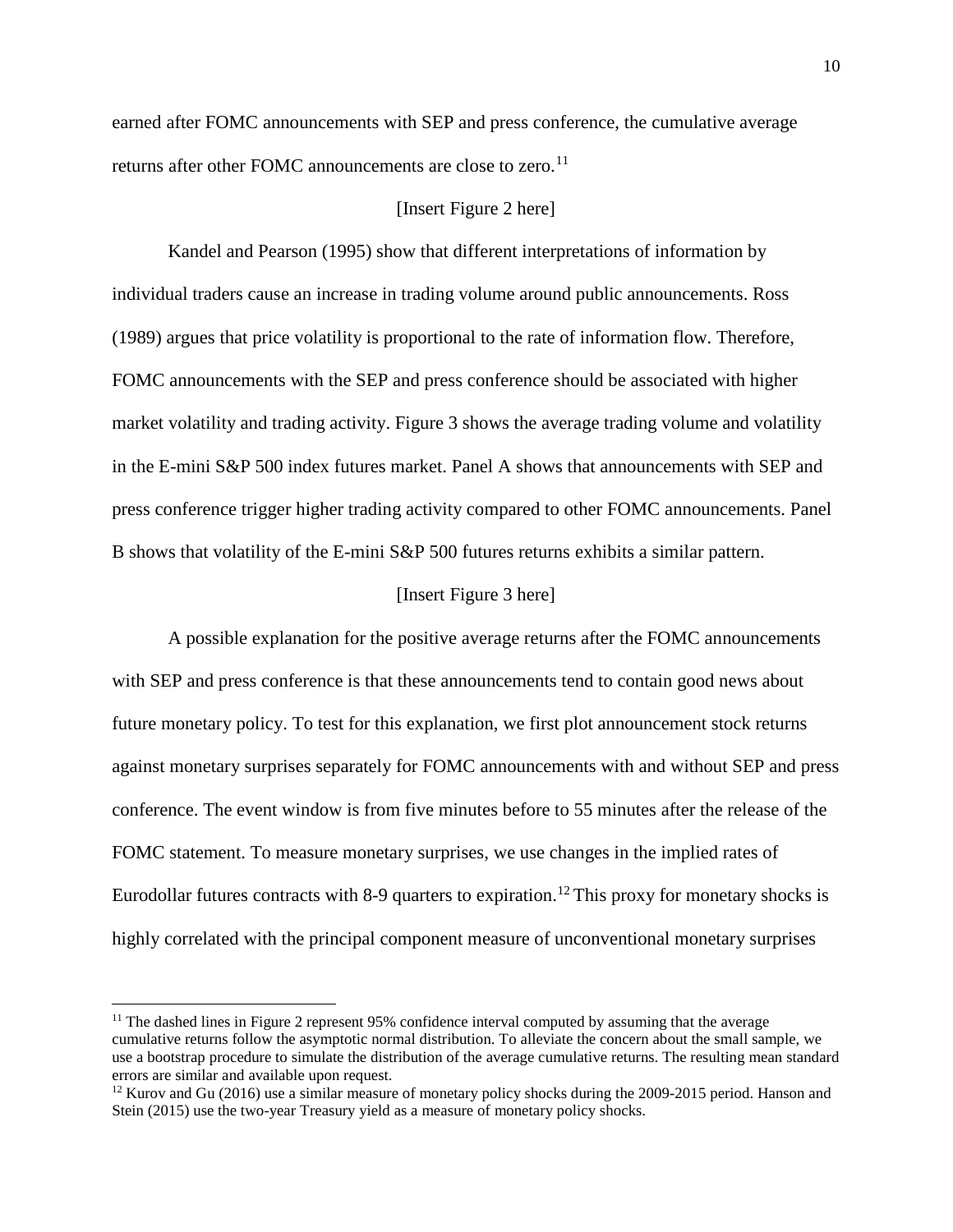earned after FOMC announcements with SEP and press conference, the cumulative average returns after other FOMC announcements are close to zero.<sup>[11](#page-10-0)</sup>

### [Insert Figure 2 here]

Kandel and Pearson (1995) show that different interpretations of information by individual traders cause an increase in trading volume around public announcements. Ross (1989) argues that price volatility is proportional to the rate of information flow. Therefore, FOMC announcements with the SEP and press conference should be associated with higher market volatility and trading activity. Figure 3 shows the average trading volume and volatility in the E-mini S&P 500 index futures market. Panel A shows that announcements with SEP and press conference trigger higher trading activity compared to other FOMC announcements. Panel B shows that volatility of the E-mini S&P 500 futures returns exhibits a similar pattern.

#### [Insert Figure 3 here]

A possible explanation for the positive average returns after the FOMC announcements with SEP and press conference is that these announcements tend to contain good news about future monetary policy. To test for this explanation, we first plot announcement stock returns against monetary surprises separately for FOMC announcements with and without SEP and press conference. The event window is from five minutes before to 55 minutes after the release of the FOMC statement. To measure monetary surprises, we use changes in the implied rates of Eurodollar futures contracts with 8-9 quarters to expiration.<sup>[12](#page-10-1)</sup> This proxy for monetary shocks is highly correlated with the principal component measure of unconventional monetary surprises

 $\overline{\phantom{a}}$ 

<span id="page-10-0"></span><sup>&</sup>lt;sup>11</sup> The dashed lines in Figure 2 represent 95% confidence interval computed by assuming that the average cumulative returns follow the asymptotic normal distribution. To alleviate the concern about the small sample, we use a bootstrap procedure to simulate the distribution of the average cumulative returns. The resulting mean standard errors are similar and available upon request.

<span id="page-10-1"></span> $12$  Kurov and Gu (2016) use a similar measure of monetary policy shocks during the 2009-2015 period. Hanson and Stein (2015) use the two-year Treasury yield as a measure of monetary policy shocks.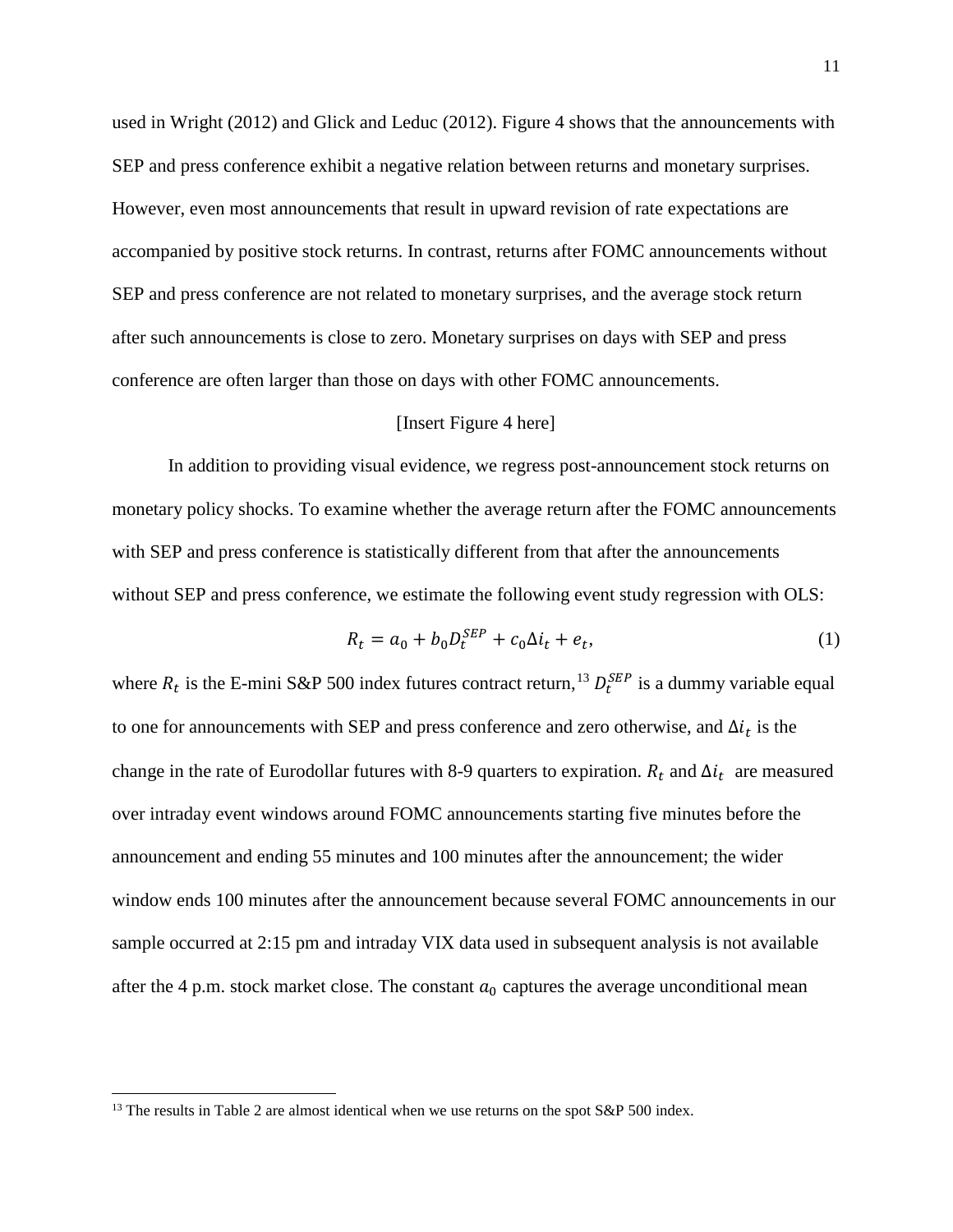used in Wright (2012) and Glick and Leduc (2012). Figure 4 shows that the announcements with SEP and press conference exhibit a negative relation between returns and monetary surprises. However, even most announcements that result in upward revision of rate expectations are accompanied by positive stock returns. In contrast, returns after FOMC announcements without SEP and press conference are not related to monetary surprises, and the average stock return after such announcements is close to zero. Monetary surprises on days with SEP and press conference are often larger than those on days with other FOMC announcements.

#### [Insert Figure 4 here]

In addition to providing visual evidence, we regress post-announcement stock returns on monetary policy shocks. To examine whether the average return after the FOMC announcements with SEP and press conference is statistically different from that after the announcements without SEP and press conference, we estimate the following event study regression with OLS:

$$
R_t = a_0 + b_0 D_t^{SEP} + c_0 \Delta i_t + e_t,
$$
\n(1)

where  $R_t$  is the E-mini S&P 500 index futures contract return,<sup>[13](#page-11-0)</sup>  $D_t^{SEP}$  is a dummy variable equal to one for announcements with SEP and press conference and zero otherwise, and  $\Delta i_t$  is the change in the rate of Eurodollar futures with 8-9 quarters to expiration.  $R_t$  and  $\Delta i_t$  are measured over intraday event windows around FOMC announcements starting five minutes before the announcement and ending 55 minutes and 100 minutes after the announcement; the wider window ends 100 minutes after the announcement because several FOMC announcements in our sample occurred at 2:15 pm and intraday VIX data used in subsequent analysis is not available after the 4 p.m. stock market close. The constant  $a_0$  captures the average unconditional mean

 $\overline{a}$ 

<span id="page-11-0"></span> $13$  The results in Table 2 are almost identical when we use returns on the spot S&P 500 index.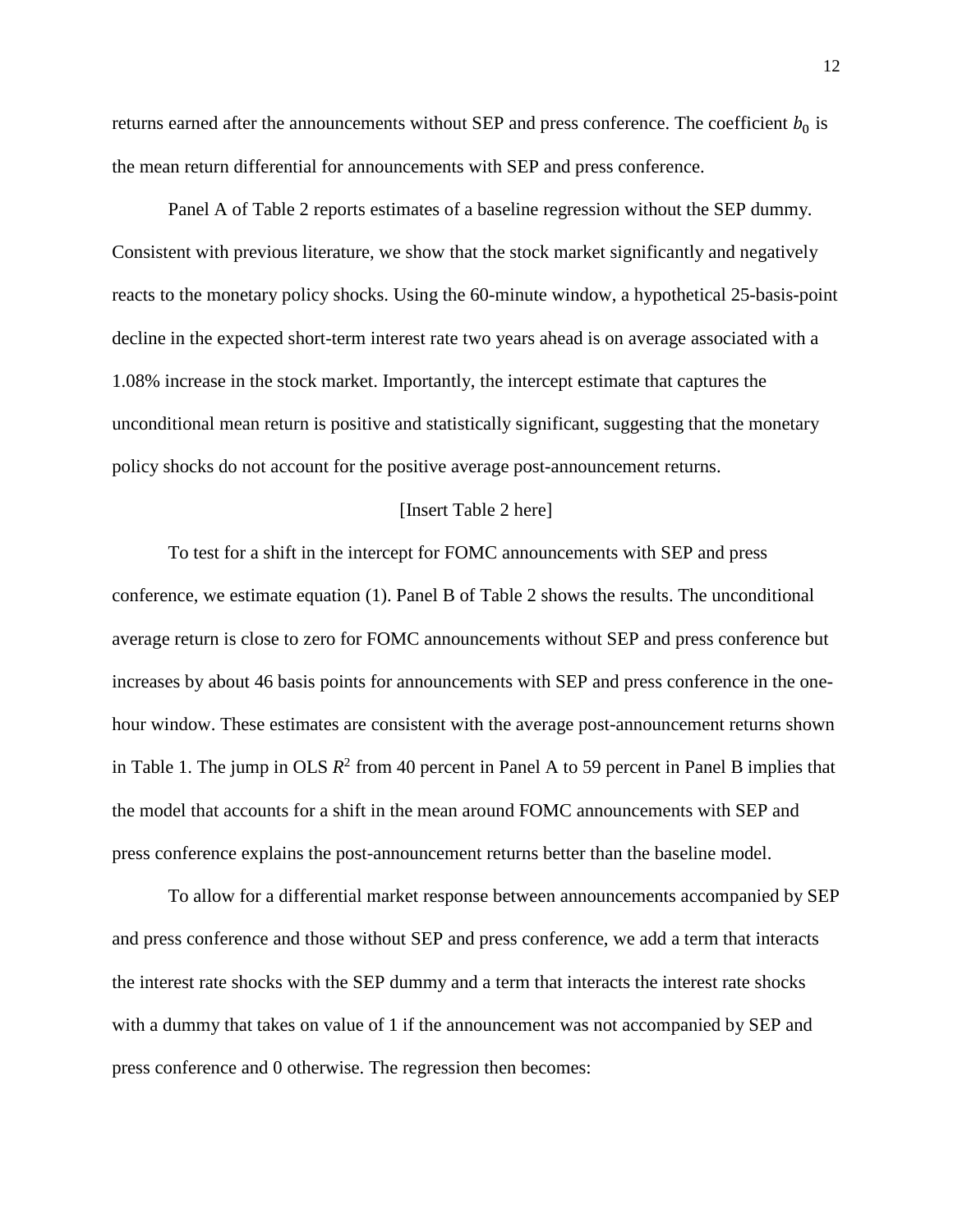returns earned after the announcements without SEP and press conference. The coefficient  $b_0$  is the mean return differential for announcements with SEP and press conference.

Panel A of Table 2 reports estimates of a baseline regression without the SEP dummy. Consistent with previous literature, we show that the stock market significantly and negatively reacts to the monetary policy shocks. Using the 60-minute window, a hypothetical 25-basis-point decline in the expected short-term interest rate two years ahead is on average associated with a 1.08% increase in the stock market. Importantly, the intercept estimate that captures the unconditional mean return is positive and statistically significant, suggesting that the monetary policy shocks do not account for the positive average post-announcement returns.

#### [Insert Table 2 here]

To test for a shift in the intercept for FOMC announcements with SEP and press conference, we estimate equation (1). Panel B of Table 2 shows the results. The unconditional average return is close to zero for FOMC announcements without SEP and press conference but increases by about 46 basis points for announcements with SEP and press conference in the onehour window. These estimates are consistent with the average post-announcement returns shown in Table 1. The jump in OLS  $R^2$  from 40 percent in Panel A to 59 percent in Panel B implies that the model that accounts for a shift in the mean around FOMC announcements with SEP and press conference explains the post-announcement returns better than the baseline model.

To allow for a differential market response between announcements accompanied by SEP and press conference and those without SEP and press conference, we add a term that interacts the interest rate shocks with the SEP dummy and a term that interacts the interest rate shocks with a dummy that takes on value of 1 if the announcement was not accompanied by SEP and press conference and 0 otherwise. The regression then becomes: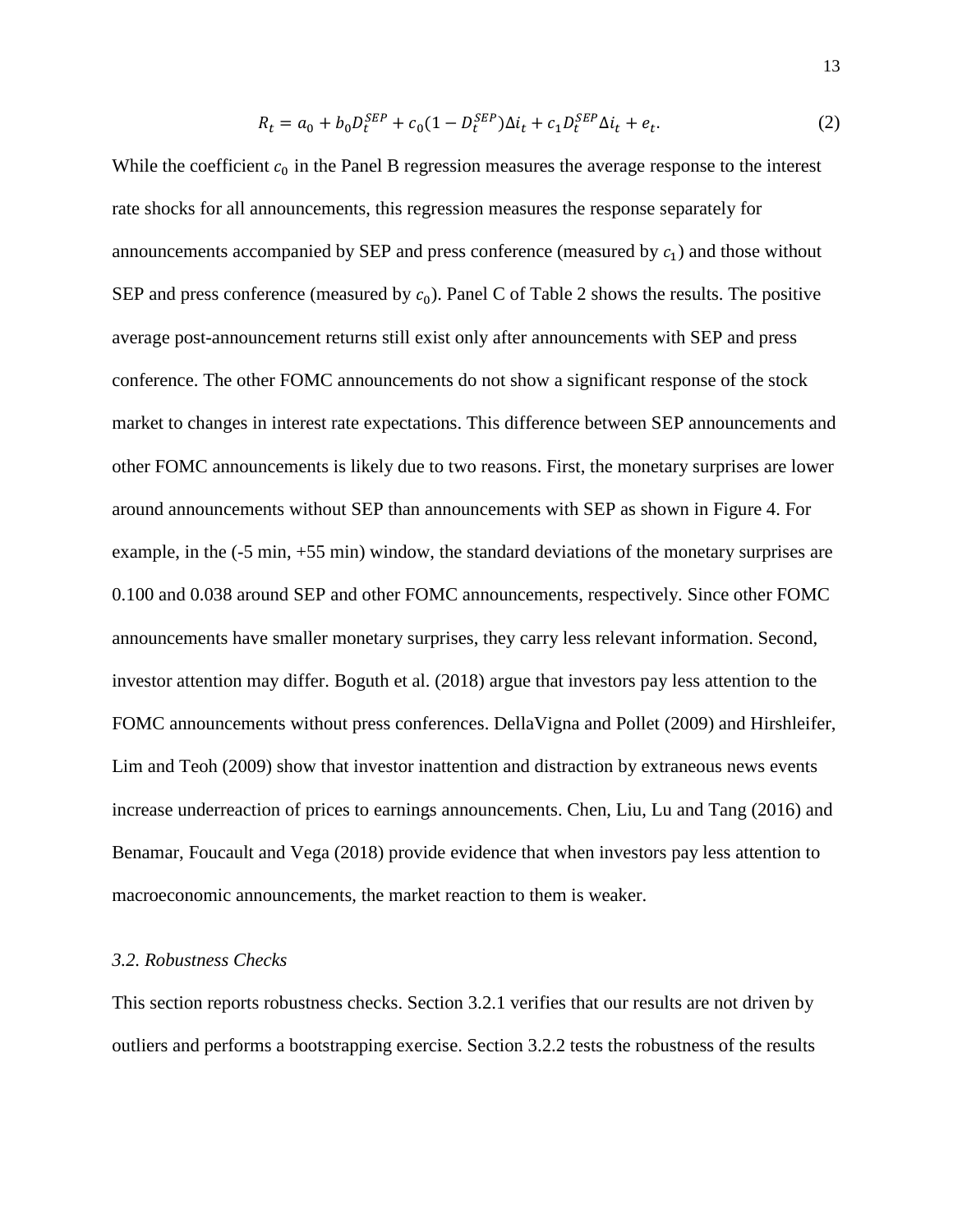$$
R_t = a_0 + b_0 D_t^{SEP} + c_0 (1 - D_t^{SEP}) \Delta i_t + c_1 D_t^{SEP} \Delta i_t + e_t.
$$
 (2)

While the coefficient  $c_0$  in the Panel B regression measures the average response to the interest rate shocks for all announcements, this regression measures the response separately for announcements accompanied by SEP and press conference (measured by  $c_1$ ) and those without SEP and press conference (measured by  $c_0$ ). Panel C of Table 2 shows the results. The positive average post-announcement returns still exist only after announcements with SEP and press conference. The other FOMC announcements do not show a significant response of the stock market to changes in interest rate expectations. This difference between SEP announcements and other FOMC announcements is likely due to two reasons. First, the monetary surprises are lower around announcements without SEP than announcements with SEP as shown in Figure 4. For example, in the (-5 min, +55 min) window, the standard deviations of the monetary surprises are 0.100 and 0.038 around SEP and other FOMC announcements, respectively. Since other FOMC announcements have smaller monetary surprises, they carry less relevant information. Second, investor attention may differ. Boguth et al. (2018) argue that investors pay less attention to the FOMC announcements without press conferences. DellaVigna and Pollet (2009) and Hirshleifer, Lim and Teoh (2009) show that investor inattention and distraction by extraneous news events increase underreaction of prices to earnings announcements. Chen, Liu, Lu and Tang (2016) and Benamar, Foucault and Vega (2018) provide evidence that when investors pay less attention to macroeconomic announcements, the market reaction to them is weaker.

# *3.2. Robustness Checks*

This section reports robustness checks. Section 3.2.1 verifies that our results are not driven by outliers and performs a bootstrapping exercise. Section 3.2.2 tests the robustness of the results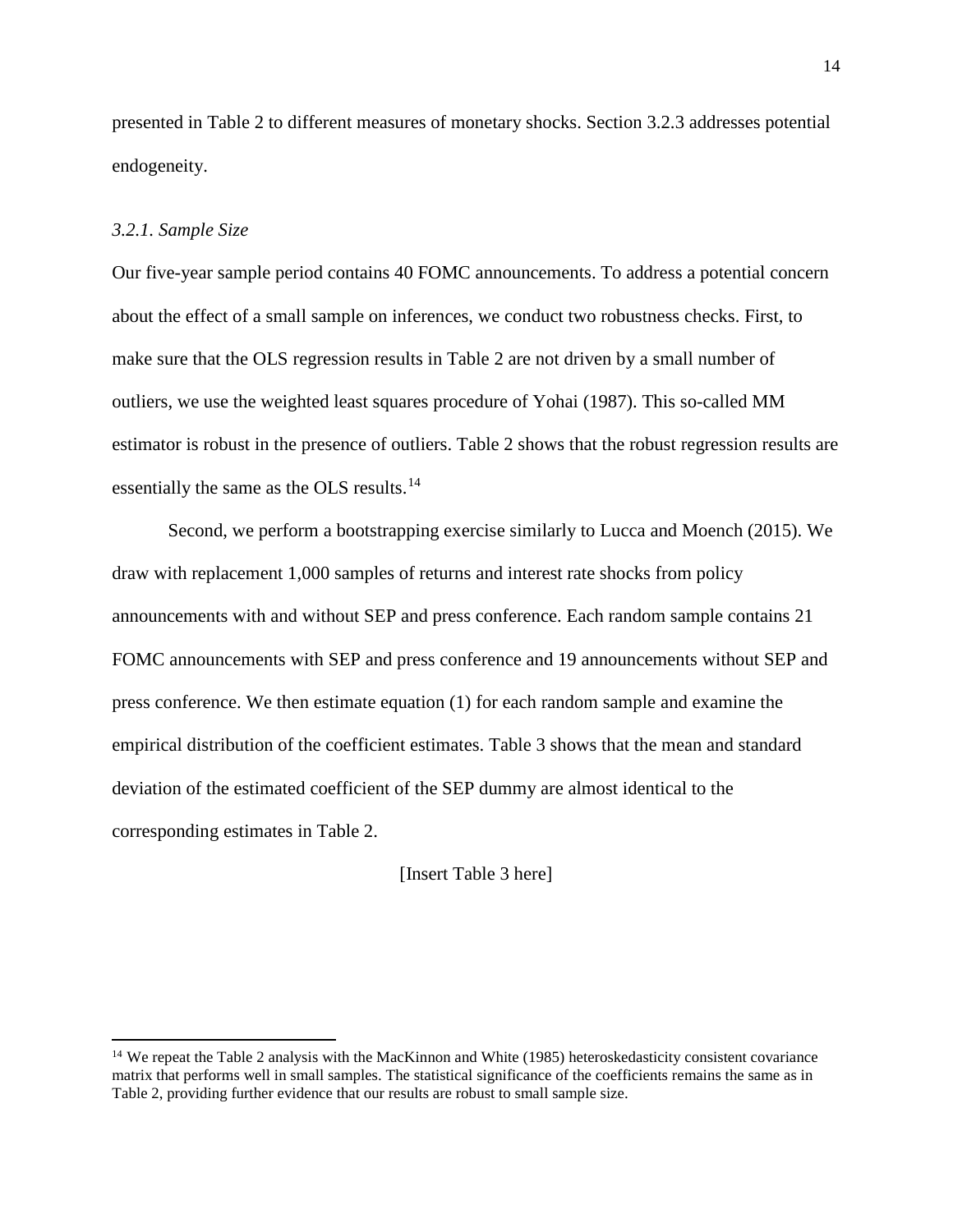presented in Table 2 to different measures of monetary shocks. Section 3.2.3 addresses potential endogeneity.

### *3.2.1. Sample Size*

 $\overline{a}$ 

Our five-year sample period contains 40 FOMC announcements. To address a potential concern about the effect of a small sample on inferences, we conduct two robustness checks. First, to make sure that the OLS regression results in Table 2 are not driven by a small number of outliers, we use the weighted least squares procedure of Yohai (1987). This so-called MM estimator is robust in the presence of outliers. Table 2 shows that the robust regression results are essentially the same as the OLS results.<sup>[14](#page-14-0)</sup>

Second, we perform a bootstrapping exercise similarly to Lucca and Moench (2015). We draw with replacement 1,000 samples of returns and interest rate shocks from policy announcements with and without SEP and press conference. Each random sample contains 21 FOMC announcements with SEP and press conference and 19 announcements without SEP and press conference. We then estimate equation (1) for each random sample and examine the empirical distribution of the coefficient estimates. Table 3 shows that the mean and standard deviation of the estimated coefficient of the SEP dummy are almost identical to the corresponding estimates in Table 2.

[Insert Table 3 here]

<span id="page-14-0"></span><sup>&</sup>lt;sup>14</sup> We repeat the Table 2 analysis with the MacKinnon and White (1985) heteroskedasticity consistent covariance matrix that performs well in small samples. The statistical significance of the coefficients remains the same as in Table 2, providing further evidence that our results are robust to small sample size.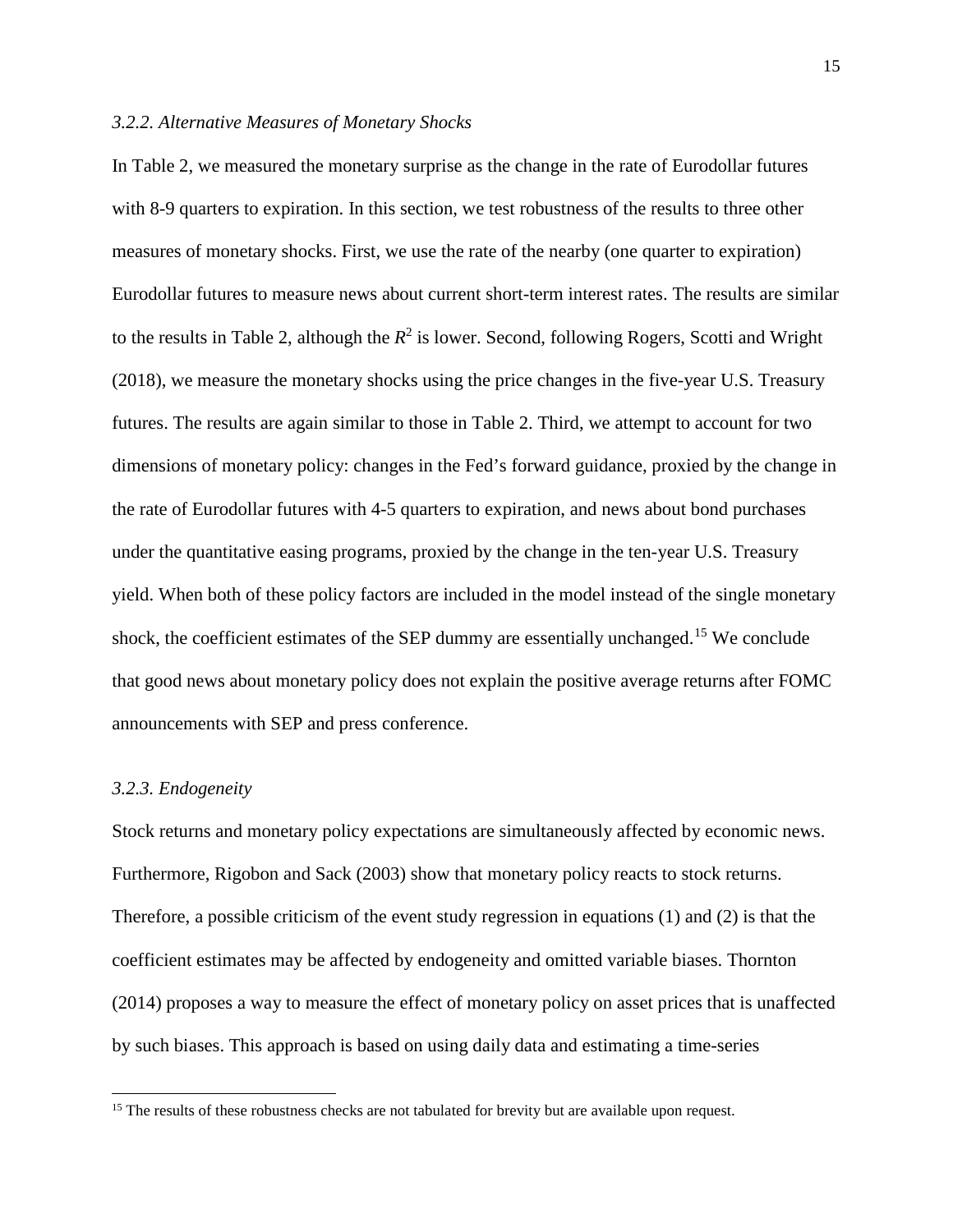#### *3.2.2. Alternative Measures of Monetary Shocks*

In Table 2, we measured the monetary surprise as the change in the rate of Eurodollar futures with 8-9 quarters to expiration. In this section, we test robustness of the results to three other measures of monetary shocks. First, we use the rate of the nearby (one quarter to expiration) Eurodollar futures to measure news about current short-term interest rates. The results are similar to the results in Table 2, although the  $R^2$  is lower. Second, following Rogers, Scotti and Wright (2018), we measure the monetary shocks using the price changes in the five-year U.S. Treasury futures. The results are again similar to those in Table 2. Third, we attempt to account for two dimensions of monetary policy: changes in the Fed's forward guidance, proxied by the change in the rate of Eurodollar futures with 4-5 quarters to expiration, and news about bond purchases under the quantitative easing programs, proxied by the change in the ten-year U.S. Treasury yield. When both of these policy factors are included in the model instead of the single monetary shock, the coefficient estimates of the SEP dummy are essentially unchanged.<sup>[15](#page-15-0)</sup> We conclude that good news about monetary policy does not explain the positive average returns after FOMC announcements with SEP and press conference.

#### *3.2.3. Endogeneity*

 $\overline{a}$ 

Stock returns and monetary policy expectations are simultaneously affected by economic news. Furthermore, Rigobon and Sack (2003) show that monetary policy reacts to stock returns. Therefore, a possible criticism of the event study regression in equations (1) and (2) is that the coefficient estimates may be affected by endogeneity and omitted variable biases. Thornton (2014) proposes a way to measure the effect of monetary policy on asset prices that is unaffected by such biases. This approach is based on using daily data and estimating a time-series

<span id="page-15-0"></span><sup>&</sup>lt;sup>15</sup> The results of these robustness checks are not tabulated for brevity but are available upon request.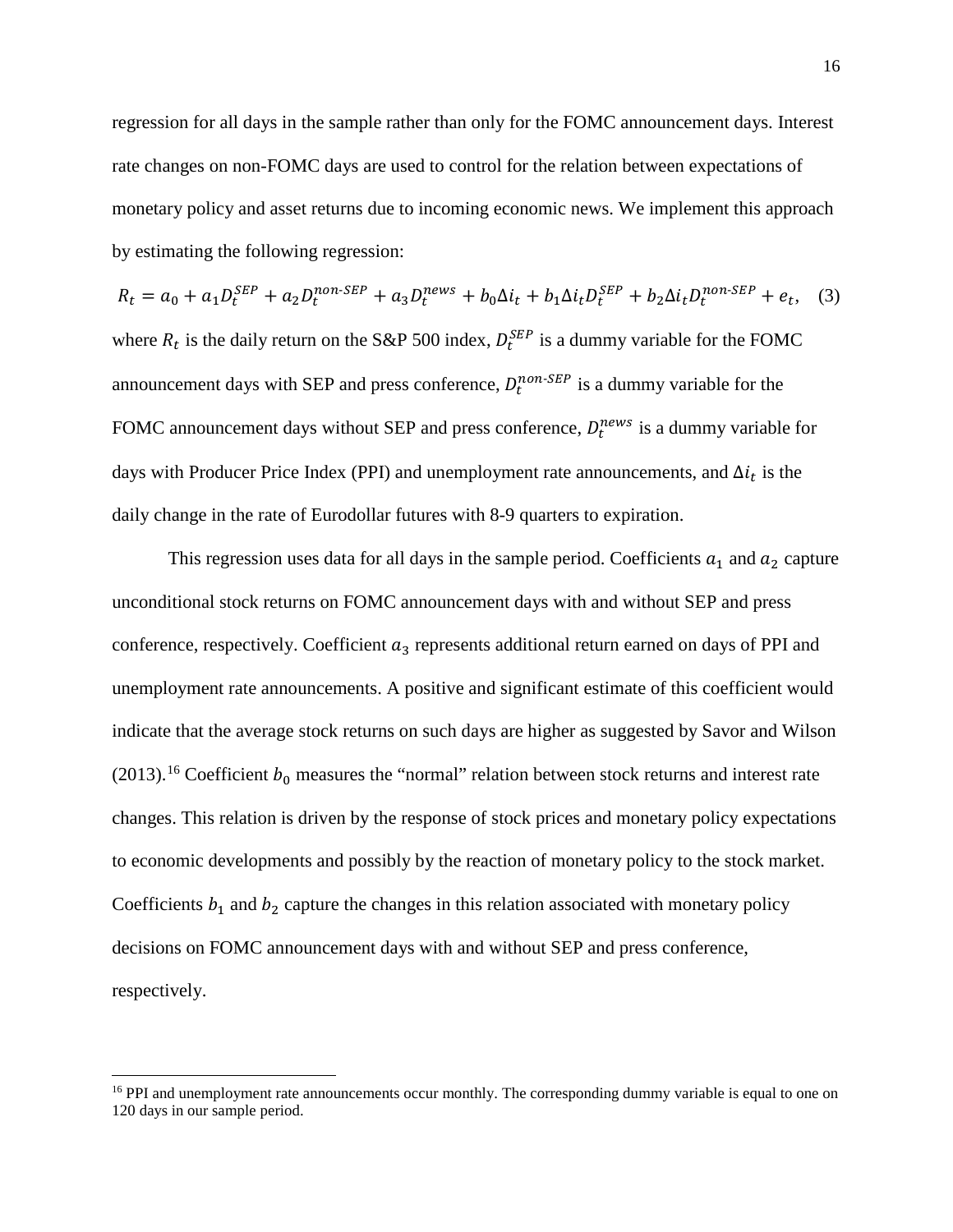regression for all days in the sample rather than only for the FOMC announcement days. Interest rate changes on non-FOMC days are used to control for the relation between expectations of monetary policy and asset returns due to incoming economic news. We implement this approach by estimating the following regression:

$$
R_t = a_0 + a_1 D_t^{SEP} + a_2 D_t^{non-SEP} + a_3 D_t^{news} + b_0 \Delta i_t + b_1 \Delta i_t D_t^{SEP} + b_2 \Delta i_t D_t^{non-SEP} + e_t,
$$
 (3)  
where  $R_t$  is the daily return on the S&P 500 index,  $D_t^{SEP}$  is a dummy variable for the FOMC  
announcement days with SEP and press conference,  $D_t^{non-SEP}$  is a dummy variable for the  
FOMC announcement days without SEP and press conference,  $D_t^{news}$  is a dummy variable for  
days with Producer Price Index (PPI) and un employment rate announcements, and  $\Delta i_t$  is the  
daily change in the rate of Eurodollar futures with 8-9 quarters to expiration.

This regression uses data for all days in the sample period. Coefficients  $a_1$  and  $a_2$  capture unconditional stock returns on FOMC announcement days with and without SEP and press conference, respectively. Coefficient  $a_3$  represents additional return earned on days of PPI and unemployment rate announcements. A positive and significant estimate of this coefficient would indicate that the average stock returns on such days are higher as suggested by Savor and Wilson (2013).<sup>[16](#page-16-0)</sup> Coefficient  $b_0$  measures the "normal" relation between stock returns and interest rate changes. This relation is driven by the response of stock prices and monetary policy expectations to economic developments and possibly by the reaction of monetary policy to the stock market. Coefficients  $b_1$  and  $b_2$  capture the changes in this relation associated with monetary policy decisions on FOMC announcement days with and without SEP and press conference, respectively.

l

<span id="page-16-0"></span><sup>&</sup>lt;sup>16</sup> PPI and unemployment rate announcements occur monthly. The corresponding dummy variable is equal to one on 120 days in our sample period.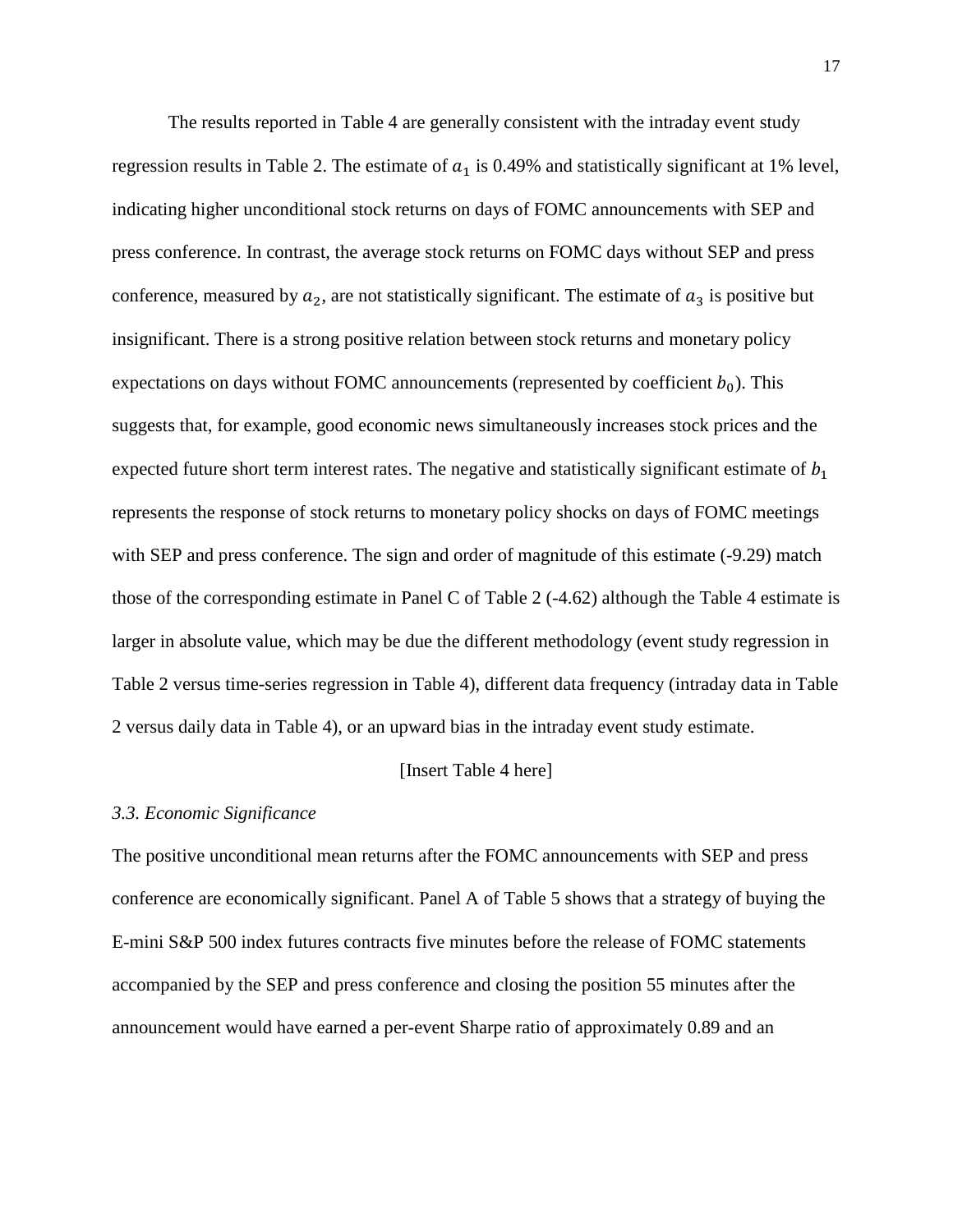The results reported in Table 4 are generally consistent with the intraday event study regression results in Table 2. The estimate of  $a_1$  is 0.49% and statistically significant at 1% level, indicating higher unconditional stock returns on days of FOMC announcements with SEP and press conference. In contrast, the average stock returns on FOMC days without SEP and press conference, measured by  $a_2$ , are not statistically significant. The estimate of  $a_3$  is positive but insignificant. There is a strong positive relation between stock returns and monetary policy expectations on days without FOMC announcements (represented by coefficient  $b_0$ ). This suggests that, for example, good economic news simultaneously increases stock prices and the expected future short term interest rates. The negative and statistically significant estimate of  $b_1$ represents the response of stock returns to monetary policy shocks on days of FOMC meetings with SEP and press conference. The sign and order of magnitude of this estimate  $(-9.29)$  match those of the corresponding estimate in Panel C of Table 2 (-4.62) although the Table 4 estimate is larger in absolute value, which may be due the different methodology (event study regression in Table 2 versus time-series regression in Table 4), different data frequency (intraday data in Table 2 versus daily data in Table 4), or an upward bias in the intraday event study estimate.

## [Insert Table 4 here]

#### *3.3. Economic Significance*

The positive unconditional mean returns after the FOMC announcements with SEP and press conference are economically significant. Panel A of Table 5 shows that a strategy of buying the E-mini S&P 500 index futures contracts five minutes before the release of FOMC statements accompanied by the SEP and press conference and closing the position 55 minutes after the announcement would have earned a per-event Sharpe ratio of approximately 0.89 and an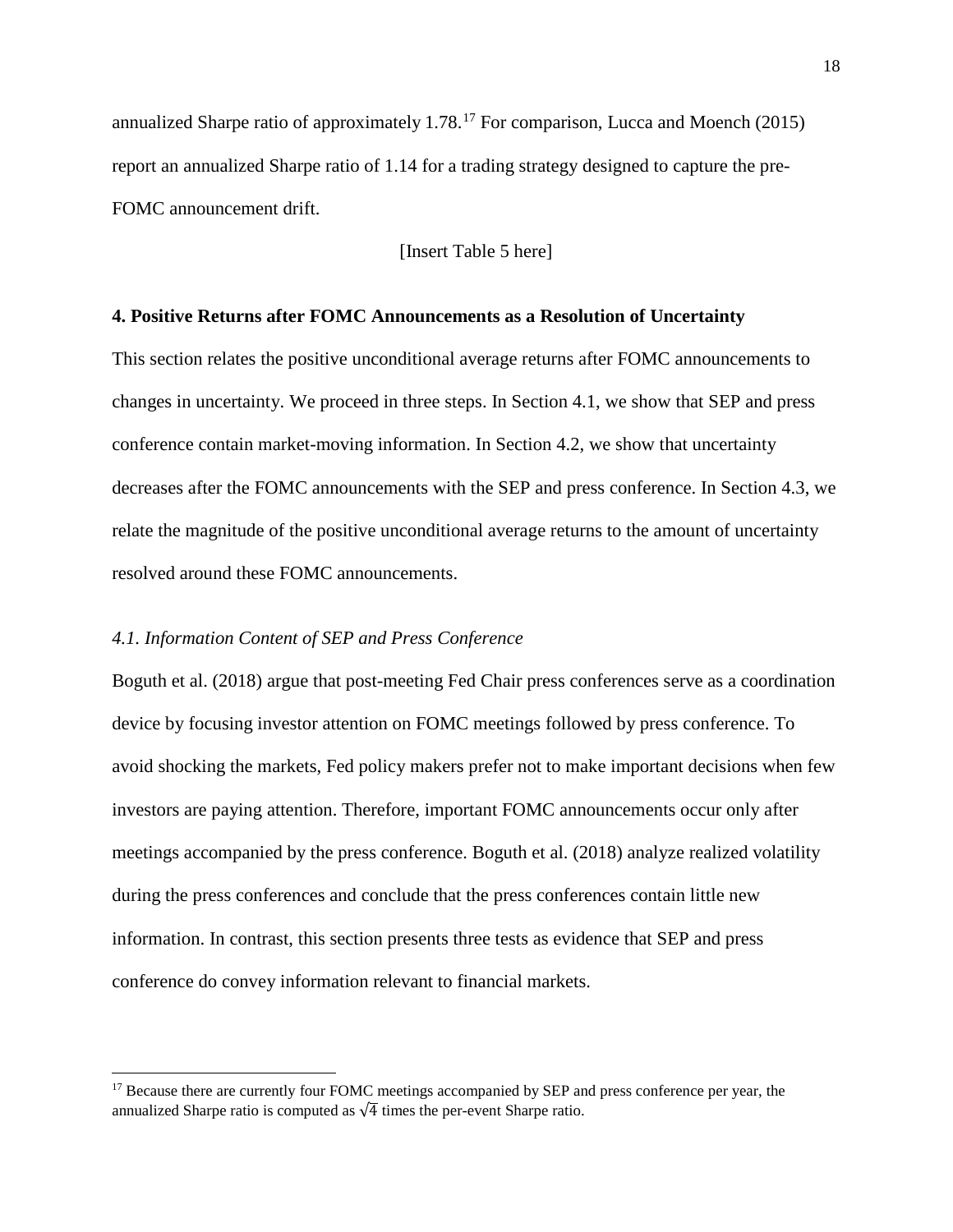annualized Sharpe ratio of approximately 1.78. [17](#page-18-0) For comparison, Lucca and Moench (2015) report an annualized Sharpe ratio of 1.14 for a trading strategy designed to capture the pre-FOMC announcement drift.

[Insert Table 5 here]

### **4. Positive Returns after FOMC Announcements as a Resolution of Uncertainty**

This section relates the positive unconditional average returns after FOMC announcements to changes in uncertainty. We proceed in three steps. In Section 4.1, we show that SEP and press conference contain market-moving information. In Section 4.2, we show that uncertainty decreases after the FOMC announcements with the SEP and press conference. In Section 4.3, we relate the magnitude of the positive unconditional average returns to the amount of uncertainty resolved around these FOMC announcements.

#### *4.1. Information Content of SEP and Press Conference*

 $\overline{a}$ 

Boguth et al. (2018) argue that post-meeting Fed Chair press conferences serve as a coordination device by focusing investor attention on FOMC meetings followed by press conference. To avoid shocking the markets, Fed policy makers prefer not to make important decisions when few investors are paying attention. Therefore, important FOMC announcements occur only after meetings accompanied by the press conference. Boguth et al. (2018) analyze realized volatility during the press conferences and conclude that the press conferences contain little new information. In contrast, this section presents three tests as evidence that SEP and press conference do convey information relevant to financial markets.

<span id="page-18-0"></span><sup>&</sup>lt;sup>17</sup> Because there are currently four FOMC meetings accompanied by SEP and press conference per year, the annualized Sharpe ratio is computed as  $\sqrt{4}$  times the per-event Sharpe ratio.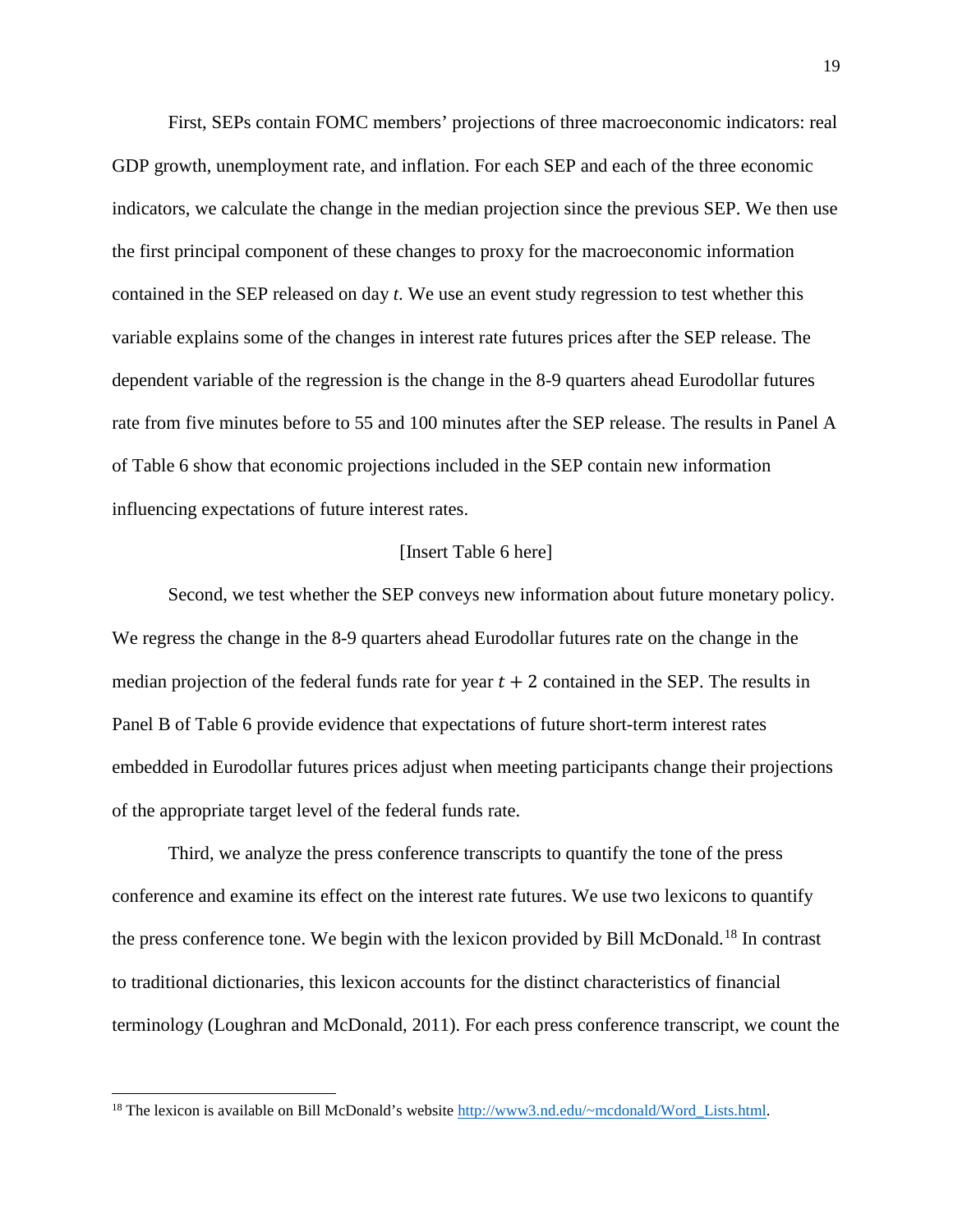First, SEPs contain FOMC members' projections of three macroeconomic indicators: real GDP growth, unemployment rate, and inflation. For each SEP and each of the three economic indicators, we calculate the change in the median projection since the previous SEP. We then use the first principal component of these changes to proxy for the macroeconomic information contained in the SEP released on day *t*. We use an event study regression to test whether this variable explains some of the changes in interest rate futures prices after the SEP release. The dependent variable of the regression is the change in the 8-9 quarters ahead Eurodollar futures rate from five minutes before to 55 and 100 minutes after the SEP release. The results in Panel A of Table 6 show that economic projections included in the SEP contain new information influencing expectations of future interest rates.

## [Insert Table 6 here]

Second, we test whether the SEP conveys new information about future monetary policy. We regress the change in the 8-9 quarters ahead Eurodollar futures rate on the change in the median projection of the federal funds rate for year  $t + 2$  contained in the SEP. The results in Panel B of Table 6 provide evidence that expectations of future short-term interest rates embedded in Eurodollar futures prices adjust when meeting participants change their projections of the appropriate target level of the federal funds rate.

Third, we analyze the press conference transcripts to quantify the tone of the press conference and examine its effect on the interest rate futures. We use two lexicons to quantify the press conference tone. We begin with the lexicon provided by Bill McDonald.<sup>[18](#page-19-0)</sup> In contrast to traditional dictionaries, this lexicon accounts for the distinct characteristics of financial terminology (Loughran and McDonald, 2011). For each press conference transcript, we count the

 $\overline{a}$ 

<span id="page-19-0"></span><sup>&</sup>lt;sup>18</sup> The lexicon is available on Bill McDonald's website [http://www3.nd.edu/~mcdonald/Word\\_Lists.html.](http://www3.nd.edu/%7Emcdonald/Word_Lists.html)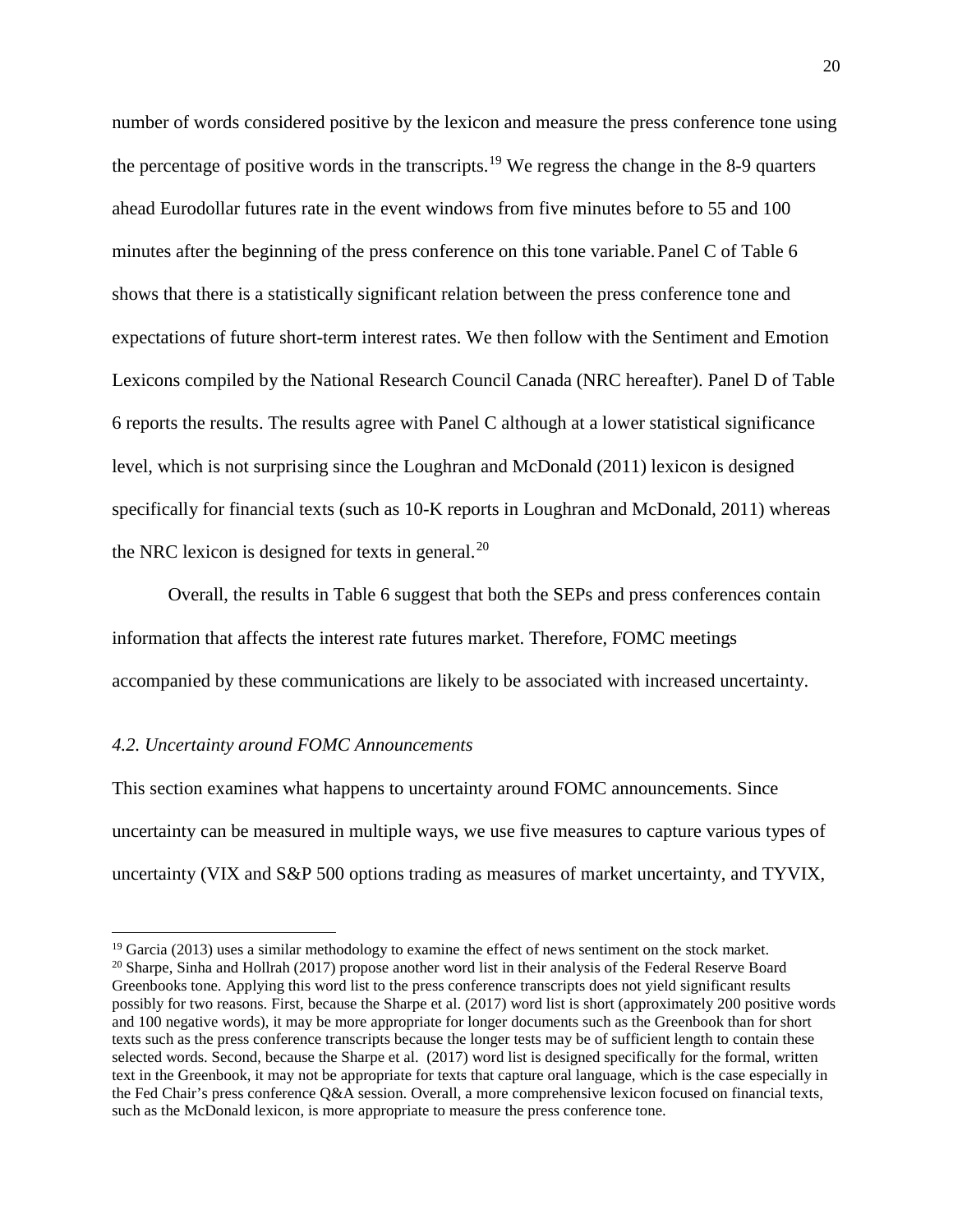number of words considered positive by the lexicon and measure the press conference tone using the percentage of positive words in the transcripts.<sup>[19](#page-20-0)</sup> We regress the change in the 8-9 quarters ahead Eurodollar futures rate in the event windows from five minutes before to 55 and 100 minutes after the beginning of the press conference on this tone variable. Panel  $C$  of Table 6 shows that there is a statistically significant relation between the press conference tone and expectations of future short-term interest rates. We then follow with the Sentiment and Emotion Lexicons compiled by the National Research Council Canada (NRC hereafter). Panel D of Table 6 reports the results. The results agree with Panel C although at a lower statistical significance level, which is not surprising since the Loughran and McDonald (2011) lexicon is designed specifically for financial texts (such as 10-K reports in Loughran and McDonald, 2011) whereas the NRC lexicon is designed for texts in general. $^{20}$  $^{20}$  $^{20}$ 

Overall, the results in Table 6 suggest that both the SEPs and press conferences contain information that affects the interest rate futures market. Therefore, FOMC meetings accompanied by these communications are likely to be associated with increased uncertainty.

#### *4.2. Uncertainty around FOMC Announcements*

 $\overline{a}$ 

This section examines what happens to uncertainty around FOMC announcements. Since uncertainty can be measured in multiple ways, we use five measures to capture various types of uncertainty (VIX and S&P 500 options trading as measures of market uncertainty, and TYVIX,

<span id="page-20-0"></span><sup>&</sup>lt;sup>19</sup> Garcia (2013) uses a similar methodology to examine the effect of news sentiment on the stock market.

<span id="page-20-1"></span><sup>&</sup>lt;sup>20</sup> Sharpe, Sinha and Hollrah (2017) propose another word list in their analysis of the Federal Reserve Board Greenbooks tone. Applying this word list to the press conference transcripts does not yield significant results possibly for two reasons. First, because the Sharpe et al. (2017) word list is short (approximately 200 positive words and 100 negative words), it may be more appropriate for longer documents such as the Greenbook than for short texts such as the press conference transcripts because the longer tests may be of sufficient length to contain these selected words. Second, because the Sharpe et al. (2017) word list is designed specifically for the formal, written text in the Greenbook, it may not be appropriate for texts that capture oral language, which is the case especially in the Fed Chair's press conference Q&A session. Overall, a more comprehensive lexicon focused on financial texts, such as the McDonald lexicon, is more appropriate to measure the press conference tone.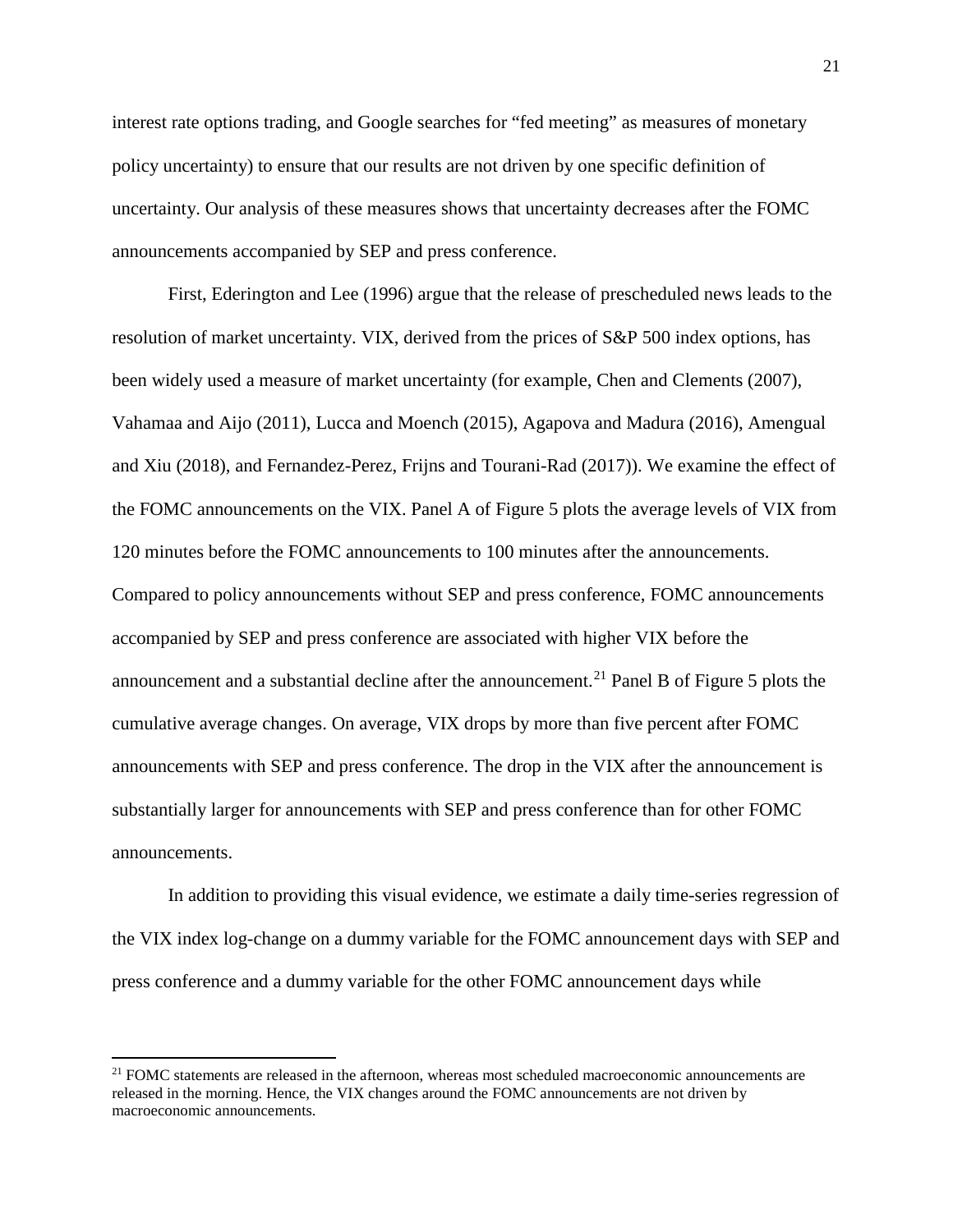interest rate options trading, and Google searches for "fed meeting" as measures of monetary policy uncertainty) to ensure that our results are not driven by one specific definition of uncertainty. Our analysis of these measures shows that uncertainty decreases after the FOMC announcements accompanied by SEP and press conference.

First, Ederington and Lee (1996) argue that the release of prescheduled news leads to the resolution of market uncertainty. VIX, derived from the prices of S&P 500 index options, has been widely used a measure of market uncertainty (for example, Chen and Clements (2007), Vahamaa and Aijo (2011), Lucca and Moench (2015), Agapova and Madura (2016), Amengual and Xiu (2018), and Fernandez-Perez, Frijns and Tourani-Rad (2017)). We examine the effect of the FOMC announcements on the VIX. Panel A of Figure 5 plots the average levels of VIX from 120 minutes before the FOMC announcements to 100 minutes after the announcements. Compared to policy announcements without SEP and press conference, FOMC announcements accompanied by SEP and press conference are associated with higher VIX before the announcement and a substantial decline after the announcement.<sup>[21](#page-21-0)</sup> Panel B of Figure 5 plots the cumulative average changes. On average, VIX drops by more than five percent after FOMC announcements with SEP and press conference. The drop in the VIX after the announcement is substantially larger for announcements with SEP and press conference than for other FOMC announcements.

In addition to providing this visual evidence, we estimate a daily time-series regression of the VIX index log-change on a dummy variable for the FOMC announcement days with SEP and press conference and a dummy variable for the other FOMC announcement days while

 $\overline{\phantom{a}}$ 

<span id="page-21-0"></span><sup>&</sup>lt;sup>21</sup> FOMC statements are released in the afternoon, whereas most scheduled macroeconomic announcements are released in the morning. Hence, the VIX changes around the FOMC announcements are not driven by macroeconomic announcements.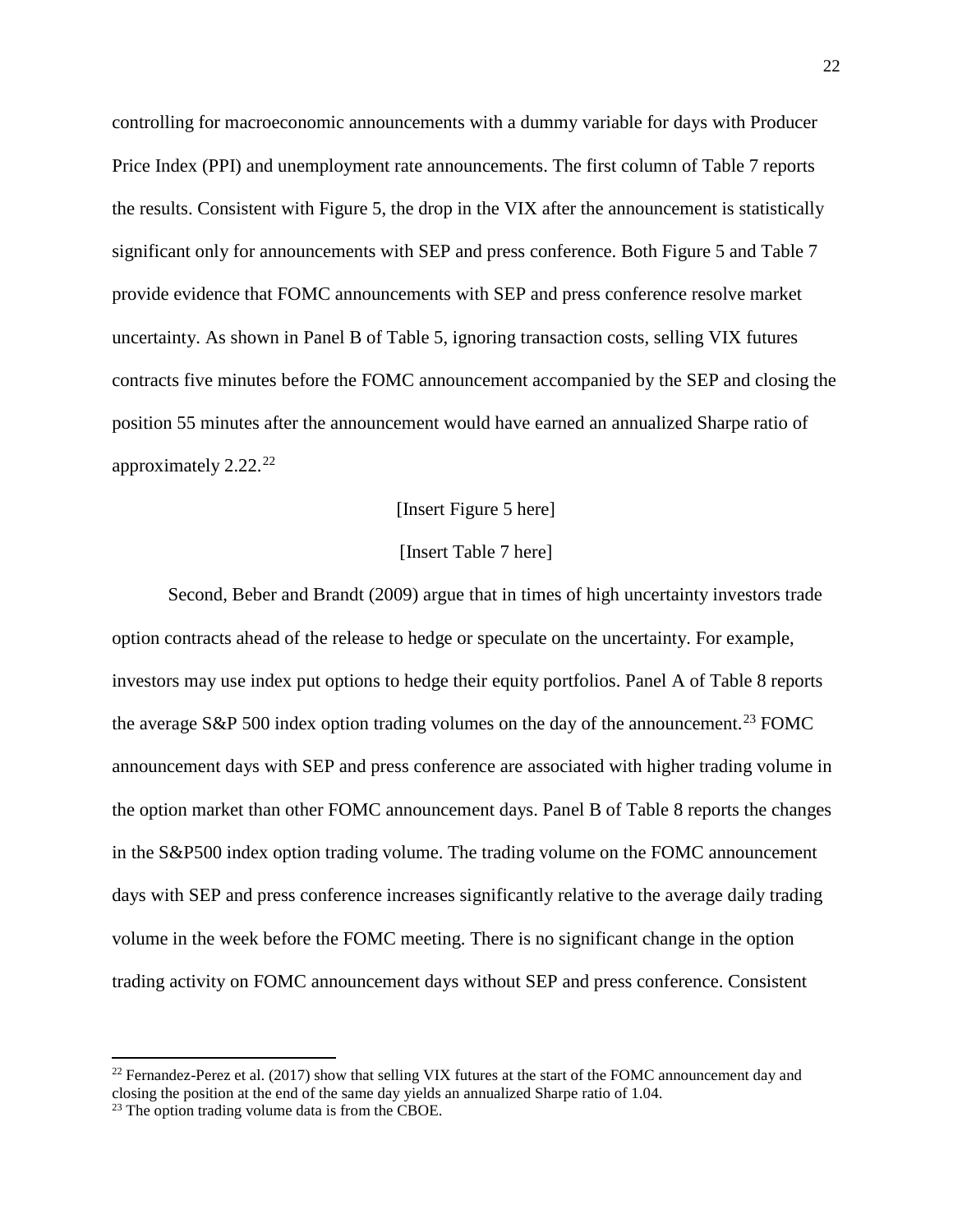controlling for macroeconomic announcements with a dummy variable for days with Producer Price Index (PPI) and unemployment rate announcements. The first column of Table 7 reports the results. Consistent with Figure 5, the drop in the VIX after the announcement is statistically significant only for announcements with SEP and press conference. Both Figure 5 and Table 7 provide evidence that FOMC announcements with SEP and press conference resolve market uncertainty. As shown in Panel B of Table 5, ignoring transaction costs, selling VIX futures contracts five minutes before the FOMC announcement accompanied by the SEP and closing the position 55 minutes after the announcement would have earned an annualized Sharpe ratio of approximately 2.[22](#page-22-0).<sup>22</sup>

### [Insert Figure 5 here]

### [Insert Table 7 here]

Second, Beber and Brandt (2009) argue that in times of high uncertainty investors trade option contracts ahead of the release to hedge or speculate on the uncertainty. For example, investors may use index put options to hedge their equity portfolios. Panel A of Table 8 reports the average S&P 500 index option trading volumes on the day of the announcement.<sup>[23](#page-22-1)</sup> FOMC announcement days with SEP and press conference are associated with higher trading volume in the option market than other FOMC announcement days. Panel B of Table 8 reports the changes in the S&P500 index option trading volume. The trading volume on the FOMC announcement days with SEP and press conference increases significantly relative to the average daily trading volume in the week before the FOMC meeting. There is no significant change in the option trading activity on FOMC announcement days without SEP and press conference. Consistent

 $\overline{\phantom{a}}$ 

<span id="page-22-0"></span> $^{22}$  Fernandez-Perez et al. (2017) show that selling VIX futures at the start of the FOMC announcement day and closing the position at the end of the same day yields an annualized Sharpe ratio of 1.04.

<span id="page-22-1"></span><sup>&</sup>lt;sup>23</sup> The option trading volume data is from the CBOE.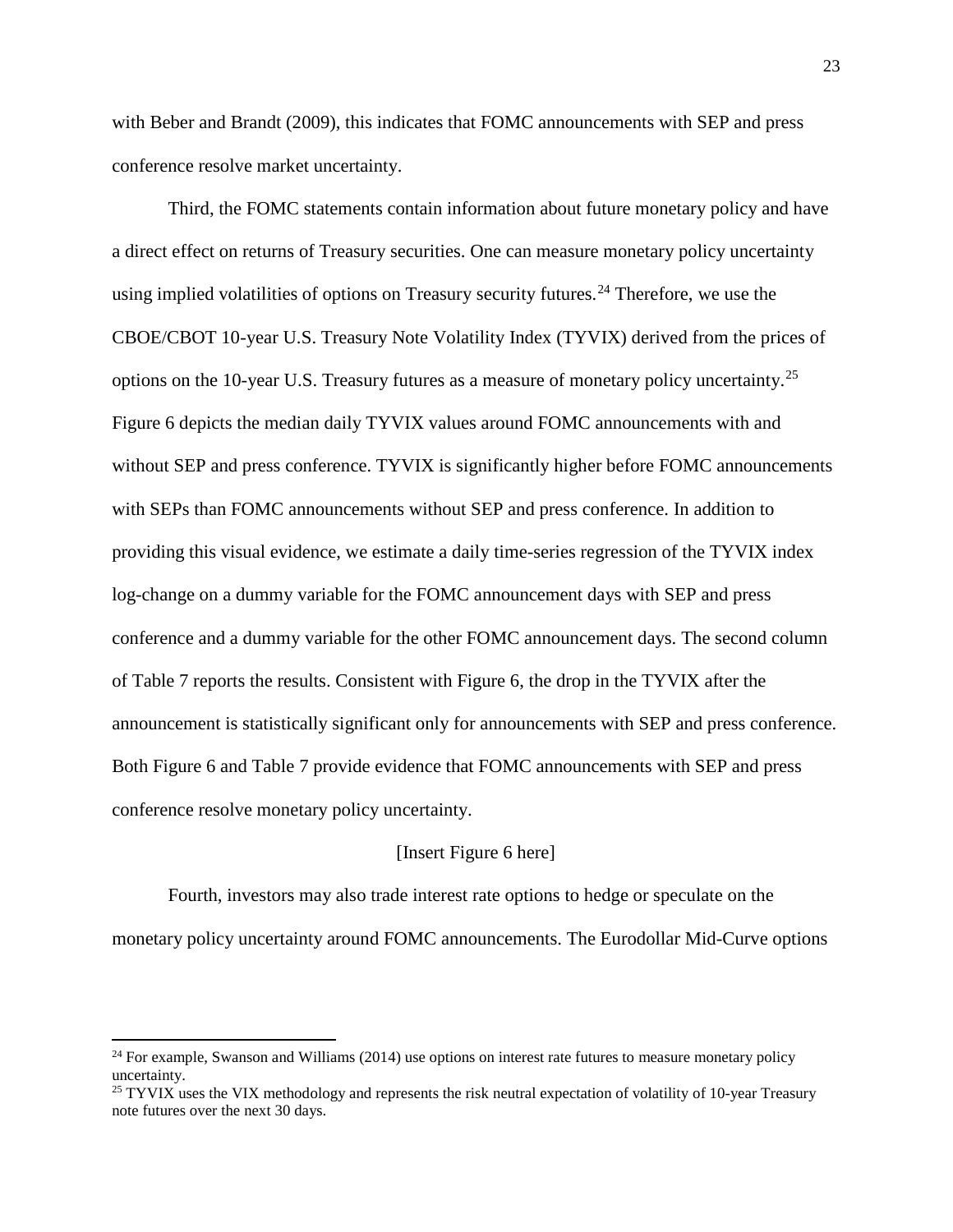with Beber and Brandt (2009), this indicates that FOMC announcements with SEP and press conference resolve market uncertainty.

Third, the FOMC statements contain information about future monetary policy and have a direct effect on returns of Treasury securities. One can measure monetary policy uncertainty using implied volatilities of options on Treasury security futures.<sup>[24](#page-23-0)</sup> Therefore, we use the CBOE/CBOT 10-year U.S. Treasury Note Volatility Index (TYVIX) derived from the prices of options on the 10-year U.S. Treasury futures as a measure of monetary policy uncertainty.[25](#page-23-1) Figure 6 depicts the median daily TYVIX values around FOMC announcements with and without SEP and press conference. TYVIX is significantly higher before FOMC announcements with SEPs than FOMC announcements without SEP and press conference. In addition to providing this visual evidence, we estimate a daily time-series regression of the TYVIX index log-change on a dummy variable for the FOMC announcement days with SEP and press conference and a dummy variable for the other FOMC announcement days. The second column of Table 7 reports the results. Consistent with Figure 6, the drop in the TYVIX after the announcement is statistically significant only for announcements with SEP and press conference. Both Figure 6 and Table 7 provide evidence that FOMC announcements with SEP and press conference resolve monetary policy uncertainty.

### [Insert Figure 6 here]

Fourth, investors may also trade interest rate options to hedge or speculate on the monetary policy uncertainty around FOMC announcements. The Eurodollar Mid-Curve options

 $\overline{a}$ 

<span id="page-23-0"></span> $24$  For example, Swanson and Williams (2014) use options on interest rate futures to measure monetary policy uncertainty.

<span id="page-23-1"></span><sup>&</sup>lt;sup>25</sup> TYVIX uses the VIX methodology and represents the risk neutral expectation of volatility of 10-year Treasury note futures over the next 30 days.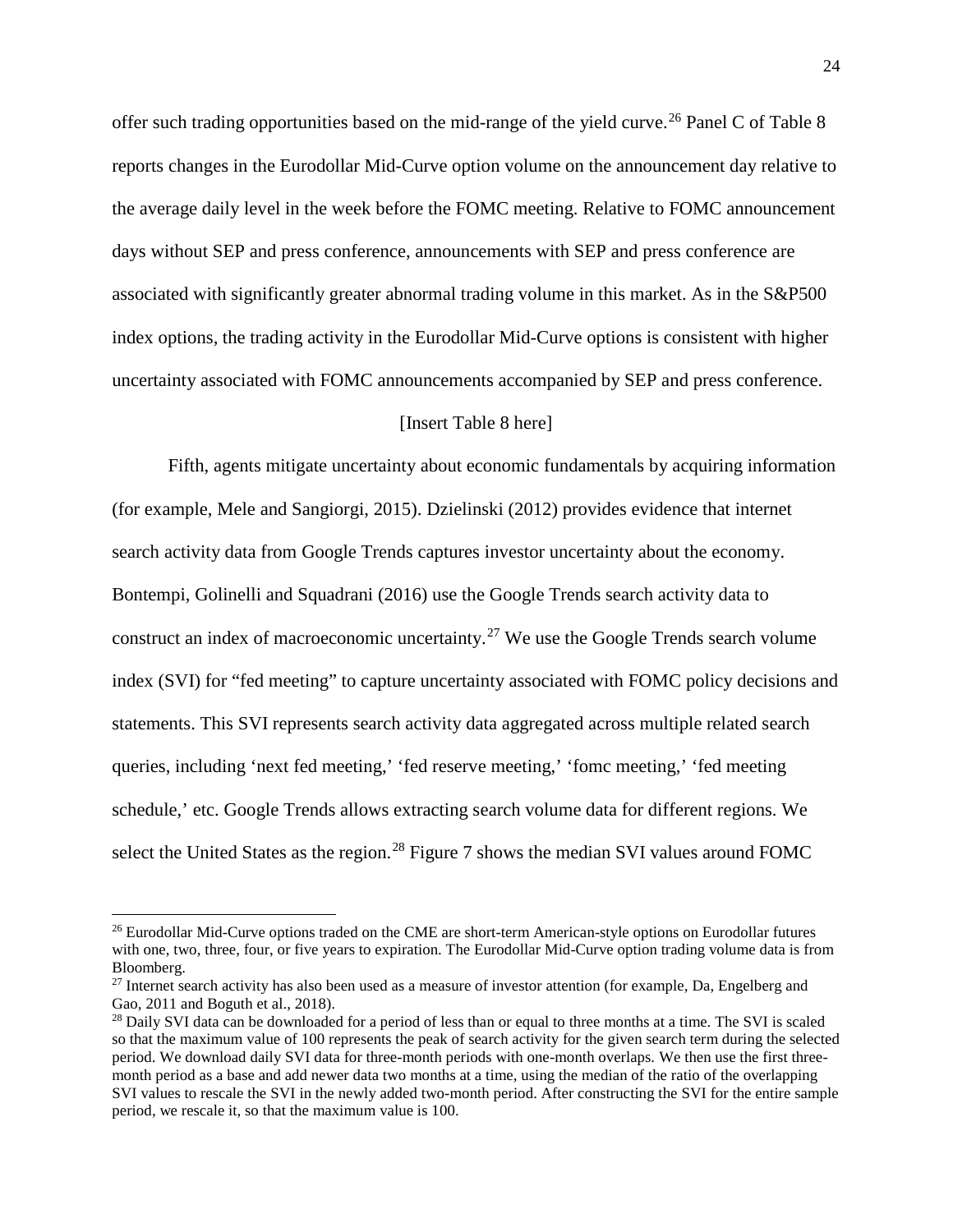offer such trading opportunities based on the mid-range of the yield curve.<sup>[26](#page-24-0)</sup> Panel C of Table 8 reports changes in the Eurodollar Mid-Curve option volume on the announcement day relative to the average daily level in the week before the FOMC meeting. Relative to FOMC announcement days without SEP and press conference, announcements with SEP and press conference are associated with significantly greater abnormal trading volume in this market. As in the S&P500 index options, the trading activity in the Eurodollar Mid-Curve options is consistent with higher uncertainty associated with FOMC announcements accompanied by SEP and press conference.

## [Insert Table 8 here]

Fifth, agents mitigate uncertainty about economic fundamentals by acquiring information (for example, Mele and Sangiorgi, 2015). Dzielinski (2012) provides evidence that internet search activity data from Google Trends captures investor uncertainty about the economy. Bontempi, Golinelli and Squadrani (2016) use the Google Trends search activity data to construct an index of macroeconomic uncertainty.<sup>[27](#page-24-1)</sup> We use the Google Trends search volume index (SVI) for "fed meeting" to capture uncertainty associated with FOMC policy decisions and statements. This SVI represents search activity data aggregated across multiple related search queries, including 'next fed meeting,' 'fed reserve meeting,' 'fomc meeting,' 'fed meeting schedule,' etc. Google Trends allows extracting search volume data for different regions. We select the United States as the region.<sup>[28](#page-24-2)</sup> Figure 7 shows the median SVI values around FOMC

l

<span id="page-24-0"></span><sup>&</sup>lt;sup>26</sup> Eurodollar Mid-Curve options traded on the CME are short-term American-style options on Eurodollar futures with one, two, three, four, or five years to expiration. The Eurodollar Mid-Curve option trading volume data is from Bloomberg.

<span id="page-24-1"></span> $27$  Internet search activity has also been used as a measure of investor attention (for example, Da, Engelberg and Gao, 2011 and Boguth et al., 2018).

<span id="page-24-2"></span><sup>&</sup>lt;sup>28</sup> Daily SVI data can be downloaded for a period of less than or equal to three months at a time. The SVI is scaled so that the maximum value of 100 represents the peak of search activity for the given search term during the selected period. We download daily SVI data for three-month periods with one-month overlaps. We then use the first threemonth period as a base and add newer data two months at a time, using the median of the ratio of the overlapping SVI values to rescale the SVI in the newly added two-month period. After constructing the SVI for the entire sample period, we rescale it, so that the maximum value is 100.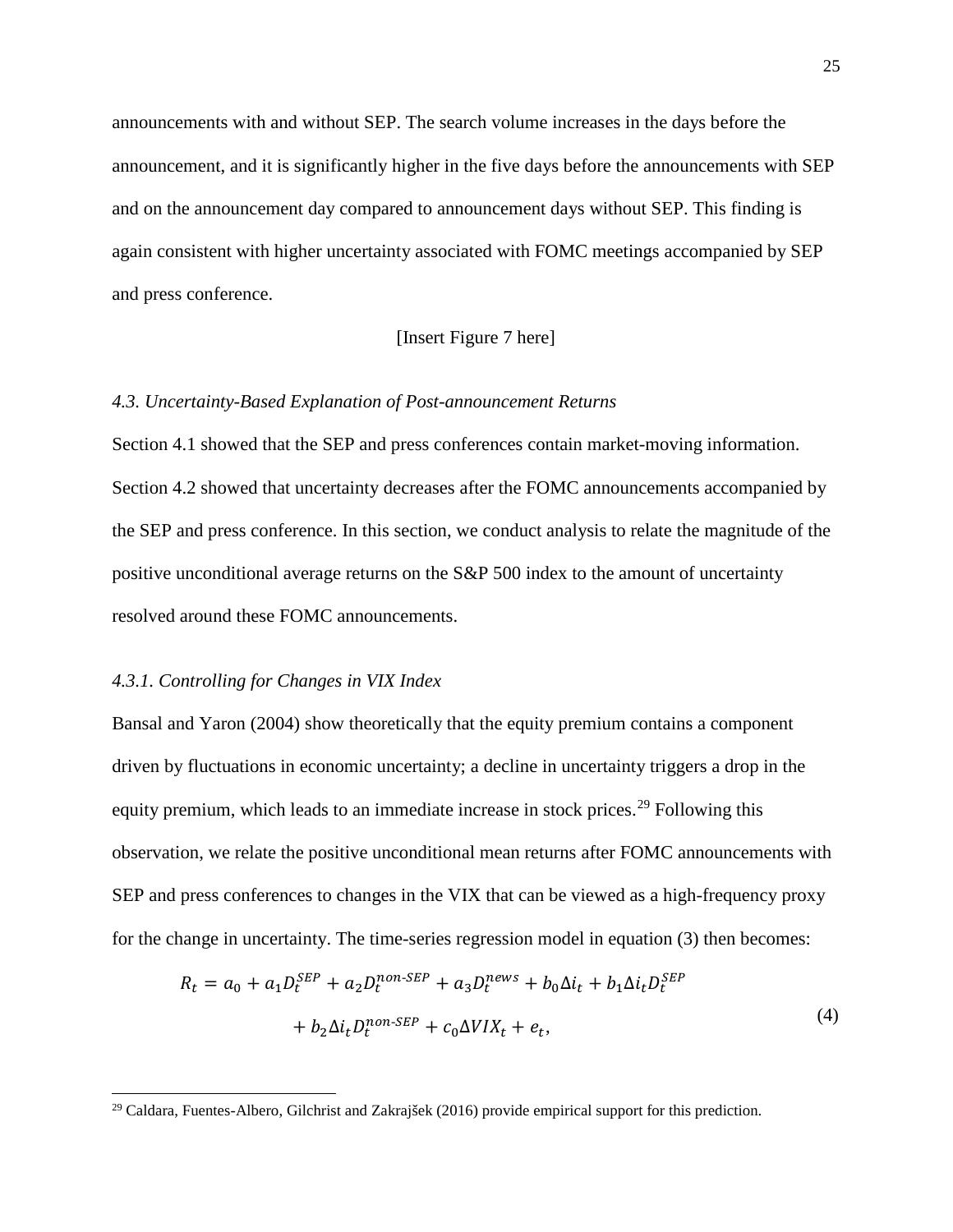announcements with and without SEP. The search volume increases in the days before the announcement, and it is significantly higher in the five days before the announcements with SEP and on the announcement day compared to announcement days without SEP. This finding is again consistent with higher uncertainty associated with FOMC meetings accompanied by SEP and press conference.

## [Insert Figure 7 here]

# *4.3. Uncertainty-Based Explanation of Post-announcement Returns*

Section 4.1 showed that the SEP and press conferences contain market-moving information. Section 4.2 showed that uncertainty decreases after the FOMC announcements accompanied by the SEP and press conference. In this section, we conduct analysis to relate the magnitude of the positive unconditional average returns on the S&P 500 index to the amount of uncertainty resolved around these FOMC announcements.

## *4.3.1. Controlling for Changes in VIX Index*

 $\overline{a}$ 

Bansal and Yaron (2004) show theoretically that the equity premium contains a component driven by fluctuations in economic uncertainty; a decline in uncertainty triggers a drop in the equity premium, which leads to an immediate increase in stock prices.<sup>[29](#page-25-0)</sup> Following this observation, we relate the positive unconditional mean returns after FOMC announcements with SEP and press conferences to changes in the VIX that can be viewed as a high-frequency proxy for the change in uncertainty. The time-series regression model in equation (3) then becomes:

$$
R_t = a_0 + a_1 D_t^{SEP} + a_2 D_t^{non-SEP} + a_3 D_t^{news} + b_0 \Delta i_t + b_1 \Delta i_t D_t^{SEP}
$$
  
+ 
$$
b_2 \Delta i_t D_t^{non-SEP} + c_0 \Delta V I X_t + e_t,
$$
 (4)

<span id="page-25-0"></span> $29$  Caldara, Fuentes-Albero, Gilchrist and Zakrajšek (2016) provide empirical support for this prediction.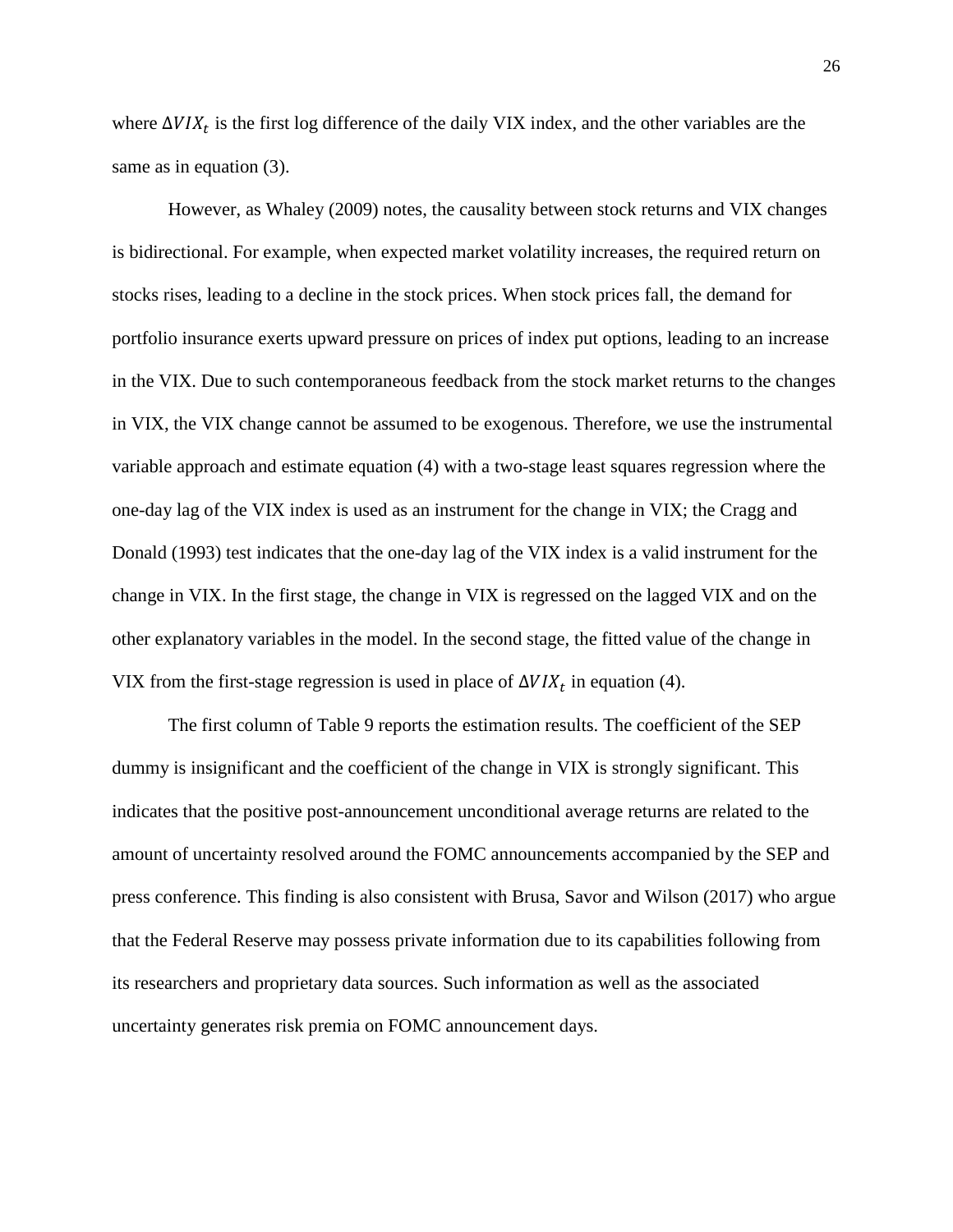where  $\Delta VIX_t$  is the first log difference of the daily VIX index, and the other variables are the same as in equation (3).

However, as Whaley (2009) notes, the causality between stock returns and VIX changes is bidirectional. For example, when expected market volatility increases, the required return on stocks rises, leading to a decline in the stock prices. When stock prices fall, the demand for portfolio insurance exerts upward pressure on prices of index put options, leading to an increase in the VIX. Due to such contemporaneous feedback from the stock market returns to the changes in VIX, the VIX change cannot be assumed to be exogenous. Therefore, we use the instrumental variable approach and estimate equation (4) with a two-stage least squares regression where the one-day lag of the VIX index is used as an instrument for the change in VIX; the Cragg and Donald (1993) test indicates that the one-day lag of the VIX index is a valid instrument for the change in VIX. In the first stage, the change in VIX is regressed on the lagged VIX and on the other explanatory variables in the model. In the second stage, the fitted value of the change in VIX from the first-stage regression is used in place of  $\Delta VIX_t$  in equation (4).

The first column of Table 9 reports the estimation results. The coefficient of the SEP dummy is insignificant and the coefficient of the change in VIX is strongly significant. This indicates that the positive post-announcement unconditional average returns are related to the amount of uncertainty resolved around the FOMC announcements accompanied by the SEP and press conference. This finding is also consistent with Brusa, Savor and Wilson (2017) who argue that the Federal Reserve may possess private information due to its capabilities following from its researchers and proprietary data sources. Such information as well as the associated uncertainty generates risk premia on FOMC announcement days.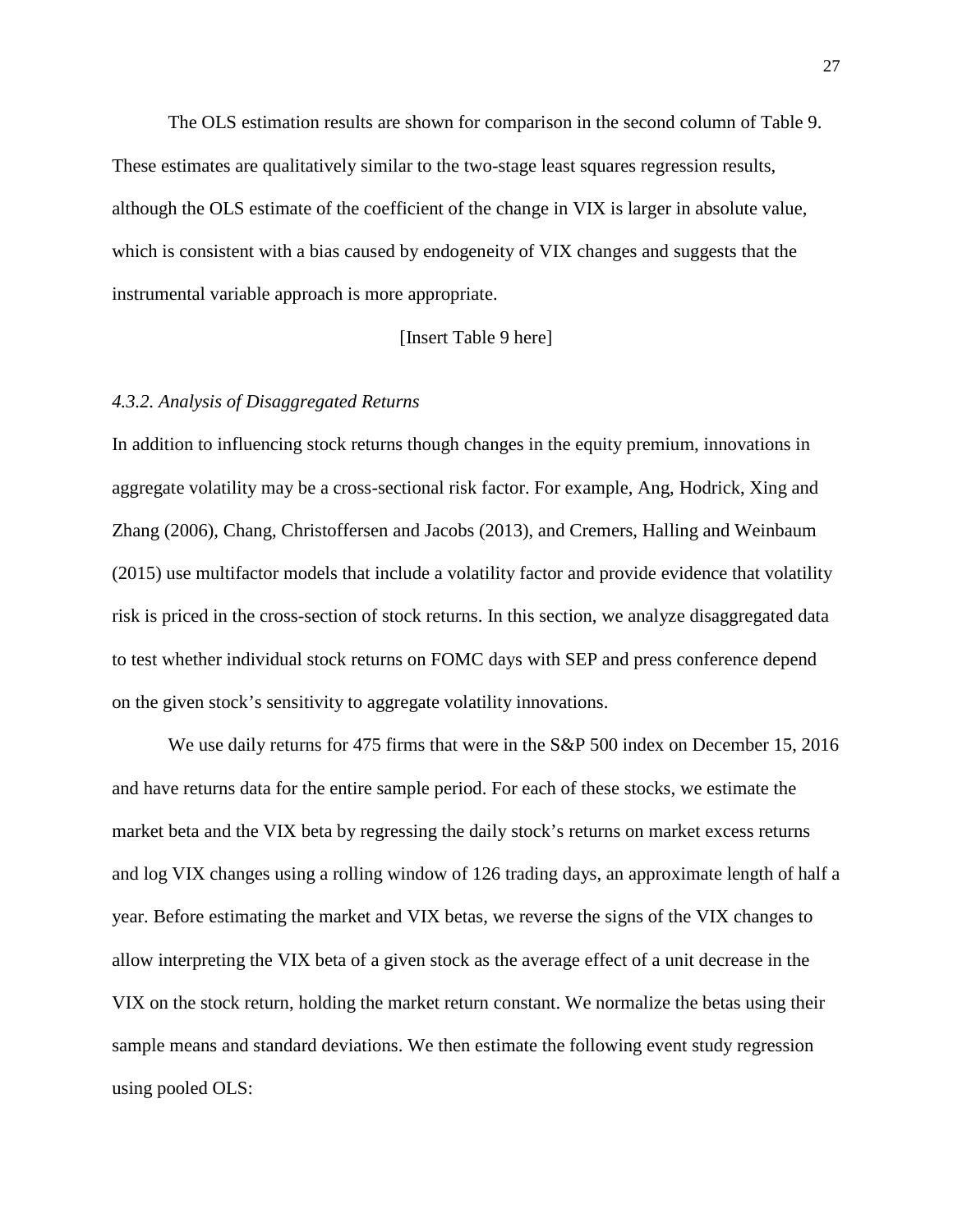The OLS estimation results are shown for comparison in the second column of Table 9. These estimates are qualitatively similar to the two-stage least squares regression results, although the OLS estimate of the coefficient of the change in VIX is larger in absolute value, which is consistent with a bias caused by endogeneity of VIX changes and suggests that the instrumental variable approach is more appropriate.

[Insert Table 9 here]

# *4.3.2. Analysis of Disaggregated Returns*

In addition to influencing stock returns though changes in the equity premium, innovations in aggregate volatility may be a cross-sectional risk factor. For example, Ang, Hodrick, Xing and Zhang (2006), Chang, Christoffersen and Jacobs (2013), and Cremers, Halling and Weinbaum (2015) use multifactor models that include a volatility factor and provide evidence that volatility risk is priced in the cross-section of stock returns. In this section, we analyze disaggregated data to test whether individual stock returns on FOMC days with SEP and press conference depend on the given stock's sensitivity to aggregate volatility innovations.

We use daily returns for 475 firms that were in the S&P 500 index on December 15, 2016 and have returns data for the entire sample period. For each of these stocks, we estimate the market beta and the VIX beta by regressing the daily stock's returns on market excess returns and log VIX changes using a rolling window of 126 trading days, an approximate length of half a year. Before estimating the market and VIX betas, we reverse the signs of the VIX changes to allow interpreting the VIX beta of a given stock as the average effect of a unit decrease in the VIX on the stock return, holding the market return constant. We normalize the betas using their sample means and standard deviations. We then estimate the following event study regression using pooled OLS: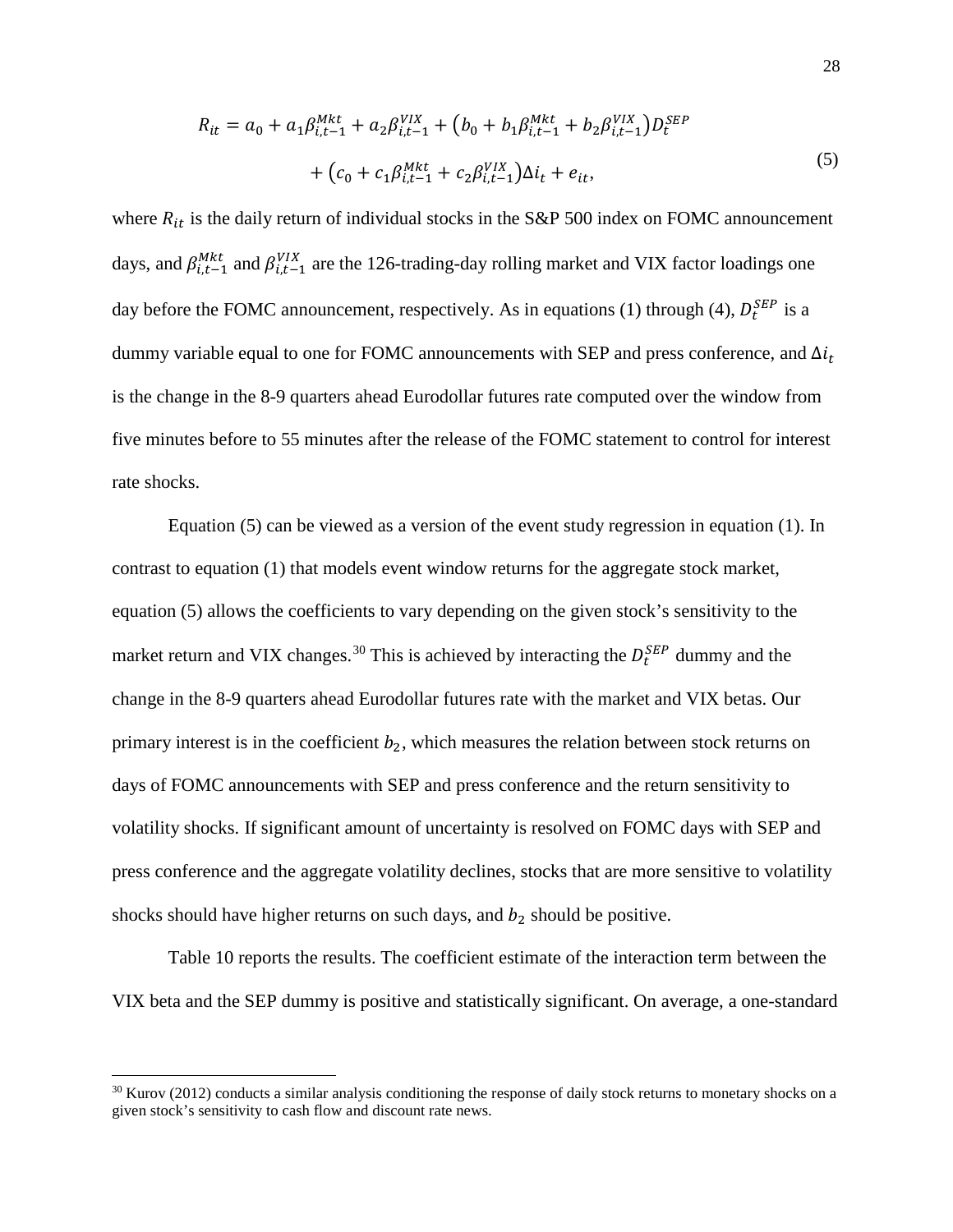$$
R_{it} = a_0 + a_1 \beta_{i,t-1}^{Mkt} + a_2 \beta_{i,t-1}^{VIX} + (b_0 + b_1 \beta_{i,t-1}^{Mkt} + b_2 \beta_{i,t-1}^{VIX}) D_t^{SEP}
$$
  
+  $(c_0 + c_1 \beta_{i,t-1}^{Mkt} + c_2 \beta_{i,t-1}^{VIX}) \Delta i_t + e_{it},$  (5)

where  $R_{it}$  is the daily return of individual stocks in the S&P 500 index on FOMC announcement days, and  $\beta_{i,t-1}^{Mkt}$  and  $\beta_{i,t-1}^{VIX}$  are the 126-trading-day rolling market and VIX factor loadings one day before the FOMC announcement, respectively. As in equations (1) through (4),  $D_t^{SEP}$  is a dummy variable equal to one for FOMC announcements with SEP and press conference, and  $\Delta i_t$ is the change in the 8-9 quarters ahead Eurodollar futures rate computed over the window from five minutes before to 55 minutes after the release of the FOMC statement to control for interest rate shocks.

Equation (5) can be viewed as a version of the event study regression in equation (1). In contrast to equation (1) that models event window returns for the aggregate stock market, equation (5) allows the coefficients to vary depending on the given stock's sensitivity to the market return and VIX changes.<sup>[30](#page-28-0)</sup> This is achieved by interacting the  $D_t^{SEP}$  dummy and the change in the 8-9 quarters ahead Eurodollar futures rate with the market and VIX betas. Our primary interest is in the coefficient  $b_2$ , which measures the relation between stock returns on days of FOMC announcements with SEP and press conference and the return sensitivity to volatility shocks. If significant amount of uncertainty is resolved on FOMC days with SEP and press conference and the aggregate volatility declines, stocks that are more sensitive to volatility shocks should have higher returns on such days, and  $b_2$  should be positive.

Table 10 reports the results. The coefficient estimate of the interaction term between the VIX beta and the SEP dummy is positive and statistically significant. On average, a one-standard

l

<span id="page-28-0"></span> $30$  Kurov (2012) conducts a similar analysis conditioning the response of daily stock returns to monetary shocks on a given stock's sensitivity to cash flow and discount rate news.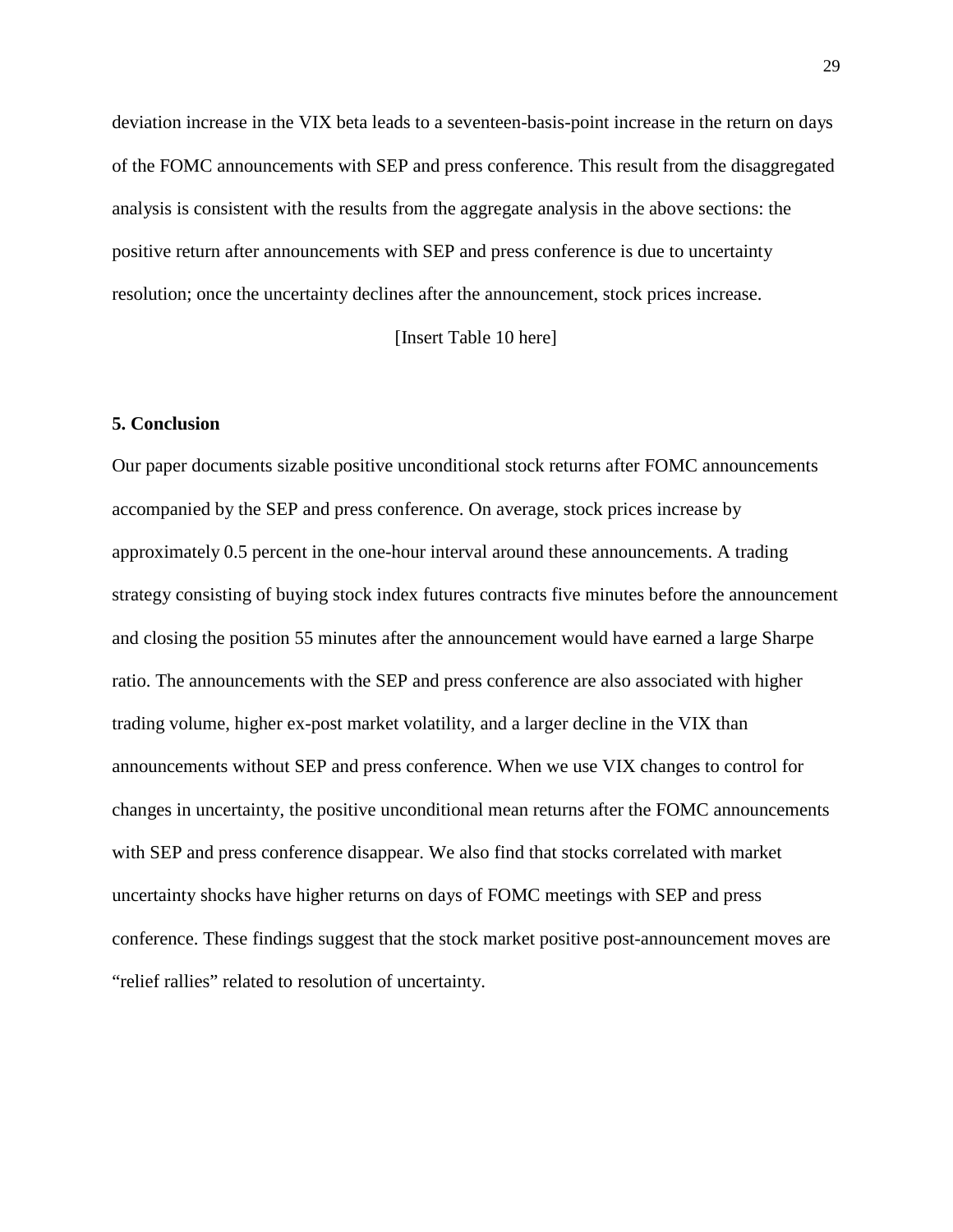deviation increase in the VIX beta leads to a seventeen-basis-point increase in the return on days of the FOMC announcements with SEP and press conference. This result from the disaggregated analysis is consistent with the results from the aggregate analysis in the above sections: the positive return after announcements with SEP and press conference is due to uncertainty resolution; once the uncertainty declines after the announcement, stock prices increase.

[Insert Table 10 here]

### **5. Conclusion**

Our paper documents sizable positive unconditional stock returns after FOMC announcements accompanied by the SEP and press conference. On average, stock prices increase by approximately 0.5 percent in the one-hour interval around these announcements. A trading strategy consisting of buying stock index futures contracts five minutes before the announcement and closing the position 55 minutes after the announcement would have earned a large Sharpe ratio. The announcements with the SEP and press conference are also associated with higher trading volume, higher ex-post market volatility, and a larger decline in the VIX than announcements without SEP and press conference. When we use VIX changes to control for changes in uncertainty, the positive unconditional mean returns after the FOMC announcements with SEP and press conference disappear. We also find that stocks correlated with market uncertainty shocks have higher returns on days of FOMC meetings with SEP and press conference. These findings suggest that the stock market positive post-announcement moves are "relief rallies" related to resolution of uncertainty.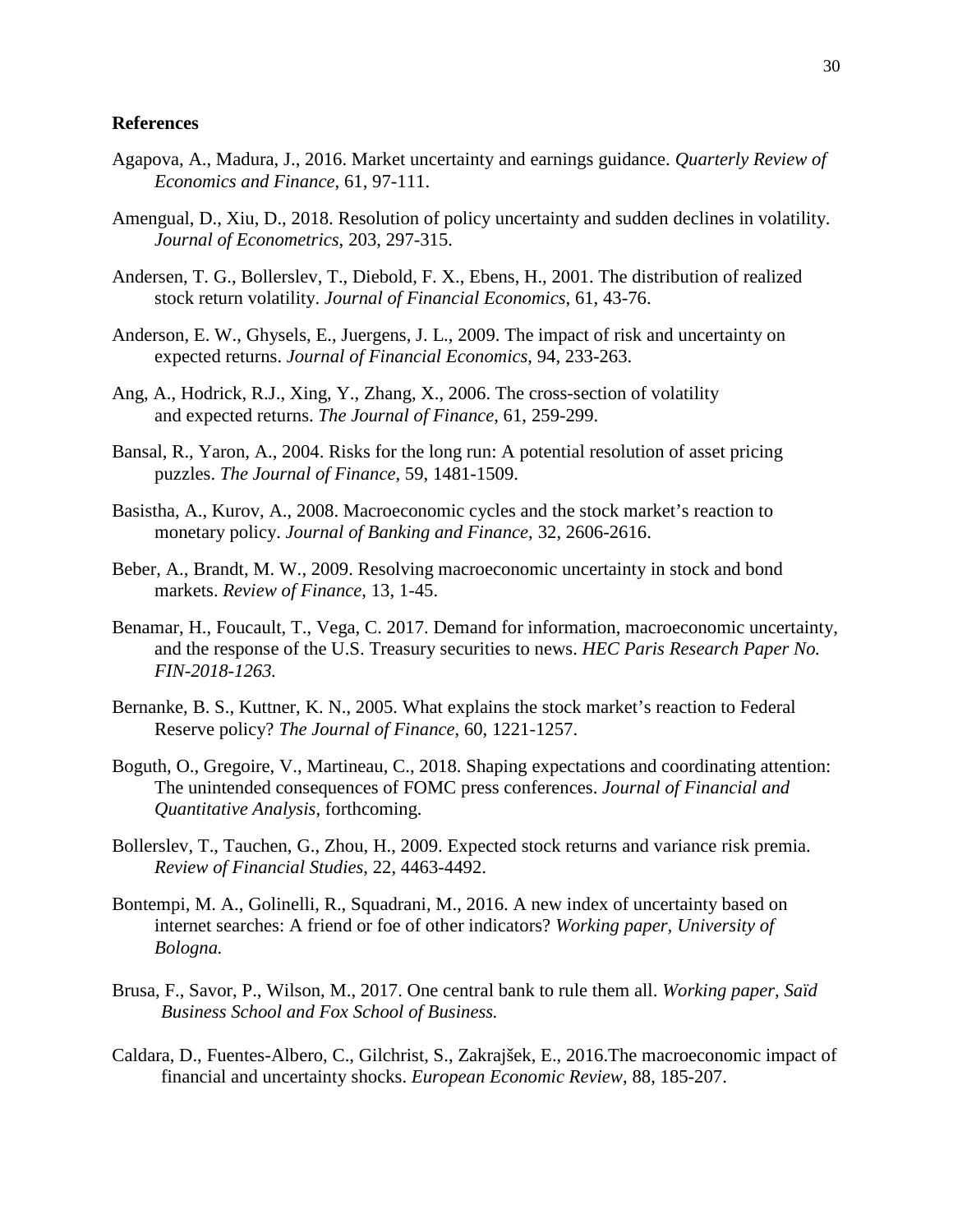### **References**

- Agapova, A., Madura, J., 2016. Market uncertainty and earnings guidance. *Quarterly Review of Economics and Finance*, 61, 97-111.
- Amengual, D., Xiu, D., 2018. Resolution of policy uncertainty and sudden declines in volatility. *Journal of Econometrics*, 203, 297-315.
- Andersen, T. G., Bollerslev, T., Diebold, F. X., Ebens, H., 2001. The distribution of realized stock return volatility. *Journal of Financial Economics*, 61, 43-76.
- Anderson, E. W., Ghysels, E., Juergens, J. L., 2009. The impact of risk and uncertainty on expected returns. *Journal of Financial Economics*, 94, 233-263.
- Ang, A., Hodrick, R.J., Xing, Y., Zhang, X., 2006. The cross-section of volatility and expected returns. *The Journal of Finance*, 61, 259-299.
- Bansal, R., Yaron, A., 2004. Risks for the long run: A potential resolution of asset pricing puzzles. *The Journal of Finance*, 59, 1481-1509.
- Basistha, A., Kurov, A., 2008. Macroeconomic cycles and the stock market's reaction to monetary policy. *Journal of Banking and Finance*, 32, 2606-2616.
- Beber, A., Brandt, M. W., 2009. Resolving macroeconomic uncertainty in stock and bond markets. *Review of Finance*, 13, 1-45.
- Benamar, H., Foucault, T., Vega, C. 2017. Demand for information, macroeconomic uncertainty, and the response of the U.S. Treasury securities to news. *HEC Paris Research Paper No. FIN-2018-1263.*
- Bernanke, B. S., Kuttner, K. N., 2005. What explains the stock market's reaction to Federal Reserve policy? *The Journal of Finance*, 60, 1221-1257.
- Boguth, O., Gregoire, V., Martineau, C., 2018. Shaping expectations and coordinating attention: The unintended consequences of FOMC press conferences. *Journal of Financial and Quantitative Analysis*, forthcoming.
- Bollerslev, T., Tauchen, G., Zhou, H., 2009. Expected stock returns and variance risk premia. *Review of Financial Studies*, 22, 4463-4492.
- Bontempi, M. A., Golinelli, R., Squadrani, M., 2016. A new index of uncertainty based on internet searches: A friend or foe of other indicators? *Working paper, University of Bologna.*
- Brusa, F., Savor, P., Wilson, M., 2017. One central bank to rule them all. *Working paper, Saïd Business School and Fox School of Business.*
- Caldara, D., Fuentes-Albero, C., Gilchrist, S., Zakrajšek, E., 2016.The macroeconomic impact of financial and uncertainty shocks. *European Economic Review*, 88, 185-207.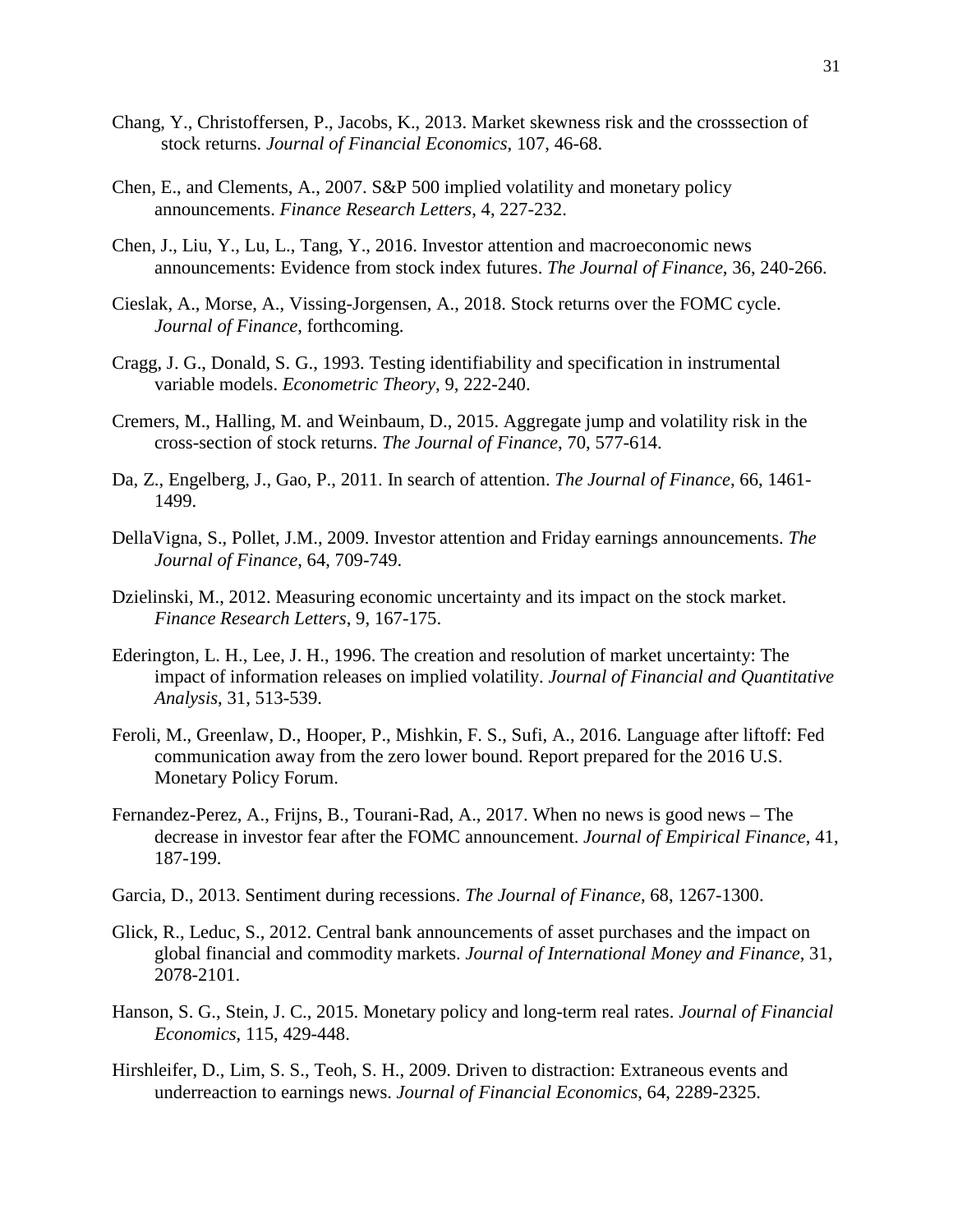- Chang, Y., Christoffersen, P., Jacobs, K., 2013. Market skewness risk and the crosssection of stock returns. *Journal of Financial Economics*, 107, 46-68.
- Chen, E., and Clements, A., 2007. S&P 500 implied volatility and monetary policy announcements. *Finance Research Letters*, 4, 227-232.
- Chen, J., Liu, Y., Lu, L., Tang, Y., 2016. Investor attention and macroeconomic news announcements: Evidence from stock index futures. *The Journal of Finance*, 36, 240-266.
- Cieslak, A., Morse, A., Vissing-Jorgensen, A., 2018. Stock returns over the FOMC cycle. *Journal of Finance*, forthcoming.
- Cragg, J. G., Donald, S. G., 1993. Testing identifiability and specification in instrumental variable models. *Econometric Theory*, 9, 222-240.
- Cremers, M., Halling, M. and Weinbaum, D., 2015. Aggregate jump and volatility risk in the cross-section of stock returns. *The Journal of Finance*, 70, 577-614.
- Da, Z., Engelberg, J., Gao, P., 2011. In search of attention. *The Journal of Finance*, 66, 1461- 1499.
- DellaVigna, S., Pollet, J.M., 2009. Investor attention and Friday earnings announcements. *The Journal of Finance*, 64, 709-749.
- Dzielinski, M., 2012. Measuring economic uncertainty and its impact on the stock market. *Finance Research Letters*, 9, 167-175.
- Ederington, L. H., Lee, J. H., 1996. The creation and resolution of market uncertainty: The impact of information releases on implied volatility. *Journal of Financial and Quantitative Analysis*, 31, 513-539.
- Feroli, M., Greenlaw, D., Hooper, P., Mishkin, F. S., Sufi, A., 2016. Language after liftoff: Fed communication away from the zero lower bound. Report prepared for the 2016 U.S. Monetary Policy Forum.
- Fernandez-Perez, A., Frijns, B., Tourani-Rad, A., 2017. When no news is good news The decrease in investor fear after the FOMC announcement. *Journal of Empirical Finance*, 41, 187-199.
- Garcia, D., 2013. Sentiment during recessions. *The Journal of Finance*, 68, 1267-1300.
- Glick, R., Leduc, S., 2012. Central bank announcements of asset purchases and the impact on global financial and commodity markets. *Journal of International Money and Finance*, 31, 2078-2101.
- Hanson, S. G., Stein, J. C., 2015. Monetary policy and long-term real rates. *Journal of Financial Economics*, 115, 429-448.
- Hirshleifer, D., Lim, S. S., Teoh, S. H., 2009. Driven to distraction: Extraneous events and underreaction to earnings news. *Journal of Financial Economics*, 64, 2289-2325.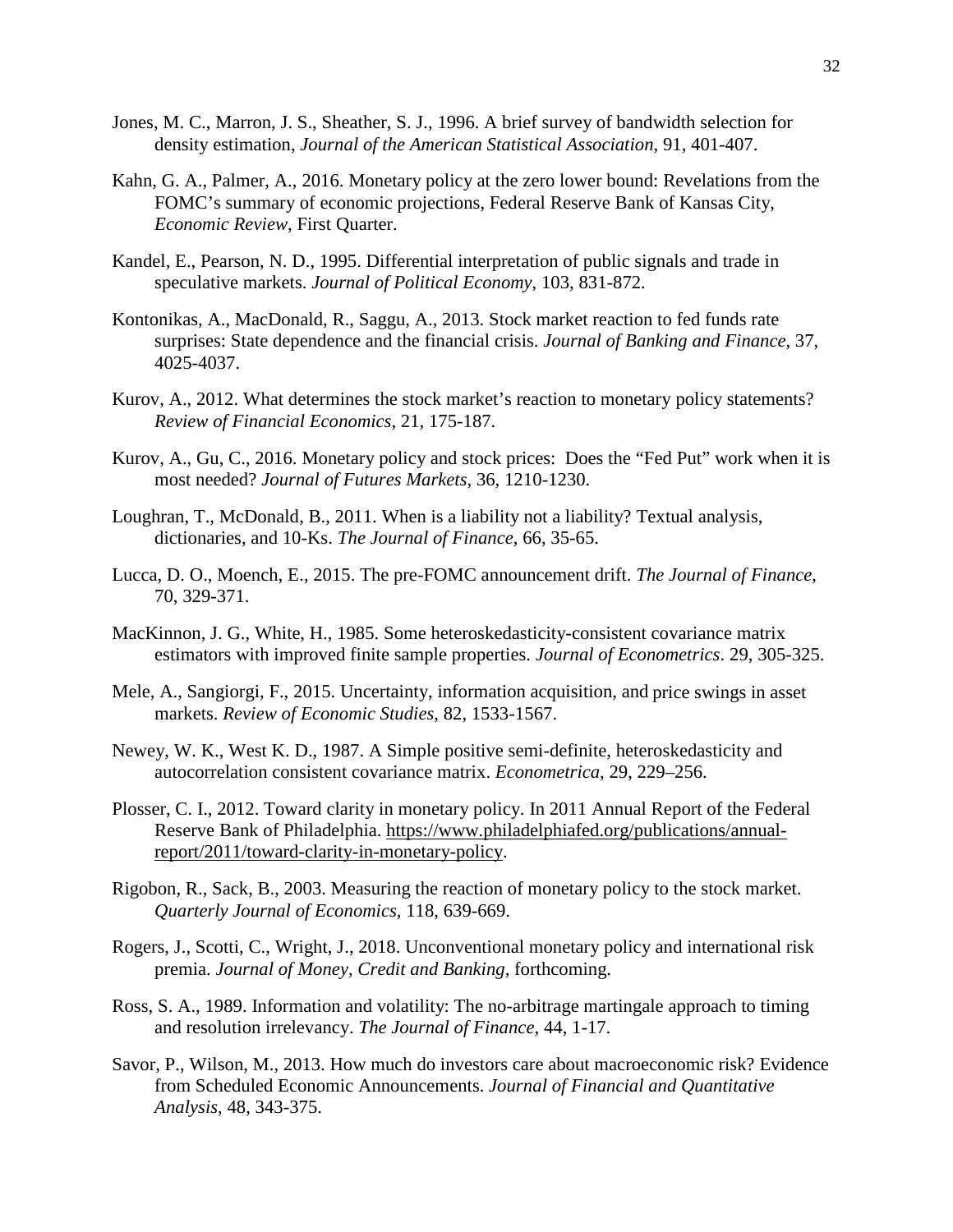- Jones, M. C., Marron, J. S., Sheather, S. J., 1996. A brief survey of bandwidth selection for density estimation, *Journal of the American Statistical Association*, 91, 401-407.
- Kahn, G. A., Palmer, A., 2016. Monetary policy at the zero lower bound: Revelations from the FOMC's summary of economic projections, Federal Reserve Bank of Kansas City, *Economic Review*, First Quarter.
- Kandel, E., Pearson, N. D., 1995. Differential interpretation of public signals and trade in speculative markets. *Journal of Political Economy*, 103, 831-872.
- Kontonikas, A., MacDonald, R., Saggu, A., 2013. Stock market reaction to fed funds rate surprises: State dependence and the financial crisis. *Journal of Banking and Finance*, 37, 4025-4037.
- Kurov, A., 2012. What determines the stock market's reaction to monetary policy statements? *Review of Financial Economics*, 21, 175-187.
- Kurov, A., Gu, C., 2016. Monetary policy and stock prices: Does the "Fed Put" work when it is most needed? *Journal of Futures Markets*, 36, 1210-1230.
- Loughran, T., McDonald, B., 2011. When is a liability not a liability? Textual analysis, dictionaries, and 10-Ks. *The Journal of Finance*, 66, 35-65.
- Lucca, D. O., Moench, E., 2015. The pre-FOMC announcement drift. *The Journal of Finance*, 70, 329-371.
- [MacKinnon,](https://www.sciencedirect.com/science/article/pii/0304407685901587#!) J. G., White, H., 1985. Some heteroskedasticity-consistent covariance matrix estimators with improved finite sample properties. *Journal of Econometrics*. 29, 305-325.
- Mele, A., Sangiorgi, F., 2015. Uncertainty, information acquisition, and price swings in asset markets. *Review of Economic Studies*, 82, 1533-1567.
- Newey, W. K., West K. D., 1987. A Simple positive semi-definite, heteroskedasticity and autocorrelation consistent covariance matrix. *Econometrica*, 29, 229–256.
- Plosser, C. I., 2012. Toward clarity in monetary policy. In 2011 Annual Report of the Federal Reserve Bank of Philadelphia. [https://www.philadelphiafed.org/publications/annual](https://www.philadelphiafed.org/publications/annual-report/2011/toward-clarity-in-monetary-policy)[report/2011/toward-clarity-in-monetary-policy.](https://www.philadelphiafed.org/publications/annual-report/2011/toward-clarity-in-monetary-policy)
- Rigobon, R., Sack, B., 2003. Measuring the reaction of monetary policy to the stock market. *Quarterly Journal of Economics,* 118, 639-669.
- Rogers, J., Scotti, C., Wright, J., 2018. Unconventional monetary policy and international risk premia. *Journal of Money, Credit and Banking,* forthcoming.
- Ross, S. A., 1989. Information and volatility: The no-arbitrage martingale approach to timing and resolution irrelevancy. *The Journal of Finance*, 44, 1-17.
- Savor, P., Wilson, M., 2013. How much do investors care about macroeconomic risk? Evidence from Scheduled Economic Announcements. *Journal of Financial and Quantitative Analysis*, 48, 343-375.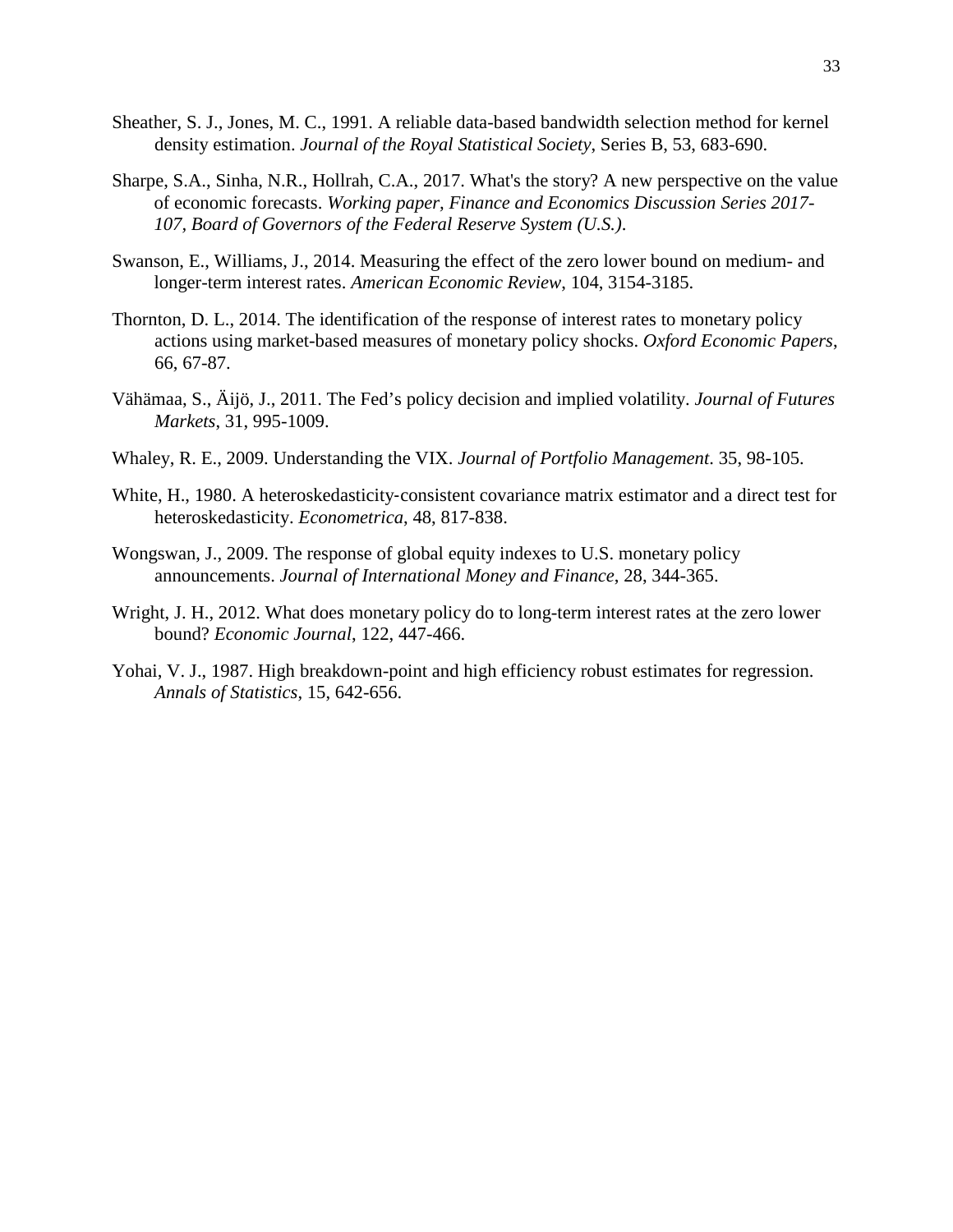- Sheather, S. J., Jones, M. C., 1991. A reliable data-based bandwidth selection method for kernel density estimation. *Journal of the Royal Statistical Society*, Series B, 53, 683-690.
- Sharpe, S.A., Sinha, N.R., Hollrah, C.A., 2017. What's the story? A new perspective on the value of economic forecasts. *Working paper, Finance and Economics Discussion Series 2017- 107, Board of Governors of the Federal Reserve System (U.S.)*.
- Swanson, E., Williams, J., 2014. Measuring the effect of the zero lower bound on medium- and longer-term interest rates. *American Economic Review*, 104, 3154-3185.
- Thornton, D. L., 2014. The identification of the response of interest rates to monetary policy actions using market-based measures of monetary policy shocks. *Oxford Economic Papers*, 66, 67-87.
- Vähämaa, S., Äijö, J., 2011. The Fed's policy decision and implied volatility. *Journal of Futures Markets*, 31, 995-1009.
- Whaley, R. E., 2009. Understanding the VIX. *Journal of Portfolio Management*. 35, 98-105.
- White, H., 1980. A heteroskedasticity-consistent covariance matrix estimator and a direct test for heteroskedasticity. *Econometrica*, 48, 817-838.
- Wongswan, J., 2009. The response of global equity indexes to U.S. monetary policy announcements. *Journal of International Money and Finance*, 28, 344-365.
- Wright, J. H., 2012. What does monetary policy do to long-term interest rates at the zero lower bound? *Economic Journal*, 122, 447-466.
- Yohai, V. J., 1987. High breakdown-point and high efficiency robust estimates for regression. *Annals of Statistics*, 15, 642-656.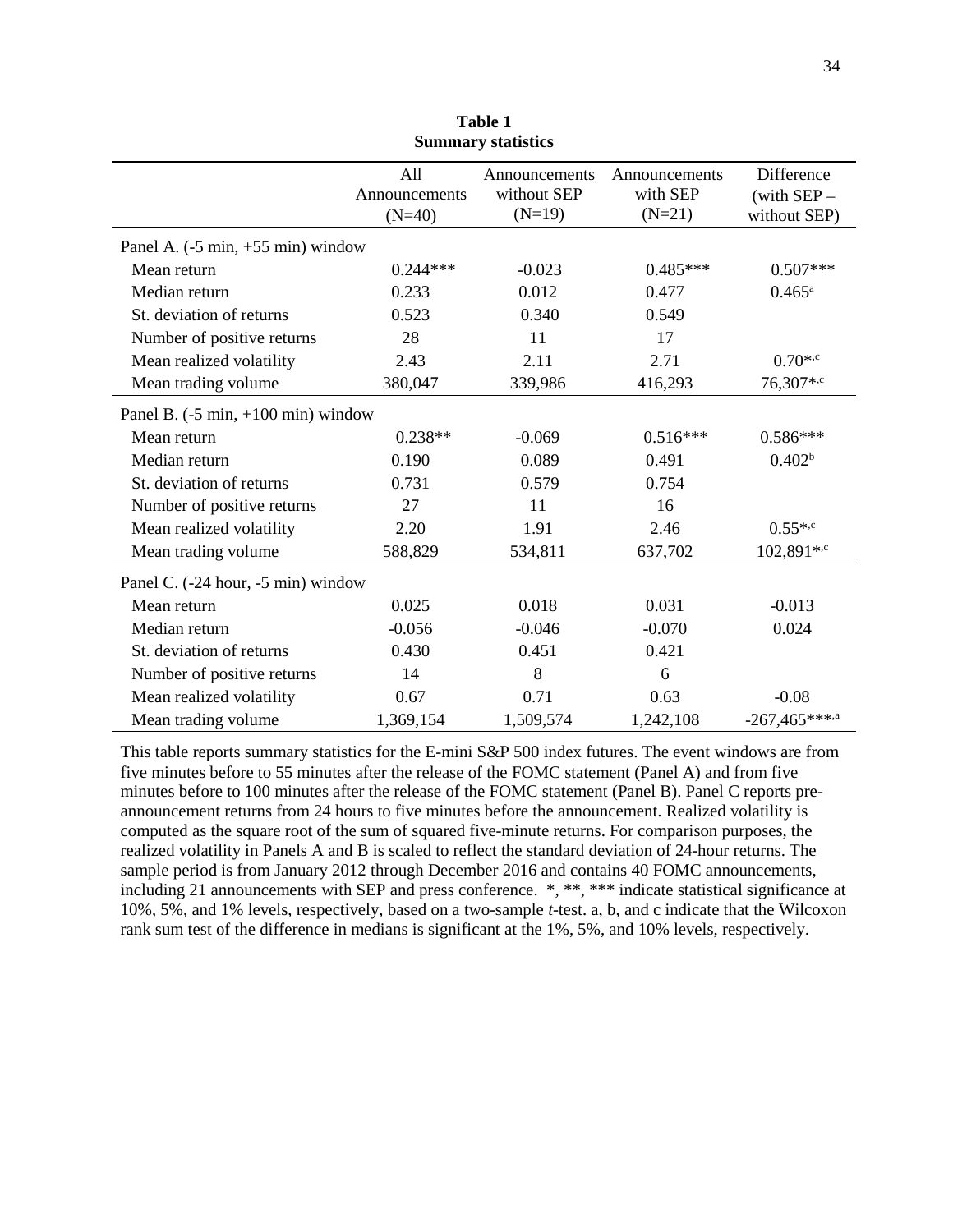|                                                      | All           | Announcements | Announcements | Difference         |
|------------------------------------------------------|---------------|---------------|---------------|--------------------|
|                                                      | Announcements | without SEP   | with SEP      | (with $SEP -$      |
|                                                      | $(N=40)$      | $(N=19)$      | $(N=21)$      | without SEP)       |
| Panel A. $(-5 \text{ min}, +55 \text{ min})$ window  |               |               |               |                    |
| Mean return                                          | $0.244***$    | $-0.023$      | $0.485***$    | $0.507***$         |
| Median return                                        | 0.233         | 0.012         | 0.477         | $0.465^{\rm a}$    |
| St. deviation of returns                             | 0.523         | 0.340         | 0.549         |                    |
| Number of positive returns                           | 28            | 11            | 17            |                    |
| Mean realized volatility                             | 2.43          | 2.11          | 2.71          | $0.70^{*,c}$       |
| Mean trading volume                                  | 380,047       | 339,986       | 416,293       | 76,307*,c          |
| Panel B. $(-5 \text{ min}, +100 \text{ min})$ window |               |               |               |                    |
| Mean return                                          | $0.238**$     | $-0.069$      | $0.516***$    | $0.586***$         |
| Median return                                        | 0.190         | 0.089         | 0.491         | 0.402 <sup>b</sup> |
| St. deviation of returns                             | 0.731         | 0.579         | 0.754         |                    |
| Number of positive returns                           | 27            | 11            | 16            |                    |
| Mean realized volatility                             | 2.20          | 1.91          | 2.46          | $0.55^{*,c}$       |
| Mean trading volume                                  | 588,829       | 534,811       | 637,702       | 102,891*, $c$      |
| Panel C. (-24 hour, -5 min) window                   |               |               |               |                    |
| Mean return                                          | 0.025         | 0.018         | 0.031         | $-0.013$           |
| Median return                                        | $-0.056$      | $-0.046$      | $-0.070$      | 0.024              |
| St. deviation of returns                             | 0.430         | 0.451         | 0.421         |                    |
| Number of positive returns                           | 14            | 8             | 6             |                    |
| Mean realized volatility                             | 0.67          | 0.71          | 0.63          | $-0.08$            |
| Mean trading volume                                  | 1,369,154     | 1,509,574     | 1,242,108     | $-267,465***$      |

**Table 1 Summary statistics** 

This table reports summary statistics for the E-mini S&P 500 index futures. The event windows are from five minutes before to 55 minutes after the release of the FOMC statement (Panel A) and from five minutes before to 100 minutes after the release of the FOMC statement (Panel B). Panel C reports preannouncement returns from 24 hours to five minutes before the announcement. Realized volatility is computed as the square root of the sum of squared five-minute returns. For comparison purposes, the realized volatility in Panels A and B is scaled to reflect the standard deviation of 24-hour returns. The sample period is from January 2012 through December 2016 and contains 40 FOMC announcements, including 21 announcements with SEP and press conference. \*, \*\*, \*\*\* indicate statistical significance at 10%, 5%, and 1% levels, respectively, based on a two-sample *t*-test. a, b, and c indicate that the Wilcoxon rank sum test of the difference in medians is significant at the 1%, 5%, and 10% levels, respectively.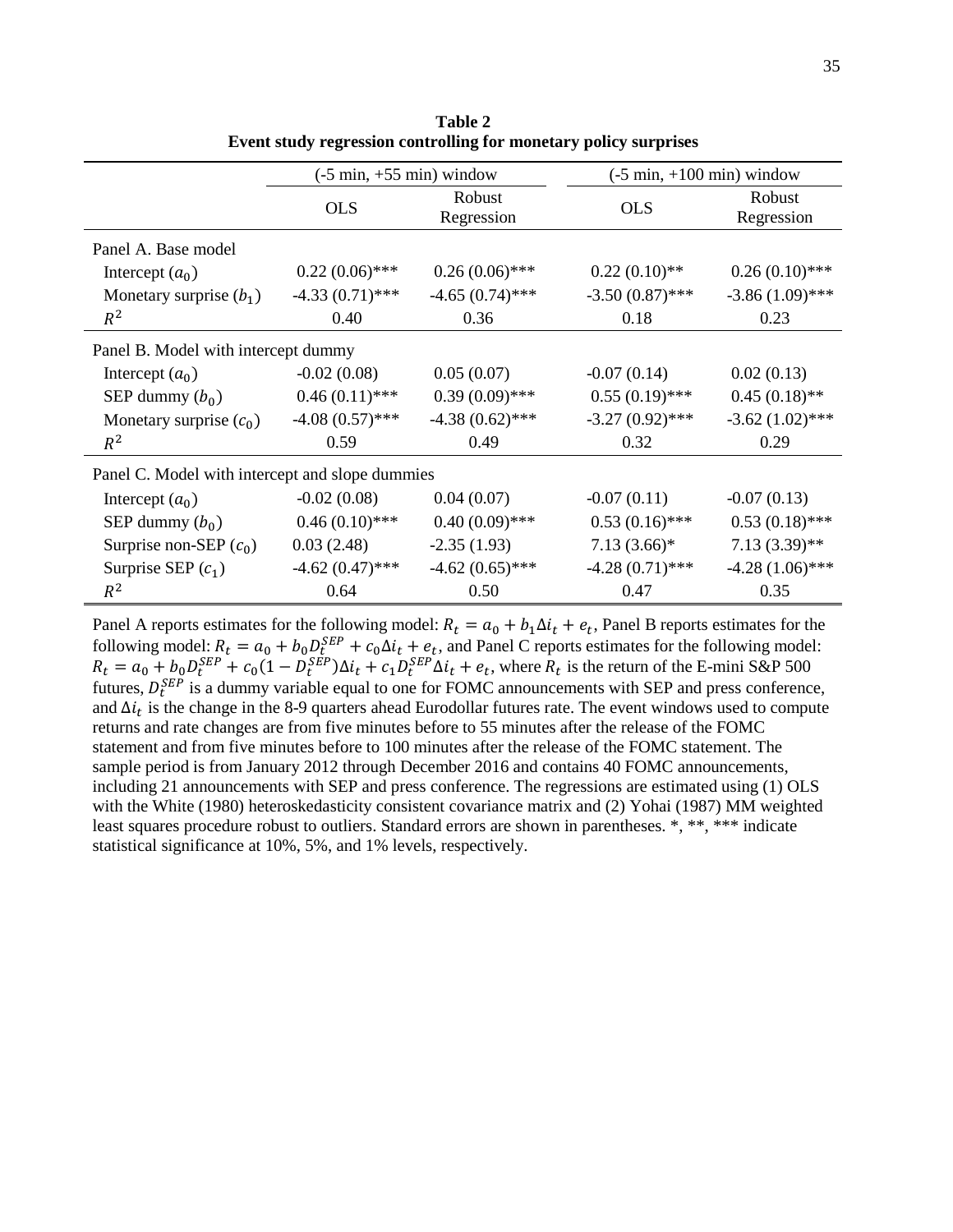|                                                 | $(-5 \text{ min}, +55 \text{ min})$ window |                      | $(-5 \text{ min}, +100 \text{ min})$ window |                      |
|-------------------------------------------------|--------------------------------------------|----------------------|---------------------------------------------|----------------------|
|                                                 | <b>OLS</b>                                 | Robust<br>Regression | <b>OLS</b>                                  | Robust<br>Regression |
| Panel A. Base model                             |                                            |                      |                                             |                      |
| Intercept $(a_0)$                               | $0.22(0.06)$ ***                           | $0.26(0.06)$ ***     | $0.22(0.10)$ **                             | $0.26(0.10)$ ***     |
| Monetary surprise $(b_1)$                       | $-4.33(0.71)$ ***                          | $-4.65(0.74)$ ***    | $-3.50(0.87)$ ***                           | $-3.86(1.09)$ ***    |
| $R^2$                                           | 0.40                                       | 0.36                 | 0.18                                        | 0.23                 |
| Panel B. Model with intercept dummy             |                                            |                      |                                             |                      |
| Intercept $(a_0)$                               | $-0.02(0.08)$                              | 0.05(0.07)           | $-0.07(0.14)$                               | 0.02(0.13)           |
| SEP dummy $(b_0)$                               | $0.46(0.11)$ ***                           | $0.39(0.09)$ ***     | $0.55(0.19)$ ***                            | $0.45(0.18)$ **      |
| Monetary surprise $(c_0)$                       | $-4.08(0.57)$ ***                          | $-4.38(0.62)$ ***    | $-3.27(0.92)$ ***                           | $-3.62(1.02)$ ***    |
| $R^2$                                           | 0.59                                       | 0.49                 | 0.32                                        | 0.29                 |
| Panel C. Model with intercept and slope dummies |                                            |                      |                                             |                      |
| Intercept $(a_0)$                               | $-0.02(0.08)$                              | 0.04(0.07)           | $-0.07(0.11)$                               | $-0.07(0.13)$        |
| SEP dummy $(b_0)$                               | $0.46(0.10)$ ***                           | $0.40(0.09)$ ***     | $0.53(0.16)$ ***                            | $0.53(0.18)$ ***     |
| Surprise non-SEP $(c_0)$                        | 0.03(2.48)                                 | $-2.35(1.93)$        | $7.13(3.66)$ *                              | $7.13(3.39)$ **      |
| Surprise SEP $(c_1)$                            | $-4.62(0.47)$ ***                          | $-4.62(0.65)$ ***    | $-4.28(0.71)$ ***                           | $-4.28(1.06)$ ***    |
| $R^2$                                           | 0.64                                       | 0.50                 | 0.47                                        | 0.35                 |

**Table 2 Event study regression controlling for monetary policy surprises** 

Panel A reports estimates for the following model:  $R_t = a_0 + b_1 \Delta i_t + e_t$ , Panel B reports estimates for the following model:  $R_t = a_0 + b_0 D_t^{SEP} + c_0 \Delta t_t + e_t$ , and Panel C reports estimates for the following model:  $R_t = a_0 + b_0 D_t^{SEP} + c_0 (1 - D_t^{SEP}) \Delta t_t + c_1 D_t^{SEP} \Delta t_t + e_t$ , where  $R_t$  is the return of the E-mini S&P 500 futures,  $D_t^{SEP}$  is a dummy variable equal to one for FOMC announcements with SEP and press conference, and  $\Delta i_t$  is the change in the 8-9 quarters ahead Eurodollar futures rate. The event windows used to compute returns and rate changes are from five minutes before to 55 minutes after the release of the FOMC statement and from five minutes before to 100 minutes after the release of the FOMC statement. The sample period is from January 2012 through December 2016 and contains 40 FOMC announcements, including 21 announcements with SEP and press conference. The regressions are estimated using (1) OLS with the White (1980) heteroskedasticity consistent covariance matrix and (2) Yohai (1987) MM weighted least squares procedure robust to outliers. Standard errors are shown in parentheses. \*, \*\*, \*\*\* indicate statistical significance at 10%, 5%, and 1% levels, respectively.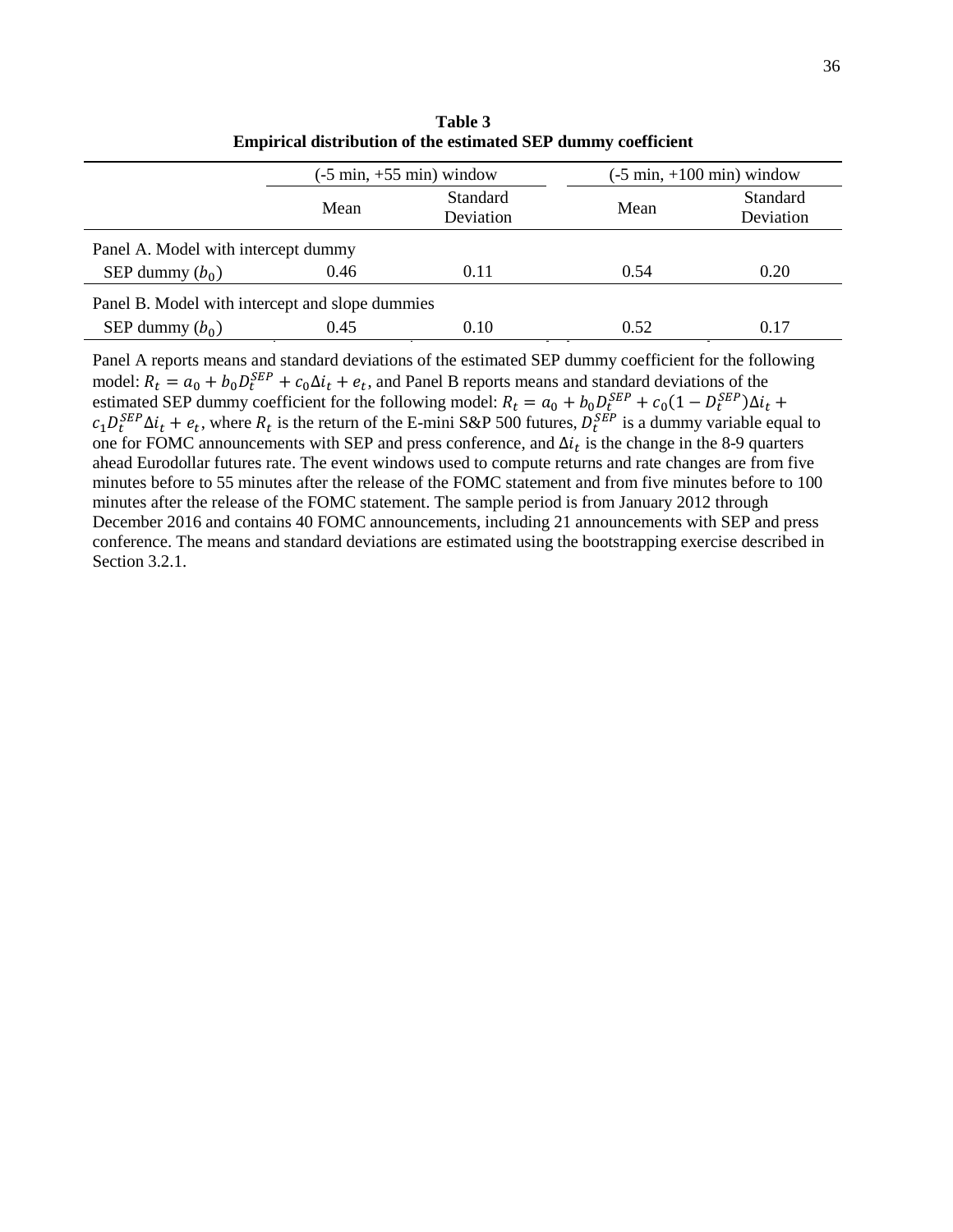|                                                 | $(-5 \text{ min}, +55 \text{ min})$ window |                       | $(-5 \text{ min}, +100 \text{ min})$ window |                       |
|-------------------------------------------------|--------------------------------------------|-----------------------|---------------------------------------------|-----------------------|
|                                                 | Mean                                       | Standard<br>Deviation | Mean                                        | Standard<br>Deviation |
| Panel A. Model with intercept dummy             |                                            |                       |                                             |                       |
| SEP dummy $(b_0)$                               | 0.46                                       | 0.11                  | 0.54                                        | 0.20                  |
| Panel B. Model with intercept and slope dummies |                                            |                       |                                             |                       |
| SEP dummy $(b_0)$                               | 0.45                                       | 0.10                  | 0.52                                        | 0.17                  |

**Table 3 Empirical distribution of the estimated SEP dummy coefficient**

Panel A reports means and standard deviations of the estimated SEP dummy coefficient for the following model:  $R_t = a_0 + b_0 D_t^{SEP} + c_0 \Delta t_t + e_t$ , and Panel B reports means and standard deviations of the estimated SEP dummy coefficient for the following model:  $R_t = a_0 + b_0 D_t^{SEP} + c_0 (1 - D_t^{SEP}) \Delta t_t +$  $c_1 D_t^{SEP} \Delta t_t + e_t$ , where  $R_t$  is the return of the E-mini S&P 500 futures,  $D_t^{SEP}$  is a dummy variable equal to one for FOMC announcements with SEP and press conference, and  $\Delta i_t$  is the change in the 8-9 quarters ahead Eurodollar futures rate. The event windows used to compute returns and rate changes are from five minutes before to 55 minutes after the release of the FOMC statement and from five minutes before to 100 minutes after the release of the FOMC statement. The sample period is from January 2012 through December 2016 and contains 40 FOMC announcements, including 21 announcements with SEP and press conference. The means and standard deviations are estimated using the bootstrapping exercise described in Section 3.2.1.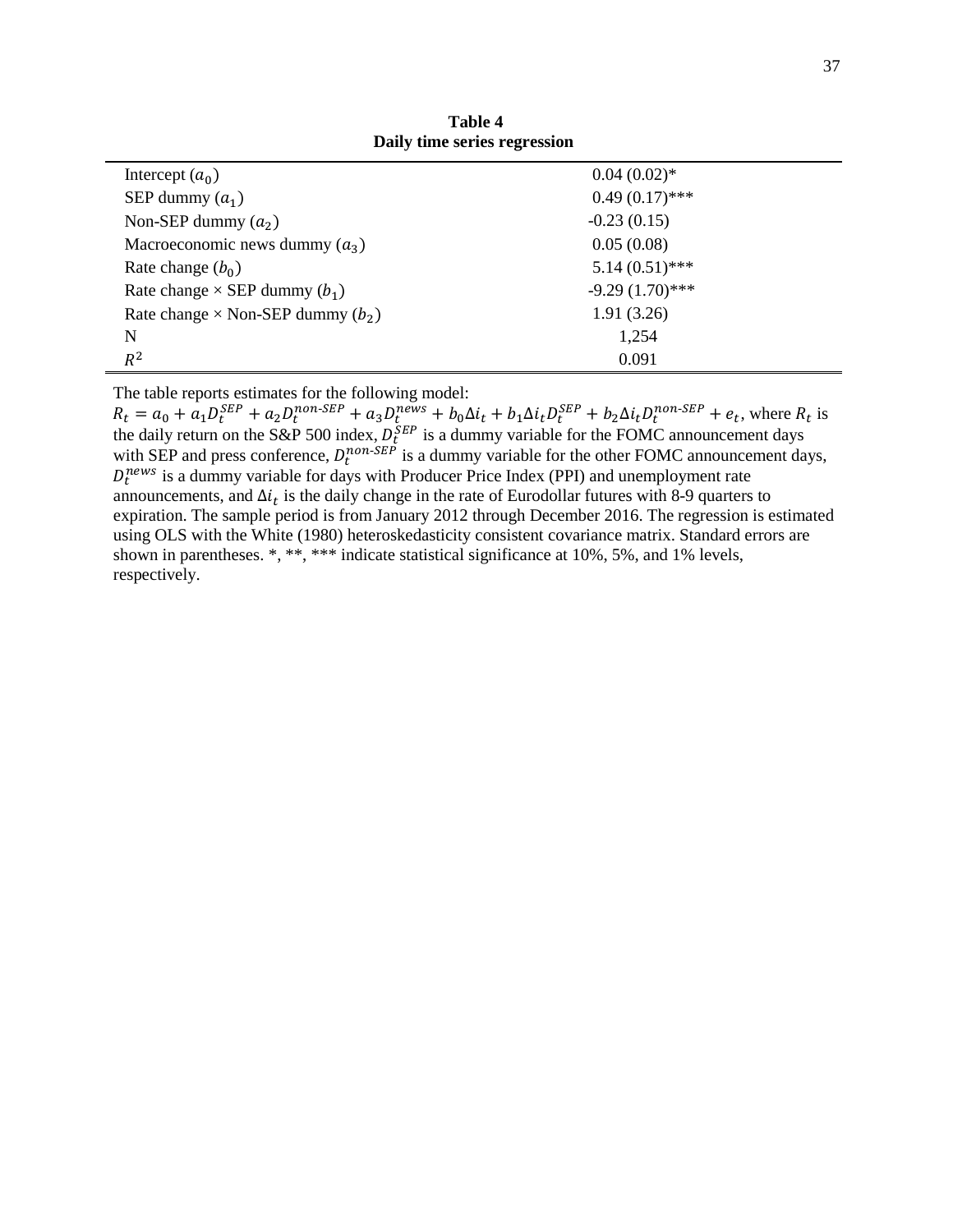| Intercept $(a_0)$                          | $0.04(0.02)*$     |
|--------------------------------------------|-------------------|
| SEP dummy $(a_1)$                          | $0.49(0.17)$ ***  |
| Non-SEP dummy $(a_2)$                      | $-0.23(0.15)$     |
| Macroeconomic news dummy $(a_3)$           | 0.05(0.08)        |
| Rate change $(b_0)$                        | $5.14(0.51)$ ***  |
| Rate change $\times$ SEP dummy $(b_1)$     | $-9.29(1.70)$ *** |
| Rate change $\times$ Non-SEP dummy $(b_2)$ | 1.91(3.26)        |
| N                                          | 1,254             |
| $R^2$                                      | 0.091             |

**Table 4 Daily time series regression**

The table reports estimates for the following model:

 $R_t = a_0 + a_1 D_t^{SEP} + a_2 D_t^{non-SEP} + a_3 D_t^{news} + b_0 \Delta i_t + b_1 \Delta i_t D_t^{SEP} + b_2 \Delta i_t D_t^{non-SEP} + e_t$ , where  $R_t$  is the daily return on the S&P 500 index,  $D_t^{SEP}$  is a dummy variable for the FOMC announcement days with SEP and press conference,  $D_t^{non-SEP}$  is a dummy variable for the other FOMC announcement days,  $D_t^{news}$  is a dummy variable for days with Producer Price Index (PPI) and unemployment rate announcements, and  $\Delta t_t$  is the daily change in the rate of Eurodollar futures with 8-9 quarters to expiration. The sample period is from January 2012 through December 2016. The regression is estimated using OLS with the White (1980) heteroskedasticity consistent covariance matrix. Standard errors are shown in parentheses. \*, \*\*, \*\*\* indicate statistical significance at 10%, 5%, and 1% levels, respectively.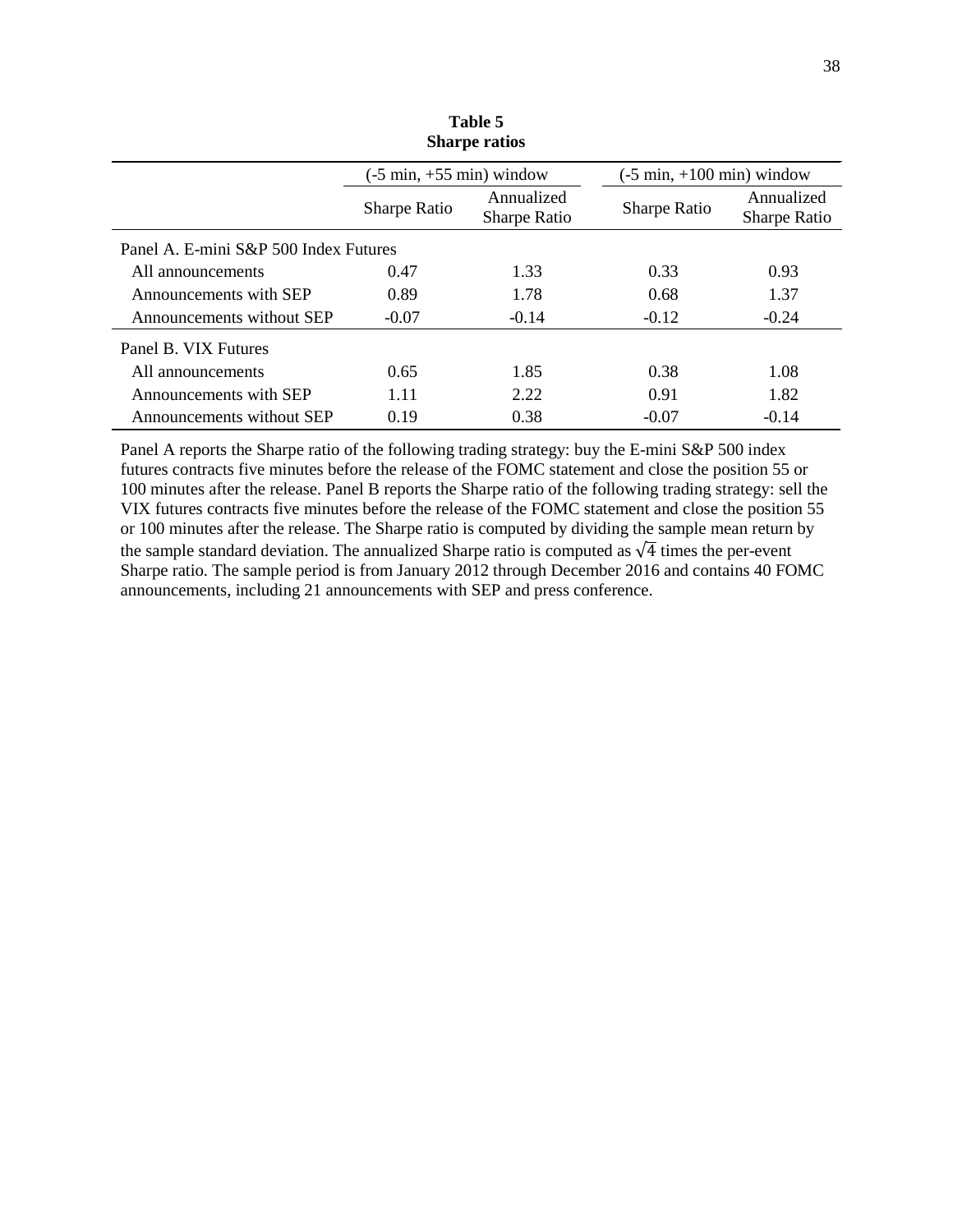| <b>Sharpe ratios</b>                  |                                            |                                   |                                             |                            |
|---------------------------------------|--------------------------------------------|-----------------------------------|---------------------------------------------|----------------------------|
|                                       | $(-5 \text{ min}, +55 \text{ min})$ window |                                   | $(-5 \text{ min}, +100 \text{ min})$ window |                            |
|                                       | <b>Sharpe Ratio</b>                        | Annualized<br><b>Sharpe Ratio</b> | Sharpe Ratio                                | Annualized<br>Sharpe Ratio |
| Panel A. E-mini S&P 500 Index Futures |                                            |                                   |                                             |                            |
| All announcements                     | 0.47                                       | 1.33                              | 0.33                                        | 0.93                       |
| Announcements with SEP                | 0.89                                       | 1.78                              | 0.68                                        | 1.37                       |
| Announcements without SEP             | $-0.07$                                    | $-0.14$                           | $-0.12$                                     | $-0.24$                    |
| Panel B. VIX Futures                  |                                            |                                   |                                             |                            |
| All announcements                     | 0.65                                       | 1.85                              | 0.38                                        | 1.08                       |
| Announcements with SEP                | 1.11                                       | 2.22                              | 0.91                                        | 1.82                       |
| Announcements without SEP             | 0.19                                       | 0.38                              | $-0.07$                                     | $-0.14$                    |

**Table 5**

Panel A reports the Sharpe ratio of the following trading strategy: buy the E-mini S&P 500 index futures contracts five minutes before the release of the FOMC statement and close the position 55 or 100 minutes after the release. Panel B reports the Sharpe ratio of the following trading strategy: sell the VIX futures contracts five minutes before the release of the FOMC statement and close the position 55 or 100 minutes after the release. The Sharpe ratio is computed by dividing the sample mean return by the sample standard deviation. The annualized Sharpe ratio is computed as  $\sqrt{4}$  times the per-event Sharpe ratio. The sample period is from January 2012 through December 2016 and contains 40 FOMC announcements, including 21 announcements with SEP and press conference.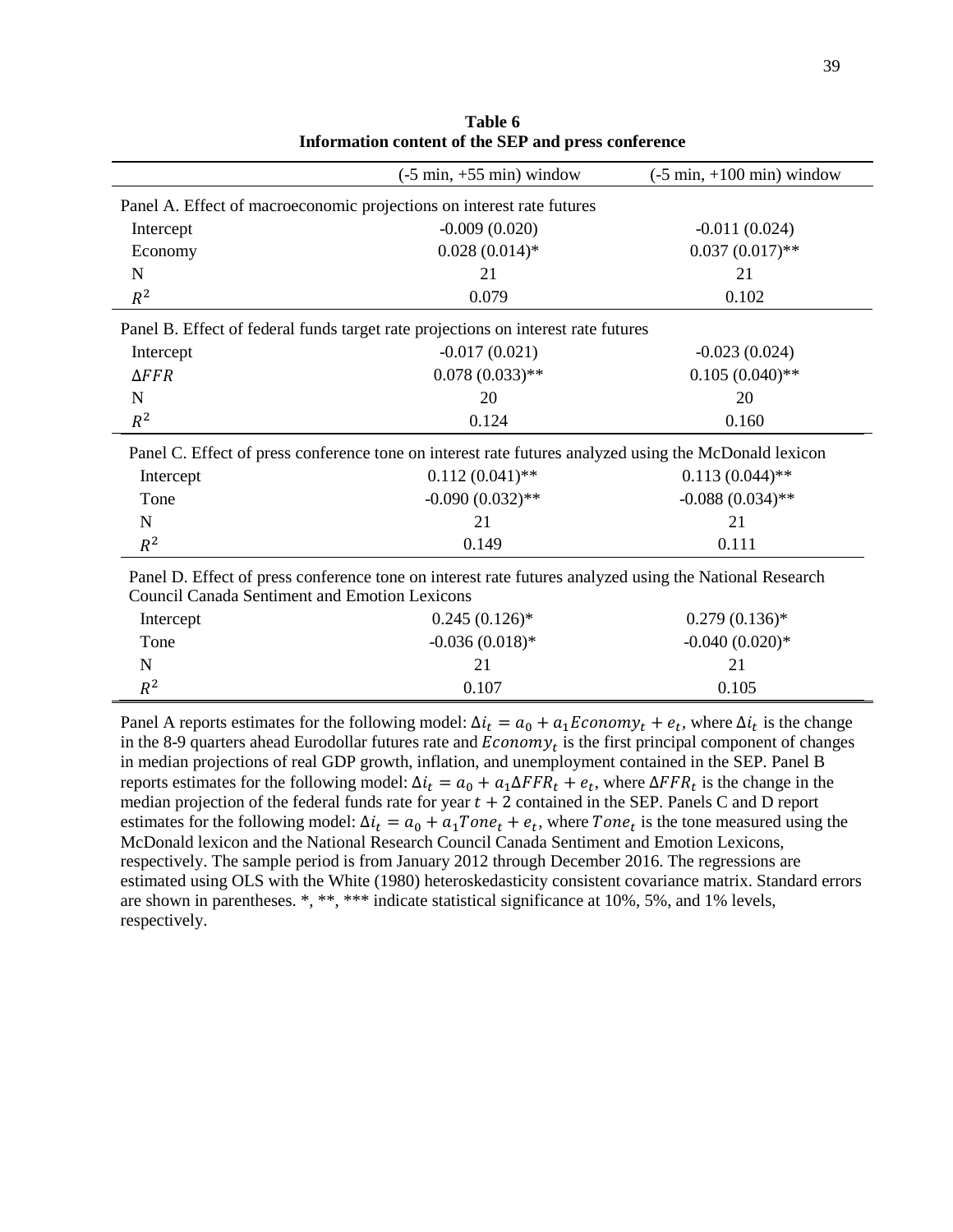|                                                                                                        | $(-5 \text{ min}, +55 \text{ min})$ window | $(-5 \text{ min}, +100 \text{ min})$ window |  |  |
|--------------------------------------------------------------------------------------------------------|--------------------------------------------|---------------------------------------------|--|--|
| Panel A. Effect of macroeconomic projections on interest rate futures                                  |                                            |                                             |  |  |
| Intercept                                                                                              | $-0.009(0.020)$                            | $-0.011(0.024)$                             |  |  |
| Economy                                                                                                | $0.028(0.014)$ *                           | $0.037(0.017)$ **                           |  |  |
| N                                                                                                      | 21                                         | 21                                          |  |  |
| $R^2$                                                                                                  | 0.079                                      | 0.102                                       |  |  |
| Panel B. Effect of federal funds target rate projections on interest rate futures                      |                                            |                                             |  |  |
| Intercept                                                                                              | $-0.017(0.021)$                            | $-0.023(0.024)$                             |  |  |
| $\triangle FFR$                                                                                        | $0.078(0.033)$ **                          | $0.105(0.040)$ **                           |  |  |
| N                                                                                                      | 20                                         | 20                                          |  |  |
| $R^2$                                                                                                  | 0.124                                      | 0.160                                       |  |  |
| Panel C. Effect of press conference tone on interest rate futures analyzed using the McDonald lexicon  |                                            |                                             |  |  |
| Intercept                                                                                              | $0.112(0.041)$ **                          | $0.113(0.044)$ **                           |  |  |
| Tone                                                                                                   | $-0.090(0.032)$ **                         | $-0.088(0.034)$ **                          |  |  |
| $\mathbf N$                                                                                            | 21                                         | 21                                          |  |  |
| $R^2$                                                                                                  | 0.149                                      | 0.111                                       |  |  |
| Panel D. Effect of press conference tone on interest rate futures analyzed using the National Research |                                            |                                             |  |  |
| <b>Council Canada Sentiment and Emotion Lexicons</b>                                                   |                                            |                                             |  |  |
| Intercept                                                                                              | $0.245(0.126)$ *                           | $0.279(0.136)*$                             |  |  |
| Tone                                                                                                   | $-0.036(0.018)$ *                          | $-0.040(0.020)*$                            |  |  |
| N                                                                                                      | 21                                         | 21                                          |  |  |
| $R^2$                                                                                                  | 0.107                                      | 0.105                                       |  |  |

**Table 6 Information content of the SEP and press conference**

Panel A reports estimates for the following model:  $\Delta i_t = a_0 + a_1 E_{\text{con}} m y_t + e_t$ , where  $\Delta i_t$  is the change in the 8-9 quarters ahead Eurodollar futures rate and  $E_{\text{conomy}_t}$  is the first principal component of changes in median projections of real GDP growth, inflation, and unemployment contained in the SEP. Panel B reports estimates for the following model:  $\Delta i_t = a_0 + a_1 \Delta F F R_t + e_t$ , where  $\Delta F F R_t$  is the change in the median projection of the federal funds rate for year  $t + 2$  contained in the SEP. Panels C and D report estimates for the following model:  $\Delta i_t = a_0 + a_1 Tone_t + e_t$ , where  $Tone_t$  is the tone measured using the McDonald lexicon and the National Research Council Canada Sentiment and Emotion Lexicons, respectively. The sample period is from January 2012 through December 2016. The regressions are estimated using OLS with the White (1980) heteroskedasticity consistent covariance matrix. Standard errors are shown in parentheses. \*, \*\*, \*\*\* indicate statistical significance at 10%, 5%, and 1% levels, respectively.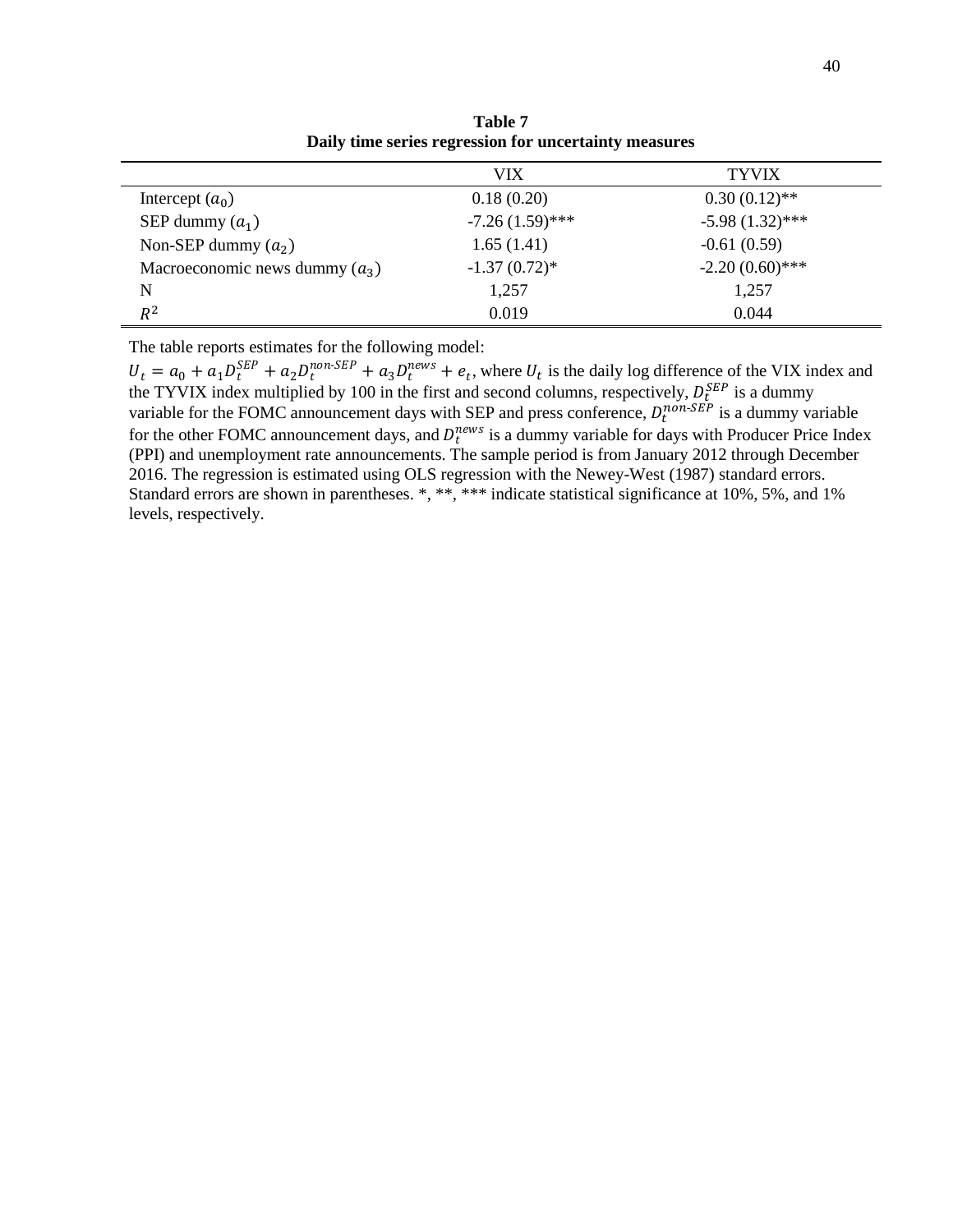|                                  | <b>VIX</b>        | <b>TYVIX</b>      |  |
|----------------------------------|-------------------|-------------------|--|
| Intercept $(a_0)$                | 0.18(0.20)        | $0.30(0.12)$ **   |  |
| SEP dummy $(a_1)$                | $-7.26(1.59)$ *** | $-5.98(1.32)$ *** |  |
| Non-SEP dummy $(a_2)$            | 1.65(1.41)        | $-0.61(0.59)$     |  |
| Macroeconomic news dummy $(a_3)$ | $-1.37(0.72)$ *   | $-2.20(0.60)$ *** |  |
| N                                | 1,257             | 1,257             |  |
| $R^2$                            | 0.019             | 0.044             |  |

**Table 7 Daily time series regression for uncertainty measures**

The table reports estimates for the following model:

 $U_t = a_0 + a_1 D_t^{SEP} + a_2 D_t^{non-SEP} + a_3 D_t^{news} + e_t$ , where  $U_t$  is the daily log difference of the VIX index and the TYVIX index multiplied by 100 in the first and second columns, respectively,  $D_{\rm t}^{SEP}$  is a dummy variable for the FOMC announcement days with SEP and press conference,  $D_t^{non-SEP}$  is a dummy variable for the other FOMC announcement days, and  $D_t^{news}$  is a dummy variable for days with Producer Price Index (PPI) and unemployment rate announcements. The sample period is from January 2012 through December 2016. The regression is estimated using OLS regression with the Newey-West (1987) standard errors. Standard errors are shown in parentheses. \*, \*\*, \*\*\* indicate statistical significance at 10%, 5%, and 1% levels, respectively.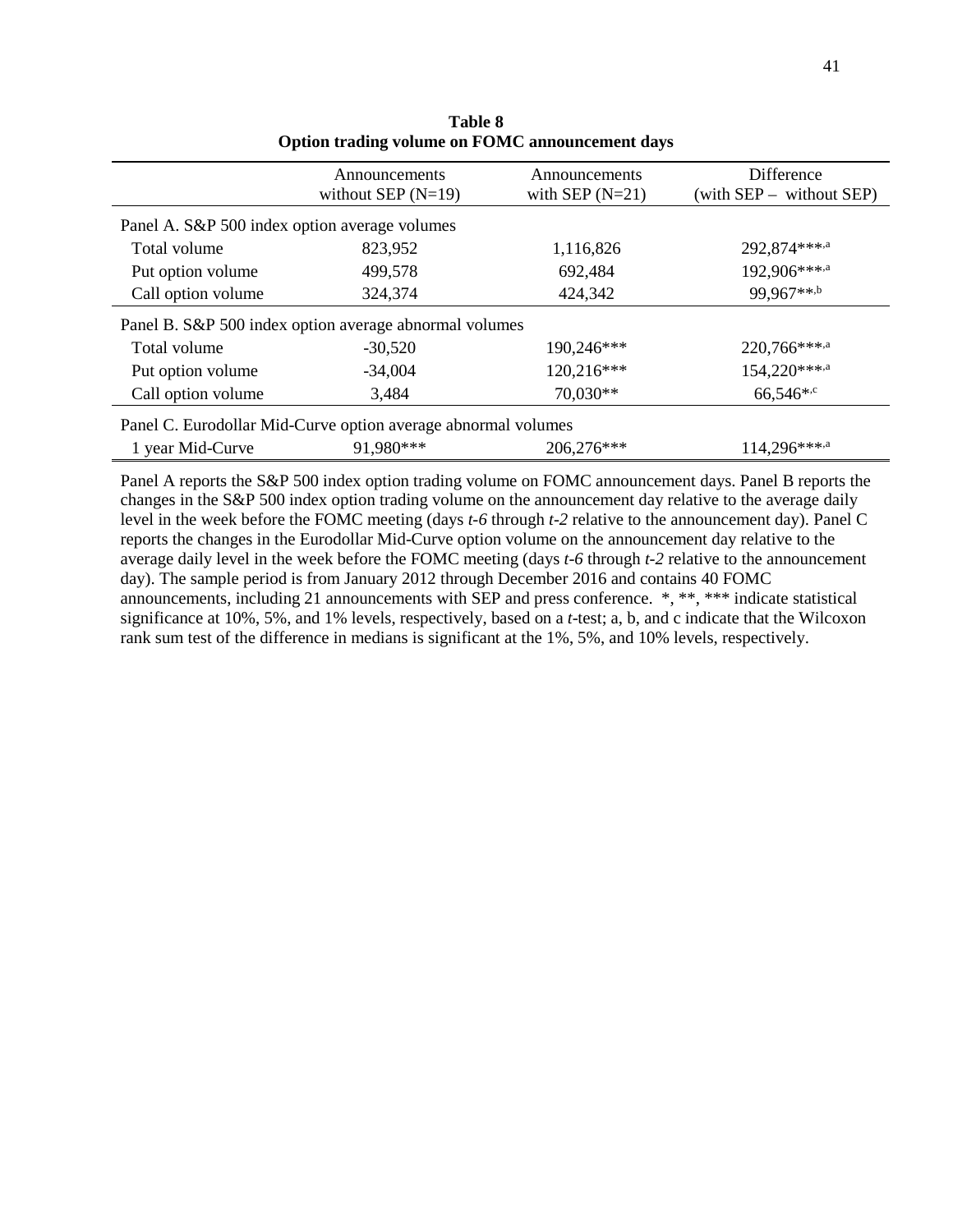|                                               | Announcements                                                 | Announcements     | Difference               |
|-----------------------------------------------|---------------------------------------------------------------|-------------------|--------------------------|
|                                               | without SEP $(N=19)$                                          | with SEP $(N=21)$ | (with SEP – without SEP) |
| Panel A. S&P 500 index option average volumes |                                                               |                   |                          |
| Total volume                                  | 823,952                                                       | 1,116,826         | 292,874***,a             |
| Put option volume                             | 499,578                                                       | 692,484           | 192,906***,a             |
| Call option volume                            | 324,374                                                       | 424,342           | 99,967**,b               |
|                                               | Panel B. S&P 500 index option average abnormal volumes        |                   |                          |
| Total volume                                  | $-30,520$                                                     | 190,246***        | 220,766***,a             |
| Put option volume                             | $-34,004$                                                     | 120,216***        | 154,220***,a             |
| Call option volume                            | 3,484                                                         | 70,030**          | 66,546*, $c$             |
|                                               | Panel C. Eurodollar Mid-Curve option average abnormal volumes |                   |                          |
| 1 year Mid-Curve                              | 91.980***                                                     | 206,276***        | 114,296***,a             |

**Table 8 Option trading volume on FOMC announcement days**

Panel A reports the S&P 500 index option trading volume on FOMC announcement days. Panel B reports the changes in the S&P 500 index option trading volume on the announcement day relative to the average daily level in the week before the FOMC meeting (days *t-6* through *t-2* relative to the announcement day). Panel C reports the changes in the Eurodollar Mid-Curve option volume on the announcement day relative to the average daily level in the week before the FOMC meeting (days *t-6* through *t-2* relative to the announcement day). The sample period is from January 2012 through December 2016 and contains 40 FOMC announcements, including 21 announcements with SEP and press conference. \*, \*\*, \*\*\* indicate statistical significance at 10%, 5%, and 1% levels, respectively, based on a *t*-test; a, b, and c indicate that the Wilcoxon rank sum test of the difference in medians is significant at the 1%, 5%, and 10% levels, respectively.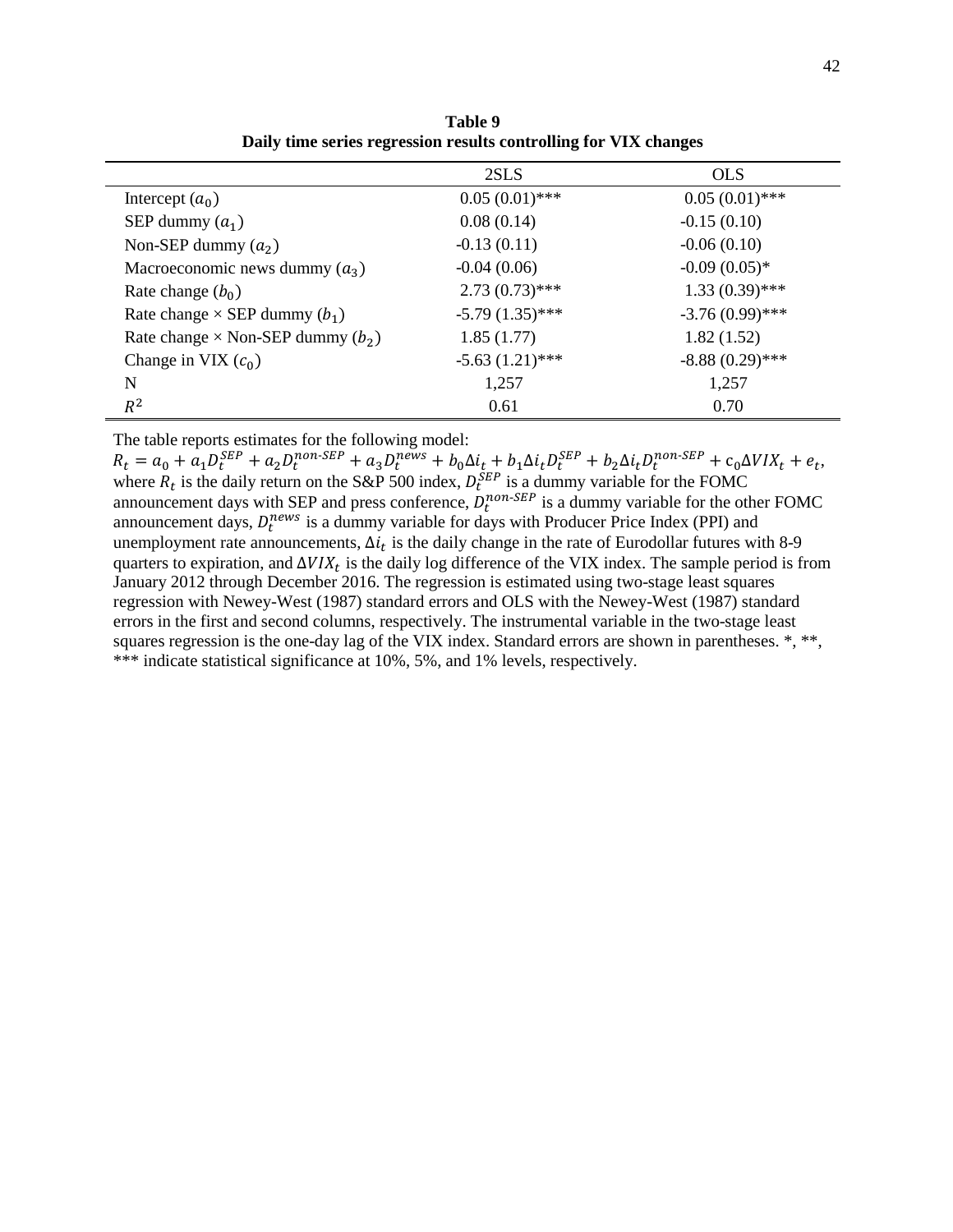|                                            | 2SLS              | <b>OLS</b>        |
|--------------------------------------------|-------------------|-------------------|
| Intercept $(a_0)$                          | $0.05(0.01)$ ***  | $0.05(0.01)$ ***  |
| SEP dummy $(a_1)$                          | 0.08(0.14)        | $-0.15(0.10)$     |
| Non-SEP dummy $(a_2)$                      | $-0.13(0.11)$     | $-0.06(0.10)$     |
| Macroeconomic news dummy $(a_3)$           | $-0.04(0.06)$     | $-0.09(0.05)*$    |
| Rate change $(b_0)$                        | $2.73(0.73)$ ***  | $1.33(0.39)$ ***  |
| Rate change $\times$ SEP dummy $(b_1)$     | $-5.79(1.35)$ *** | $-3.76(0.99)$ *** |
| Rate change $\times$ Non-SEP dummy $(b_2)$ | 1.85(1.77)        | 1.82(1.52)        |
| Change in VIX $(c_0)$                      | $-5.63(1.21)$ *** | $-8.88(0.29)$ *** |
| N                                          | 1,257             | 1,257             |
| $R^2$                                      | 0.61              | 0.70              |

**Table 9 Daily time series regression results controlling for VIX changes** 

The table reports estimates for the following model:

 $R_t = a_0 + a_1 D_t^{SEP} + a_2 D_t^{non-SEP} + a_3 D_t^{news} + b_0 \Delta t_t + b_1 \Delta t_t D_t^{SEP} + b_2 \Delta t_t D_t^{non-SEP} + c_0 \Delta V I X_t + e_t,$ where  $R_t$  is the daily return on the S&P 500 index,  $D_t^{SEP}$  is a dummy variable for the FOMC announcement days with SEP and press conference,  $D_t^{non-SEP}$  is a dummy variable for the other FOMC announcement days,  $D_t^{news}$  is a dummy variable for days with Producer Price Index (PPI) and unemployment rate announcements,  $\Delta i_t$  is the daily change in the rate of Eurodollar futures with 8-9 quarters to expiration, and  $\Delta VIX_t$  is the daily log difference of the VIX index. The sample period is from January 2012 through December 2016. The regression is estimated using two-stage least squares regression with Newey-West (1987) standard errors and OLS with the Newey-West (1987) standard errors in the first and second columns, respectively. The instrumental variable in the two-stage least squares regression is the one-day lag of the VIX index. Standard errors are shown in parentheses. \*, \*\*, \*\*\* indicate statistical significance at 10%, 5%, and 1% levels, respectively.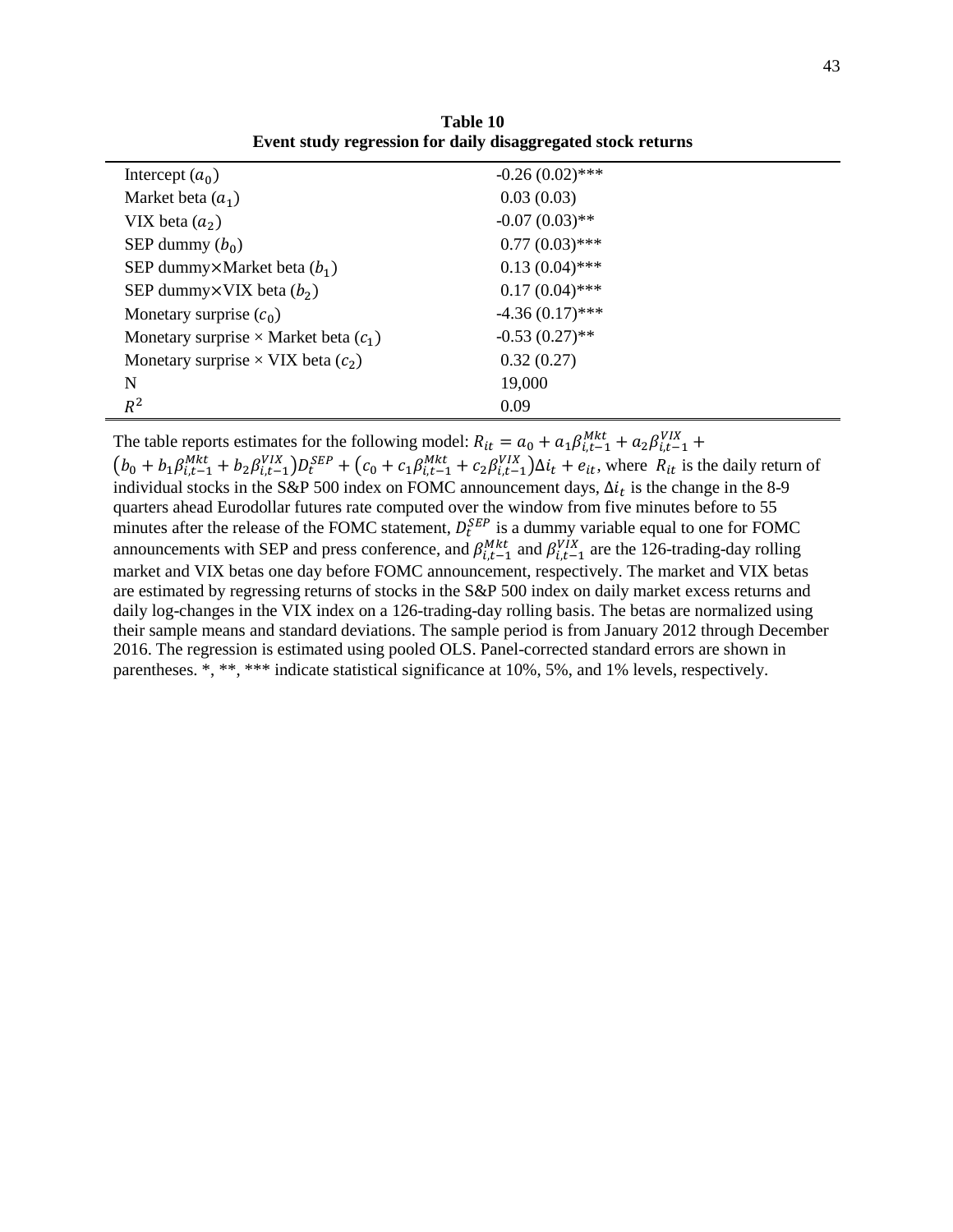| Intercept $(a_0)$                              | $-0.26(0.02)$ *** |
|------------------------------------------------|-------------------|
| Market beta $(a_1)$                            | 0.03(0.03)        |
| VIX beta $(a_2)$                               | $-0.07(0.03)$ **  |
| SEP dummy $(b_0)$                              | $0.77(0.03)$ ***  |
| SEP dummy $\times$ Market beta ( $b_1$ )       | $0.13(0.04)$ ***  |
| SEP dummy $\times$ VIX beta ( $b_2$ )          | $0.17(0.04)$ ***  |
| Monetary surprise $(c_0)$                      | $-4.36(0.17)$ *** |
| Monetary surprise $\times$ Market beta $(c_1)$ | $-0.53(0.27)$ **  |
| Monetary surprise $\times$ VIX beta $(c_2)$    | 0.32(0.27)        |
| N                                              | 19,000            |
| $R^2$                                          | 0.09              |

**Table 10 Event study regression for daily disaggregated stock returns**

The table reports estimates for the following model:  $R_{it} = a_0 + a_1 \beta_{i,t-1}^{Mkt} + a_2 \beta_{i,t-1}^{VIX} +$  $(b_0 + b_1 \beta_{i,t-1}^{Mkt} + b_2 \beta_{i,t-1}^{VIX}) D_t^{SEP} + (c_0 + c_1 \beta_{i,t-1}^{Mkt} + c_2 \beta_{i,t-1}^{VIX}) \Delta i_t + e_{it}$ , where  $R_{it}$  is the daily return of individual stocks in the S&P 500 index on FOMC announcement days,  $\Delta i_t$  is the change in the 8-9 quarters ahead Eurodollar futures rate computed over the window from five minutes before to 55 minutes after the release of the FOMC statement,  $D_t^{SEP}$  is a dummy variable equal to one for FOMC announcements with SEP and press conference, and  $\beta_{i,t-1}^{Mkt}$  and  $\beta_{i,t-1}^{VIX}$  are the 126-trading-day rolling market and VIX betas one day before FOMC announcement, respectively. The market and VIX betas are estimated by regressing returns of stocks in the S&P 500 index on daily market excess returns and daily log-changes in the VIX index on a 126-trading-day rolling basis. The betas are normalized using their sample means and standard deviations. The sample period is from January 2012 through December 2016. The regression is estimated using pooled OLS. Panel-corrected standard errors are shown in parentheses. \*, \*\*, \*\*\* indicate statistical significance at 10%, 5%, and 1% levels, respectively.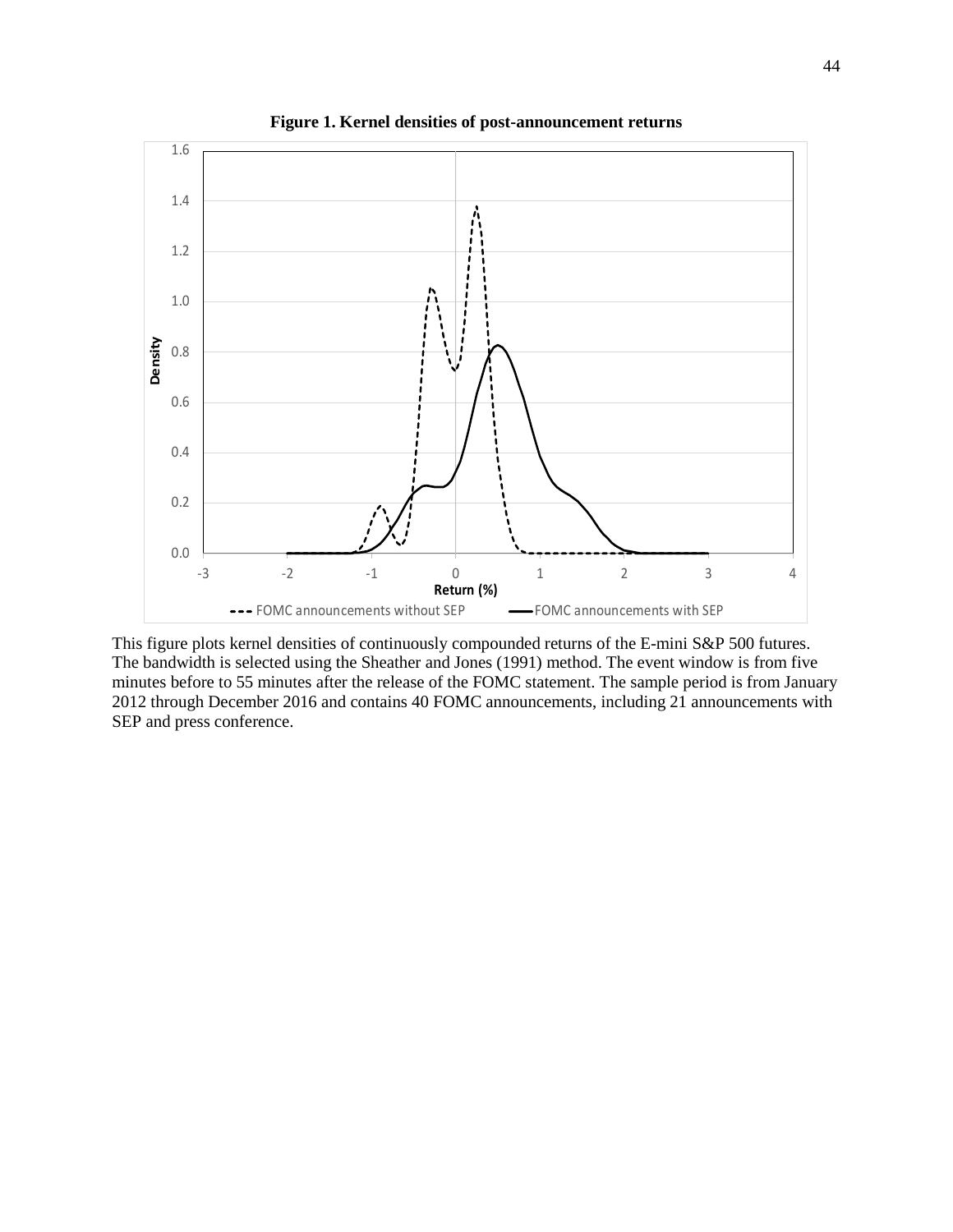

**Figure 1. Kernel densities of post-announcement returns**

This figure plots kernel densities of continuously compounded returns of the E-mini S&P 500 futures. The bandwidth is selected using the Sheather and Jones (1991) method. The event window is from five minutes before to 55 minutes after the release of the FOMC statement. The sample period is from January 2012 through December 2016 and contains 40 FOMC announcements, including 21 announcements with SEP and press conference.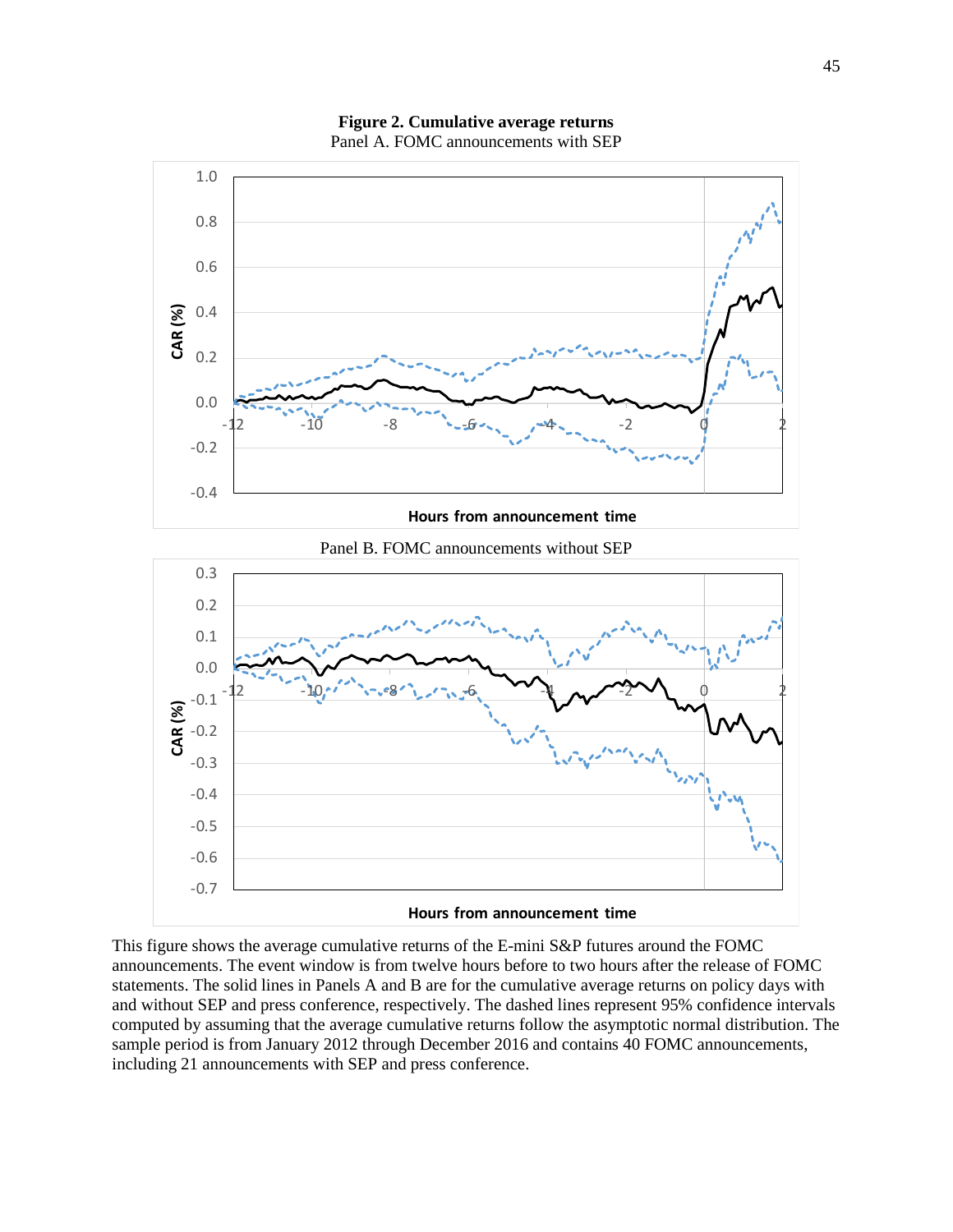

**Figure 2. Cumulative average returns**  Panel A. FOMC announcements with SEP

Panel B. FOMC announcements without SEP



This figure shows the average cumulative returns of the E-mini S&P futures around the FOMC announcements. The event window is from twelve hours before to two hours after the release of FOMC statements. The solid lines in Panels A and B are for the cumulative average returns on policy days with and without SEP and press conference, respectively. The dashed lines represent 95% confidence intervals computed by assuming that the average cumulative returns follow the asymptotic normal distribution. The sample period is from January 2012 through December 2016 and contains 40 FOMC announcements, including 21 announcements with SEP and press conference.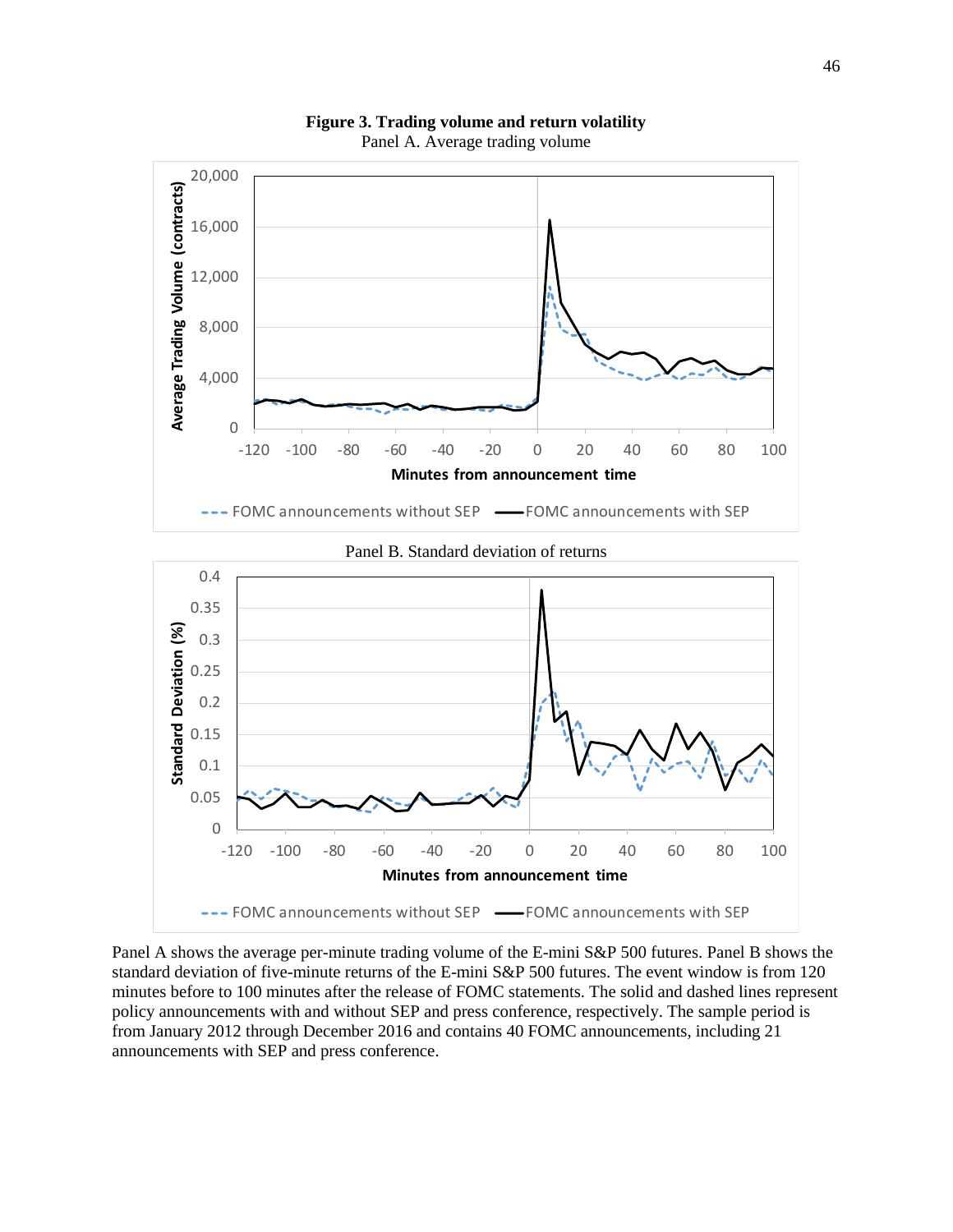

**Figure 3. Trading volume and return volatility**  Panel A. Average trading volume

Panel A shows the average per-minute trading volume of the E-mini S&P 500 futures. Panel B shows the standard deviation of five-minute returns of the E-mini S&P 500 futures. The event window is from 120 minutes before to 100 minutes after the release of FOMC statements. The solid and dashed lines represent policy announcements with and without SEP and press conference, respectively. The sample period is from January 2012 through December 2016 and contains 40 FOMC announcements, including 21 announcements with SEP and press conference.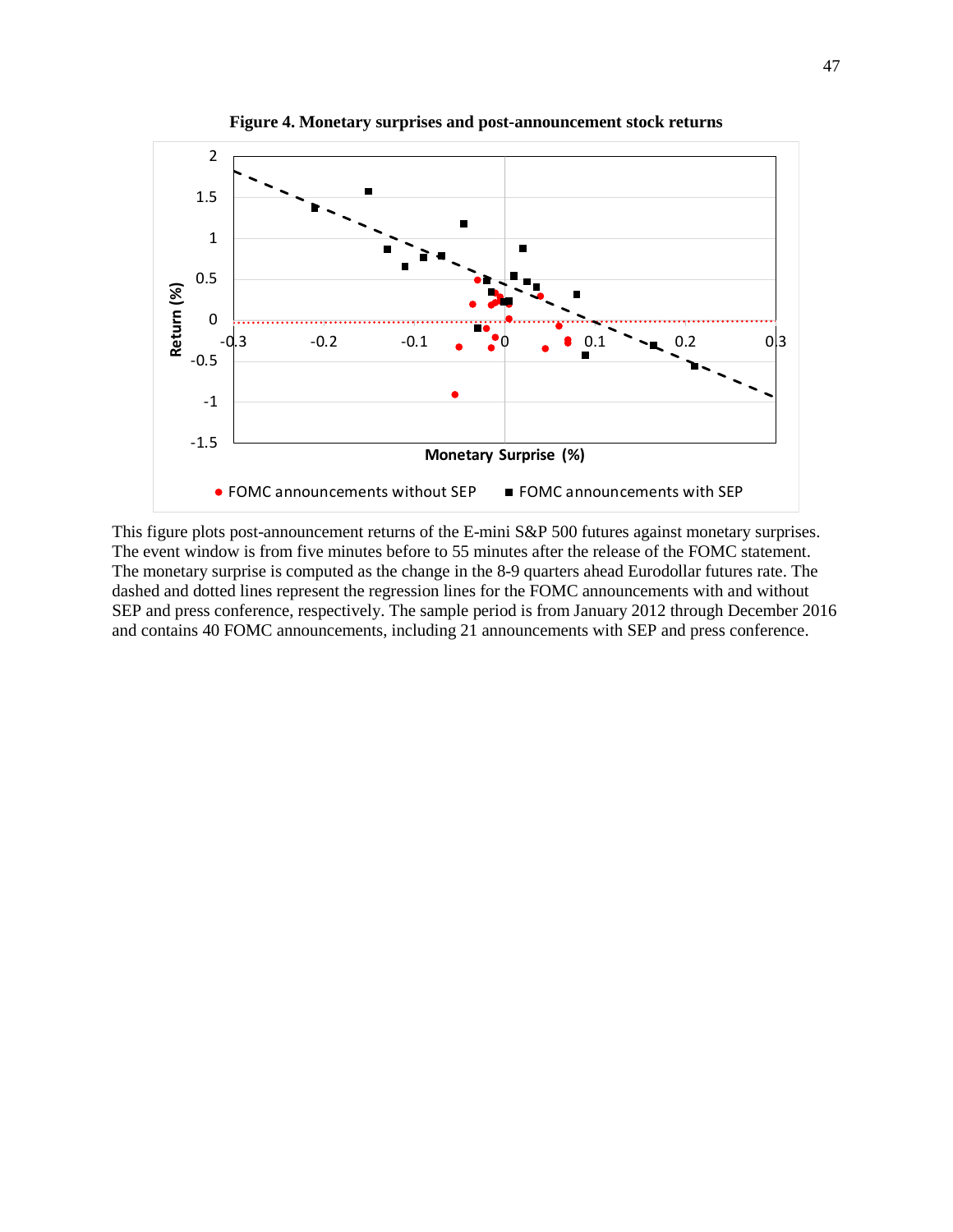

**Figure 4. Monetary surprises and post-announcement stock returns** 

This figure plots post-announcement returns of the E-mini S&P 500 futures against monetary surprises. The event window is from five minutes before to 55 minutes after the release of the FOMC statement. The monetary surprise is computed as the change in the 8-9 quarters ahead Eurodollar futures rate. The dashed and dotted lines represent the regression lines for the FOMC announcements with and without SEP and press conference, respectively. The sample period is from January 2012 through December 2016 and contains 40 FOMC announcements, including 21 announcements with SEP and press conference.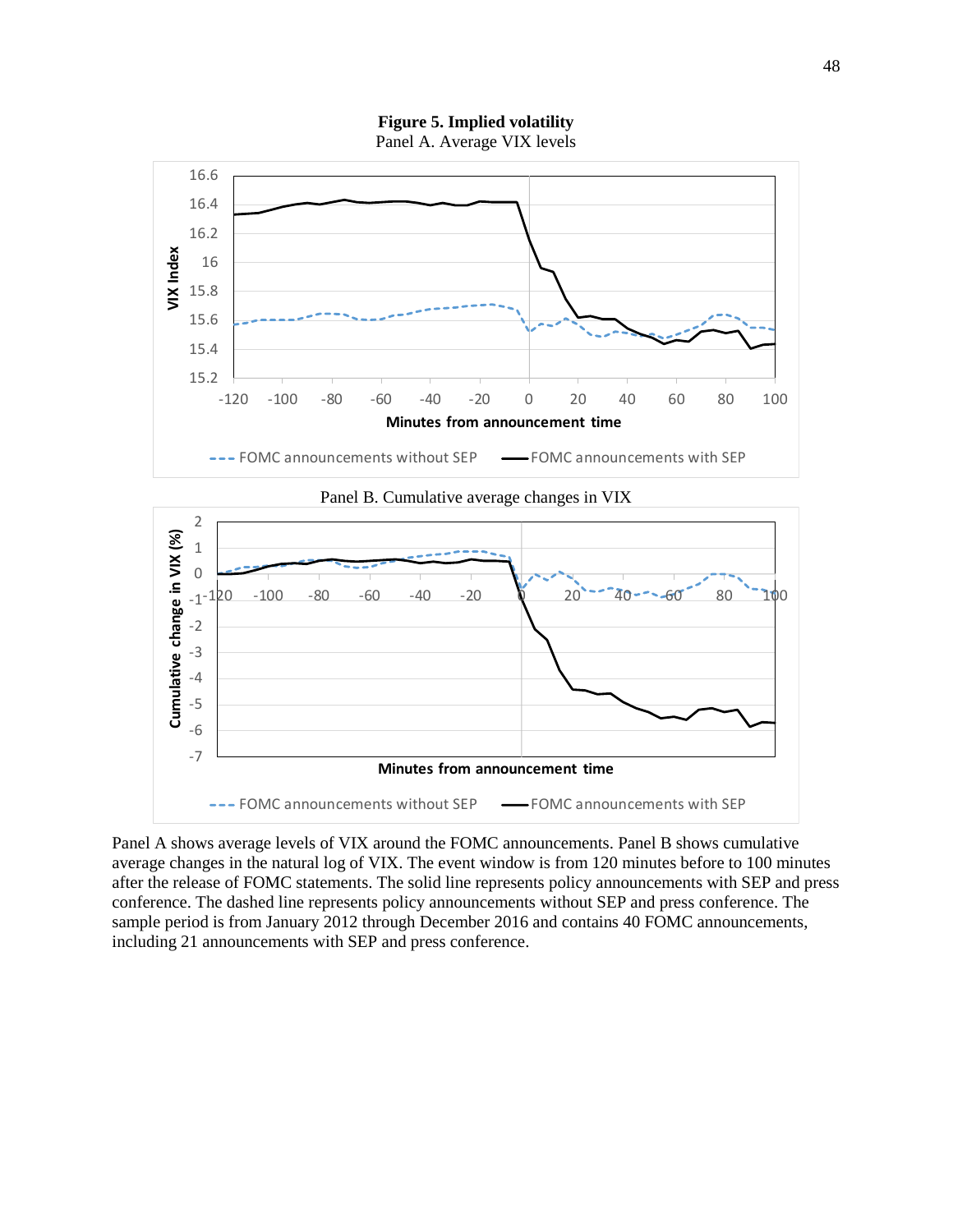**Figure 5. Implied volatility** Panel A. Average VIX levels





2



Panel A shows average levels of VIX around the FOMC announcements. Panel B shows cumulative average changes in the natural log of VIX. The event window is from 120 minutes before to 100 minutes after the release of FOMC statements. The solid line represents policy announcements with SEP and press conference. The dashed line represents policy announcements without SEP and press conference. The sample period is from January 2012 through December 2016 and contains 40 FOMC announcements, including 21 announcements with SEP and press conference.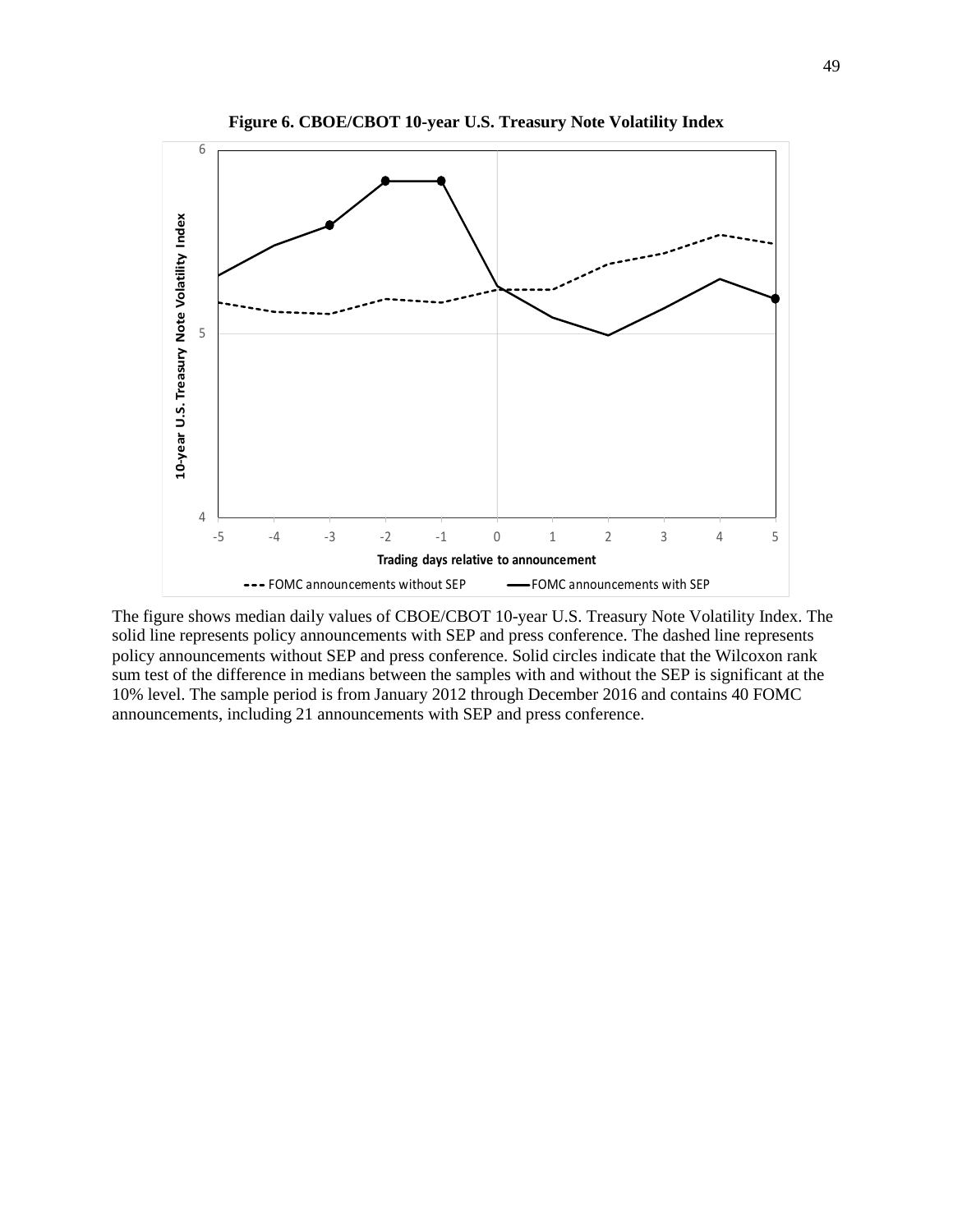

**Figure 6. CBOE/CBOT 10-year U.S. Treasury Note Volatility Index**

The figure shows median daily values of CBOE/CBOT 10-year U.S. Treasury Note Volatility Index. The solid line represents policy announcements with SEP and press conference. The dashed line represents policy announcements without SEP and press conference. Solid circles indicate that the Wilcoxon rank sum test of the difference in medians between the samples with and without the SEP is significant at the 10% level. The sample period is from January 2012 through December 2016 and contains 40 FOMC announcements, including 21 announcements with SEP and press conference.